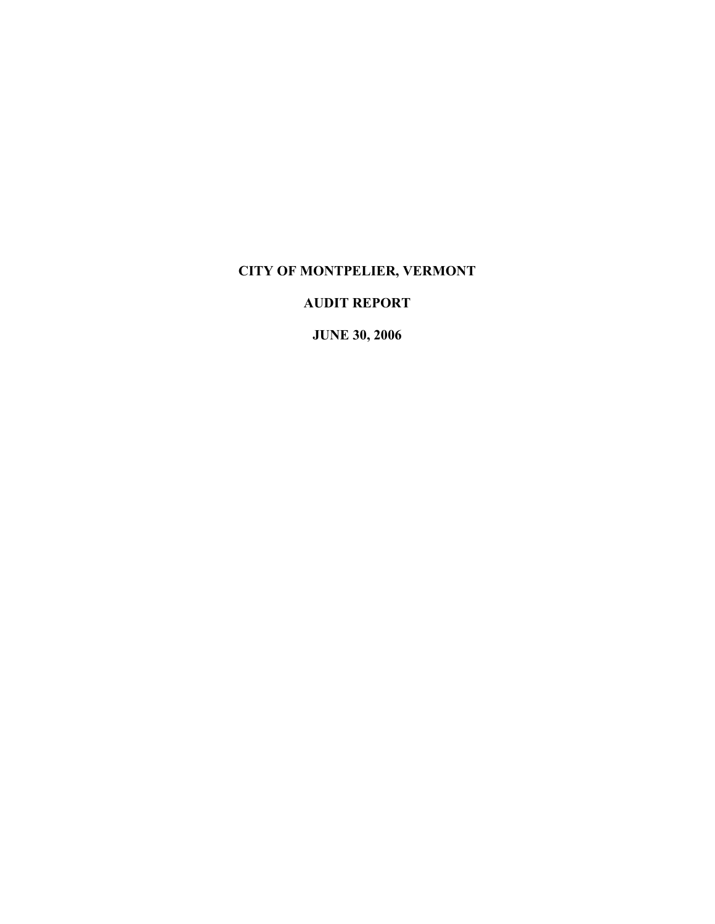# **CITY OF MONTPELIER, VERMONT**

# **AUDIT REPORT**

**JUNE 30, 2006**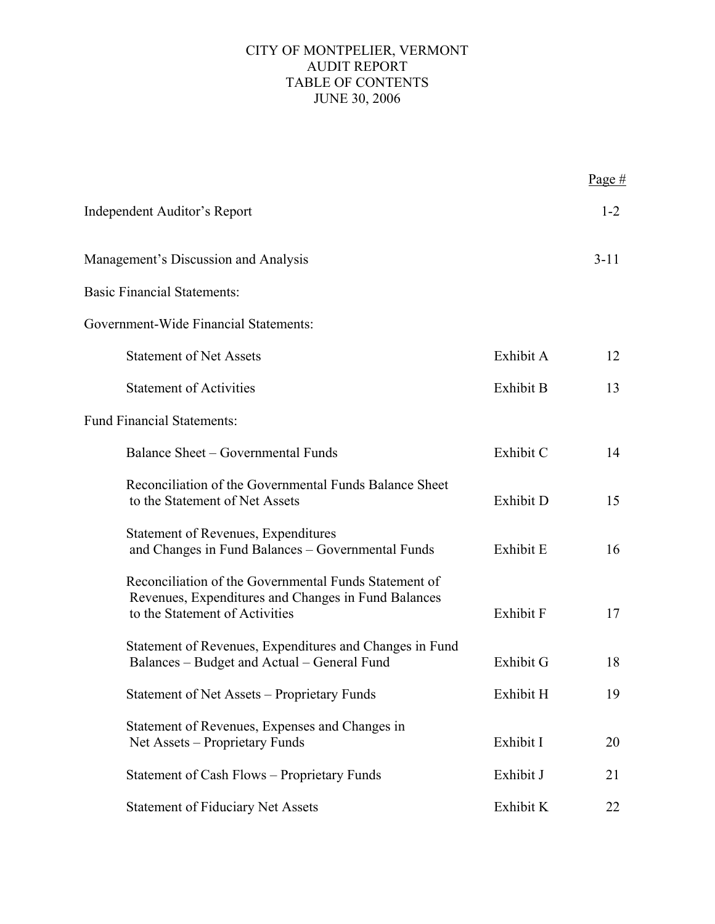# CITY OF MONTPELIER, VERMONT AUDIT REPORT TABLE OF CONTENTS JUNE 30, 2006

|                                                                                                                                                |                  | Page#    |
|------------------------------------------------------------------------------------------------------------------------------------------------|------------------|----------|
| Independent Auditor's Report                                                                                                                   |                  | $1 - 2$  |
| Management's Discussion and Analysis                                                                                                           |                  | $3 - 11$ |
| <b>Basic Financial Statements:</b>                                                                                                             |                  |          |
| Government-Wide Financial Statements:                                                                                                          |                  |          |
| <b>Statement of Net Assets</b>                                                                                                                 | Exhibit A        | 12       |
| <b>Statement of Activities</b>                                                                                                                 | Exhibit B        | 13       |
| <b>Fund Financial Statements:</b>                                                                                                              |                  |          |
| Balance Sheet – Governmental Funds                                                                                                             | Exhibit C        | 14       |
| Reconciliation of the Governmental Funds Balance Sheet<br>to the Statement of Net Assets                                                       | Exhibit D        | 15       |
| <b>Statement of Revenues, Expenditures</b><br>and Changes in Fund Balances - Governmental Funds                                                | <b>Exhibit E</b> | 16       |
| Reconciliation of the Governmental Funds Statement of<br>Revenues, Expenditures and Changes in Fund Balances<br>to the Statement of Activities | Exhibit F        | 17       |
| Statement of Revenues, Expenditures and Changes in Fund<br>Balances – Budget and Actual – General Fund                                         | Exhibit G        | 18       |
| Statement of Net Assets – Proprietary Funds                                                                                                    | Exhibit H        | 19       |
| Statement of Revenues, Expenses and Changes in<br>Net Assets - Proprietary Funds                                                               | Exhibit I        | 20       |
| Statement of Cash Flows - Proprietary Funds                                                                                                    | Exhibit J        | 21       |
| <b>Statement of Fiduciary Net Assets</b>                                                                                                       | Exhibit K        | 22       |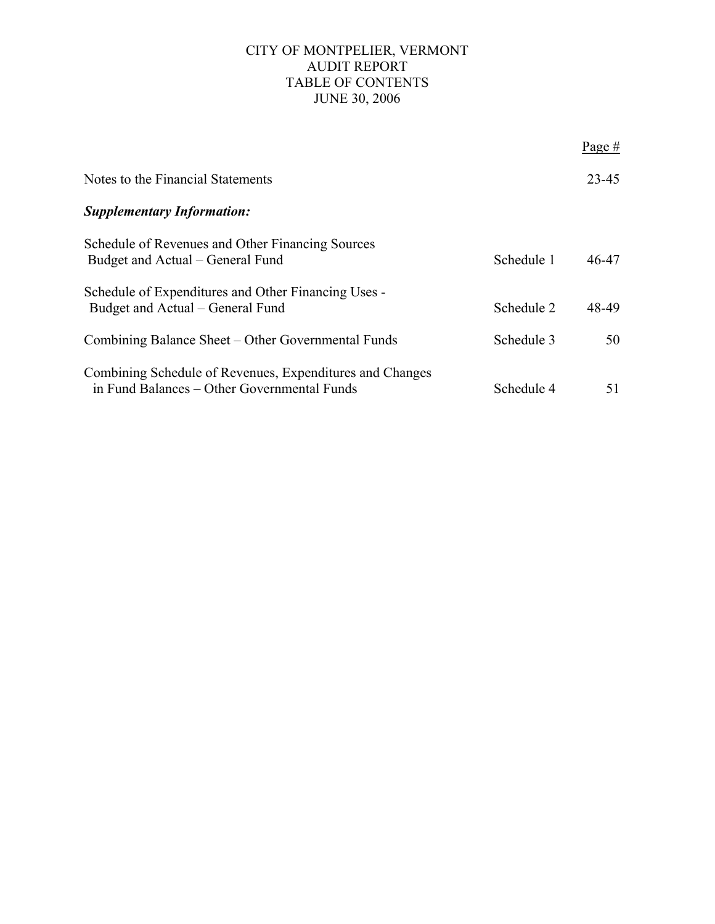# CITY OF MONTPELIER, VERMONT AUDIT REPORT TABLE OF CONTENTS JUNE 30, 2006

|                                                                                                         |            | Page #    |
|---------------------------------------------------------------------------------------------------------|------------|-----------|
| Notes to the Financial Statements                                                                       |            | $23 - 45$ |
| <b>Supplementary Information:</b>                                                                       |            |           |
| Schedule of Revenues and Other Financing Sources<br>Budget and Actual – General Fund                    | Schedule 1 | $46 - 47$ |
| Schedule of Expenditures and Other Financing Uses -<br>Budget and Actual – General Fund                 | Schedule 2 | 48-49     |
| Combining Balance Sheet – Other Governmental Funds                                                      | Schedule 3 | 50        |
| Combining Schedule of Revenues, Expenditures and Changes<br>in Fund Balances – Other Governmental Funds | Schedule 4 | 51        |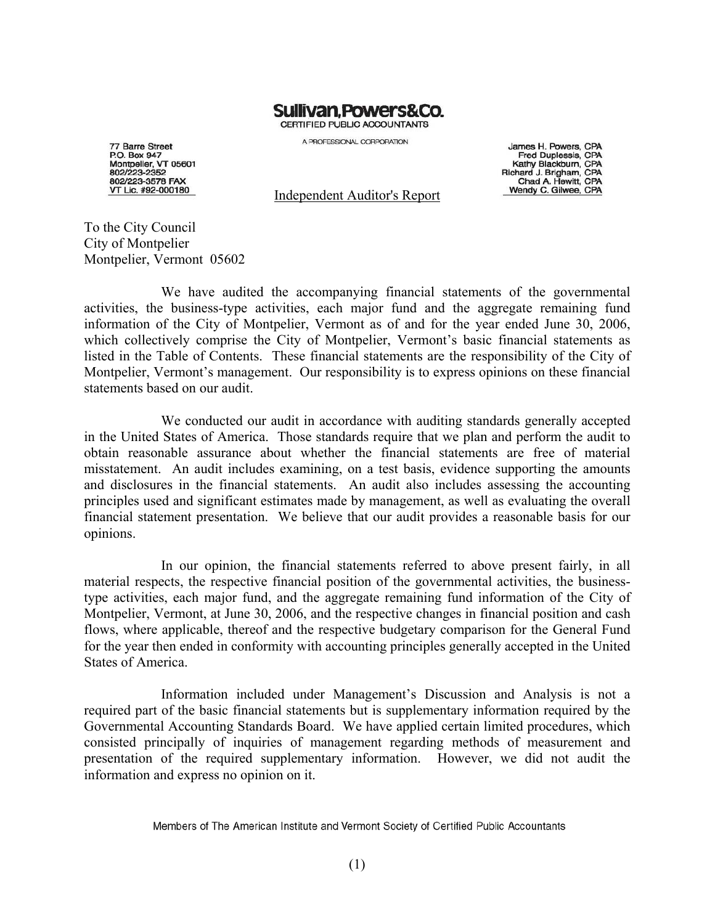Sullivan.Powers&Co. CERTIFIED PUBLIC ACCOUNTANTS

A PROFESSIONAL CORPORATION

**77 Barre Street** P.O. Box 947<br>Montpelier, VT 05601 802/223-2352 802/223-3578 FAX VT Lic. #92-000180

James H. Powers, CPA<br>Fred Duplessis, CPA<br>Kathy Blackburn, CPA Richard J. Brigham, CPA Chad A. Hewitt, CPA Wendy C. Gilwee, CPA

Independent Auditor's Report

To the City Council City of Montpelier Montpelier, Vermont 05602

We have audited the accompanying financial statements of the governmental activities, the business-type activities, each major fund and the aggregate remaining fund information of the City of Montpelier, Vermont as of and for the year ended June 30, 2006, which collectively comprise the City of Montpelier, Vermont's basic financial statements as listed in the Table of Contents. These financial statements are the responsibility of the City of Montpelier, Vermont's management. Our responsibility is to express opinions on these financial statements based on our audit.

We conducted our audit in accordance with auditing standards generally accepted in the United States of America. Those standards require that we plan and perform the audit to obtain reasonable assurance about whether the financial statements are free of material misstatement. An audit includes examining, on a test basis, evidence supporting the amounts and disclosures in the financial statements. An audit also includes assessing the accounting principles used and significant estimates made by management, as well as evaluating the overall financial statement presentation. We believe that our audit provides a reasonable basis for our opinions.

In our opinion, the financial statements referred to above present fairly, in all material respects, the respective financial position of the governmental activities, the businesstype activities, each major fund, and the aggregate remaining fund information of the City of Montpelier, Vermont, at June 30, 2006, and the respective changes in financial position and cash flows, where applicable, thereof and the respective budgetary comparison for the General Fund for the year then ended in conformity with accounting principles generally accepted in the United States of America.

Information included under Management's Discussion and Analysis is not a required part of the basic financial statements but is supplementary information required by the Governmental Accounting Standards Board. We have applied certain limited procedures, which consisted principally of inquiries of management regarding methods of measurement and presentation of the required supplementary information. However, we did not audit the information and express no opinion on it.

Members of The American Institute and Vermont Society of Certified Public Accountants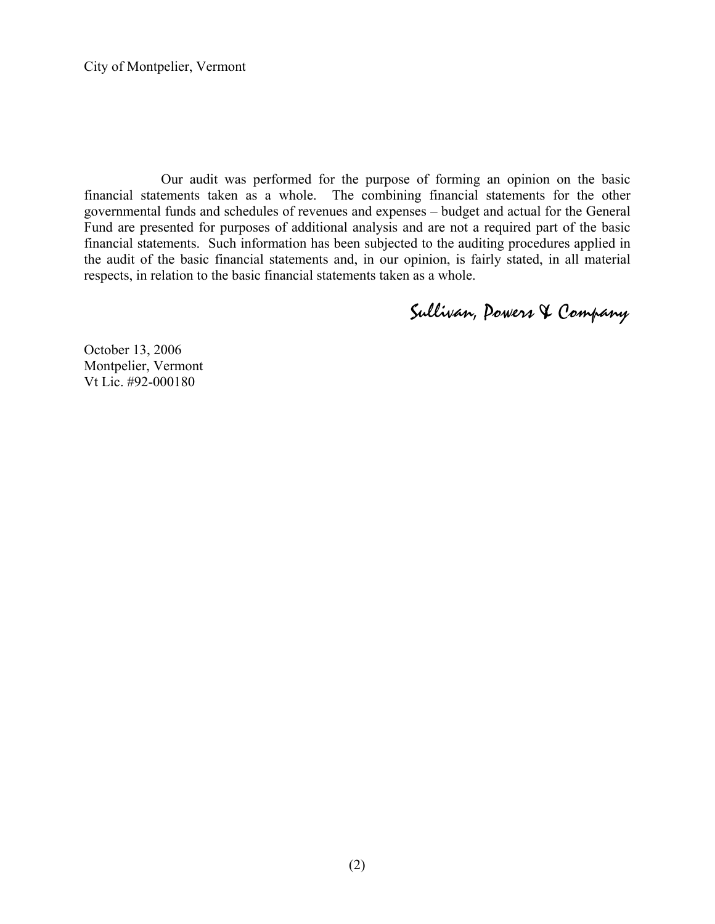City of Montpelier, Vermont

 Our audit was performed for the purpose of forming an opinion on the basic financial statements taken as a whole. The combining financial statements for the other governmental funds and schedules of revenues and expenses – budget and actual for the General Fund are presented for purposes of additional analysis and are not a required part of the basic financial statements. Such information has been subjected to the auditing procedures applied in the audit of the basic financial statements and, in our opinion, is fairly stated, in all material respects, in relation to the basic financial statements taken as a whole.

Sullivan, Powers & Company

October 13, 2006 Montpelier, Vermont Vt Lic. #92-000180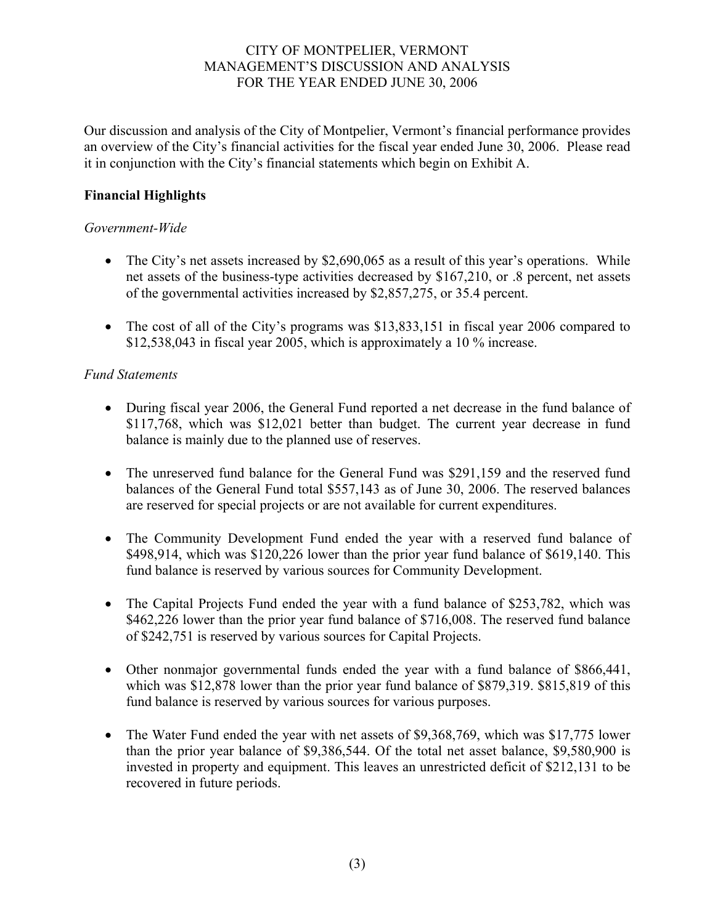Our discussion and analysis of the City of Montpelier, Vermont's financial performance provides an overview of the City's financial activities for the fiscal year ended June 30, 2006. Please read it in conjunction with the City's financial statements which begin on Exhibit A.

# **Financial Highlights**

# *Government-Wide*

- The City's net assets increased by \$2,690,065 as a result of this year's operations. While net assets of the business-type activities decreased by \$167,210, or .8 percent, net assets of the governmental activities increased by \$2,857,275, or 35.4 percent.
- The cost of all of the City's programs was \$13,833,151 in fiscal year 2006 compared to \$12,538,043 in fiscal year 2005, which is approximately a 10 % increase.

# *Fund Statements*

- During fiscal year 2006, the General Fund reported a net decrease in the fund balance of \$117,768, which was \$12,021 better than budget. The current year decrease in fund balance is mainly due to the planned use of reserves.
- The unreserved fund balance for the General Fund was \$291,159 and the reserved fund balances of the General Fund total \$557,143 as of June 30, 2006. The reserved balances are reserved for special projects or are not available for current expenditures.
- The Community Development Fund ended the year with a reserved fund balance of \$498,914, which was \$120,226 lower than the prior year fund balance of \$619,140. This fund balance is reserved by various sources for Community Development.
- The Capital Projects Fund ended the year with a fund balance of \$253,782, which was \$462,226 lower than the prior year fund balance of \$716,008. The reserved fund balance of \$242,751 is reserved by various sources for Capital Projects.
- Other nonmajor governmental funds ended the year with a fund balance of \$866,441, which was \$12,878 lower than the prior year fund balance of \$879,319. \$815,819 of this fund balance is reserved by various sources for various purposes.
- The Water Fund ended the year with net assets of \$9,368,769, which was \$17,775 lower than the prior year balance of \$9,386,544. Of the total net asset balance, \$9,580,900 is invested in property and equipment. This leaves an unrestricted deficit of \$212,131 to be recovered in future periods.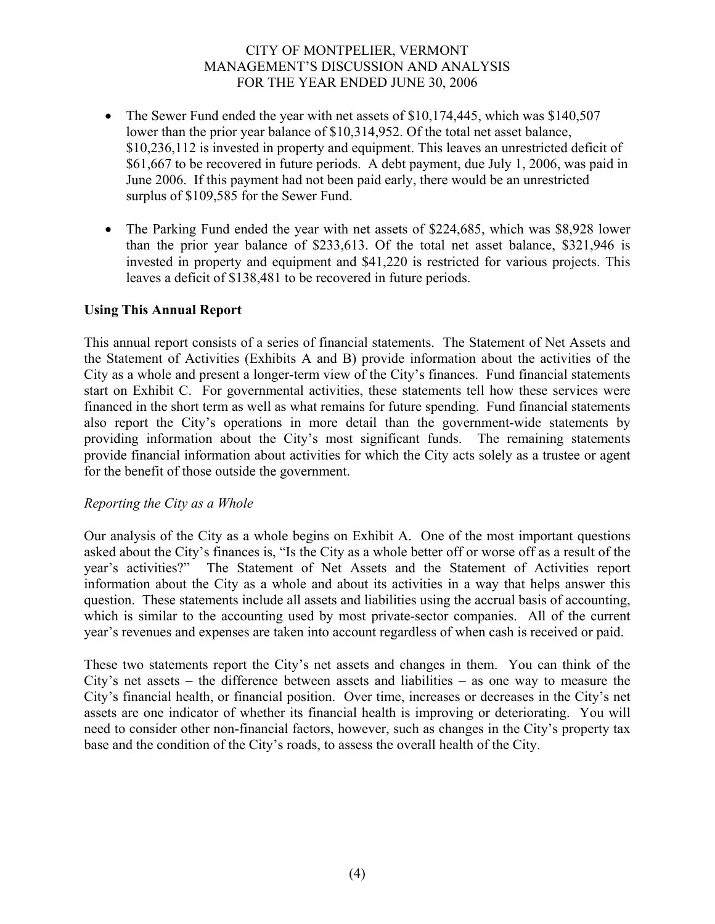- The Sewer Fund ended the year with net assets of \$10,174,445, which was \$140,507 lower than the prior year balance of \$10,314,952. Of the total net asset balance, \$10,236,112 is invested in property and equipment. This leaves an unrestricted deficit of \$61,667 to be recovered in future periods. A debt payment, due July 1, 2006, was paid in June 2006. If this payment had not been paid early, there would be an unrestricted surplus of \$109,585 for the Sewer Fund.
- The Parking Fund ended the year with net assets of \$224,685, which was \$8,928 lower than the prior year balance of \$233,613. Of the total net asset balance, \$321,946 is invested in property and equipment and \$41,220 is restricted for various projects. This leaves a deficit of \$138,481 to be recovered in future periods.

### **Using This Annual Report**

This annual report consists of a series of financial statements. The Statement of Net Assets and the Statement of Activities (Exhibits A and B) provide information about the activities of the City as a whole and present a longer-term view of the City's finances. Fund financial statements start on Exhibit C. For governmental activities, these statements tell how these services were financed in the short term as well as what remains for future spending. Fund financial statements also report the City's operations in more detail than the government-wide statements by providing information about the City's most significant funds. The remaining statements provide financial information about activities for which the City acts solely as a trustee or agent for the benefit of those outside the government.

#### *Reporting the City as a Whole*

Our analysis of the City as a whole begins on Exhibit A. One of the most important questions asked about the City's finances is, "Is the City as a whole better off or worse off as a result of the year's activities?" The Statement of Net Assets and the Statement of Activities report information about the City as a whole and about its activities in a way that helps answer this question. These statements include all assets and liabilities using the accrual basis of accounting, which is similar to the accounting used by most private-sector companies. All of the current year's revenues and expenses are taken into account regardless of when cash is received or paid.

These two statements report the City's net assets and changes in them. You can think of the City's net assets – the difference between assets and liabilities – as one way to measure the City's financial health, or financial position. Over time, increases or decreases in the City's net assets are one indicator of whether its financial health is improving or deteriorating. You will need to consider other non-financial factors, however, such as changes in the City's property tax base and the condition of the City's roads, to assess the overall health of the City.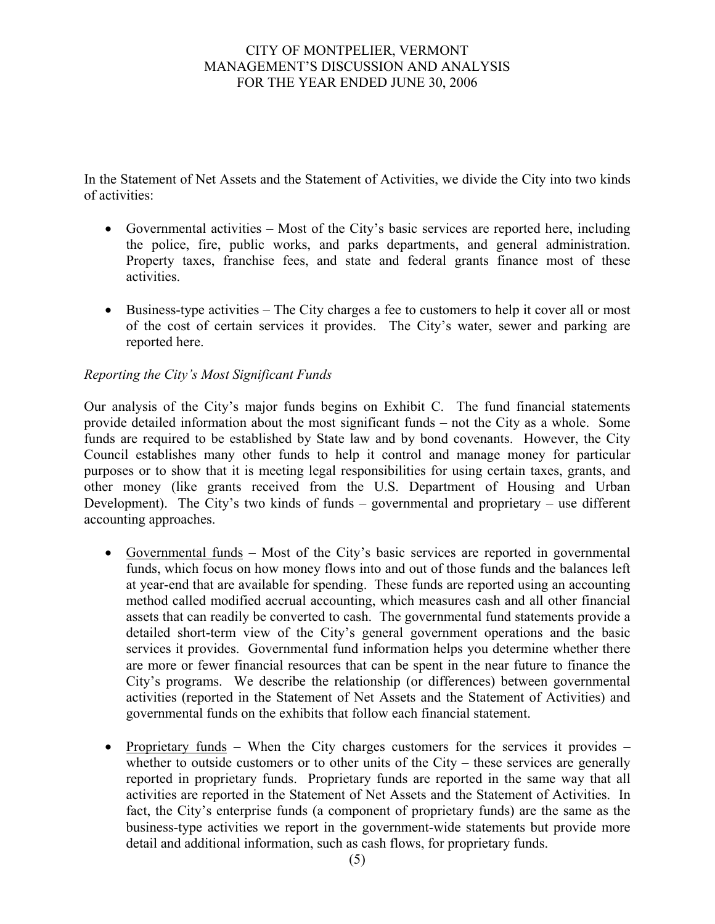In the Statement of Net Assets and the Statement of Activities, we divide the City into two kinds of activities:

- Governmental activities Most of the City's basic services are reported here, including the police, fire, public works, and parks departments, and general administration. Property taxes, franchise fees, and state and federal grants finance most of these activities.
- Business-type activities The City charges a fee to customers to help it cover all or most of the cost of certain services it provides. The City's water, sewer and parking are reported here.

# *Reporting the City's Most Significant Funds*

Our analysis of the City's major funds begins on Exhibit C. The fund financial statements provide detailed information about the most significant funds – not the City as a whole. Some funds are required to be established by State law and by bond covenants. However, the City Council establishes many other funds to help it control and manage money for particular purposes or to show that it is meeting legal responsibilities for using certain taxes, grants, and other money (like grants received from the U.S. Department of Housing and Urban Development). The City's two kinds of funds – governmental and proprietary – use different accounting approaches.

- Governmental funds Most of the City's basic services are reported in governmental funds, which focus on how money flows into and out of those funds and the balances left at year-end that are available for spending. These funds are reported using an accounting method called modified accrual accounting, which measures cash and all other financial assets that can readily be converted to cash. The governmental fund statements provide a detailed short-term view of the City's general government operations and the basic services it provides. Governmental fund information helps you determine whether there are more or fewer financial resources that can be spent in the near future to finance the City's programs. We describe the relationship (or differences) between governmental activities (reported in the Statement of Net Assets and the Statement of Activities) and governmental funds on the exhibits that follow each financial statement.
- Proprietary funds When the City charges customers for the services it provides whether to outside customers or to other units of the City – these services are generally reported in proprietary funds. Proprietary funds are reported in the same way that all activities are reported in the Statement of Net Assets and the Statement of Activities. In fact, the City's enterprise funds (a component of proprietary funds) are the same as the business-type activities we report in the government-wide statements but provide more detail and additional information, such as cash flows, for proprietary funds.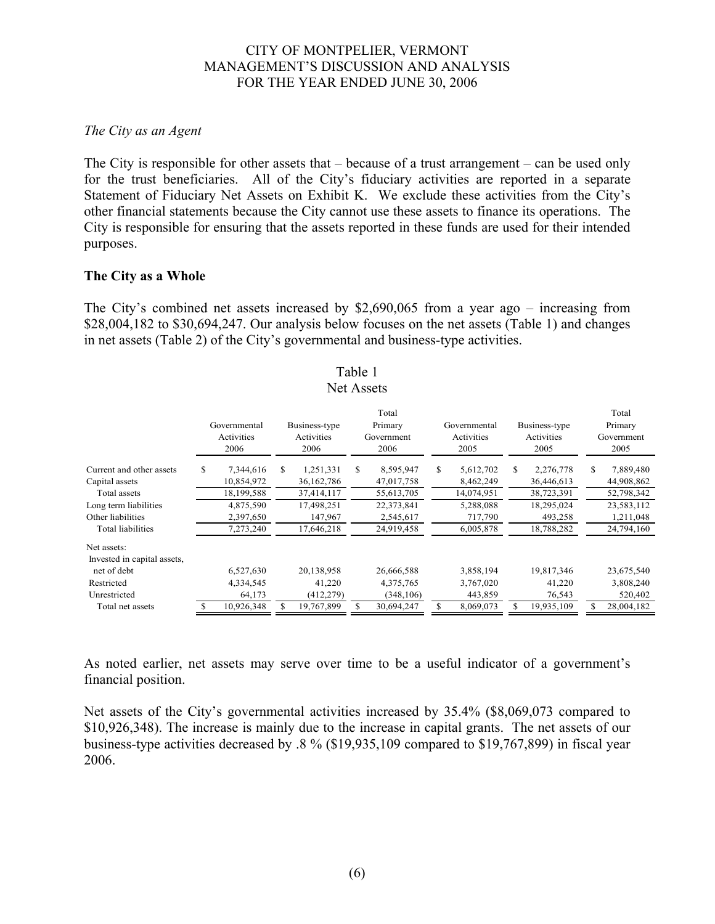#### *The City as an Agent*

The City is responsible for other assets that – because of a trust arrangement – can be used only for the trust beneficiaries. All of the City's fiduciary activities are reported in a separate Statement of Fiduciary Net Assets on Exhibit K. We exclude these activities from the City's other financial statements because the City cannot use these assets to finance its operations. The City is responsible for ensuring that the assets reported in these funds are used for their intended purposes.

#### **The City as a Whole**

The City's combined net assets increased by \$2,690,065 from a year ago – increasing from \$28,004,182 to \$30,694,247. Our analysis below focuses on the net assets (Table 1) and changes in net assets (Table 2) of the City's governmental and business-type activities.

| INGL ASSELS                                |                                    |            |                                                                               |              |    |            |   |                                    |                                     |            |    |                                        |
|--------------------------------------------|------------------------------------|------------|-------------------------------------------------------------------------------|--------------|----|------------|---|------------------------------------|-------------------------------------|------------|----|----------------------------------------|
|                                            | Governmental<br>Activities<br>2006 |            | Total<br>Business-type<br>Primary<br>Activities<br>Government<br>2006<br>2006 |              |    |            |   | Governmental<br>Activities<br>2005 | Business-type<br>Activities<br>2005 |            |    | Total<br>Primary<br>Government<br>2005 |
| Current and other assets                   | \$                                 | 7,344,616  | \$                                                                            | 1,251,331    | S. | 8,595,947  | S | 5,612,702                          | S                                   | 2,276,778  | S. | 7,889,480                              |
| Capital assets                             |                                    | 10,854,972 |                                                                               | 36, 162, 786 |    | 47,017,758 |   | 8,462,249                          |                                     | 36,446,613 |    | 44,908,862                             |
| Total assets                               |                                    | 18,199,588 |                                                                               | 37,414,117   |    | 55,613,705 |   | 14,074,951                         |                                     | 38,723,391 |    | 52,798,342                             |
| Long term liabilities                      |                                    | 4,875,590  |                                                                               | 17,498,251   |    | 22,373,841 |   | 5,288,088                          |                                     | 18,295,024 |    | 23,583,112                             |
| Other liabilities                          |                                    | 2,397,650  |                                                                               | 147,967      |    | 2,545,617  |   | 717,790                            |                                     | 493,258    |    | 1,211,048                              |
| Total liabilities                          |                                    | 7,273,240  |                                                                               | 17,646,218   |    | 24,919,458 |   | 6,005,878                          |                                     | 18,788,282 |    | 24,794,160                             |
| Net assets:<br>Invested in capital assets, |                                    |            |                                                                               |              |    |            |   |                                    |                                     |            |    |                                        |
| net of debt                                |                                    | 6,527,630  |                                                                               | 20,138,958   |    | 26,666,588 |   | 3,858,194                          |                                     | 19,817,346 |    | 23,675,540                             |
| Restricted                                 |                                    | 4,334,545  |                                                                               | 41,220       |    | 4,375,765  |   | 3,767,020                          |                                     | 41,220     |    | 3,808,240                              |
| Unrestricted                               |                                    | 64,173     |                                                                               | (412, 279)   |    | (348, 106) |   | 443,859                            |                                     | 76,543     |    | 520,402                                |
| Total net assets                           |                                    | 10,926,348 | \$                                                                            | 19,767,899   | \$ | 30,694,247 | S | 8,069,073                          |                                     | 19,935,109 |    | 28,004,182                             |

# Table 1 Net Assets

As noted earlier, net assets may serve over time to be a useful indicator of a government's financial position.

Net assets of the City's governmental activities increased by 35.4% (\$8,069,073 compared to \$10,926,348). The increase is mainly due to the increase in capital grants. The net assets of our business-type activities decreased by .8 % (\$19,935,109 compared to \$19,767,899) in fiscal year 2006.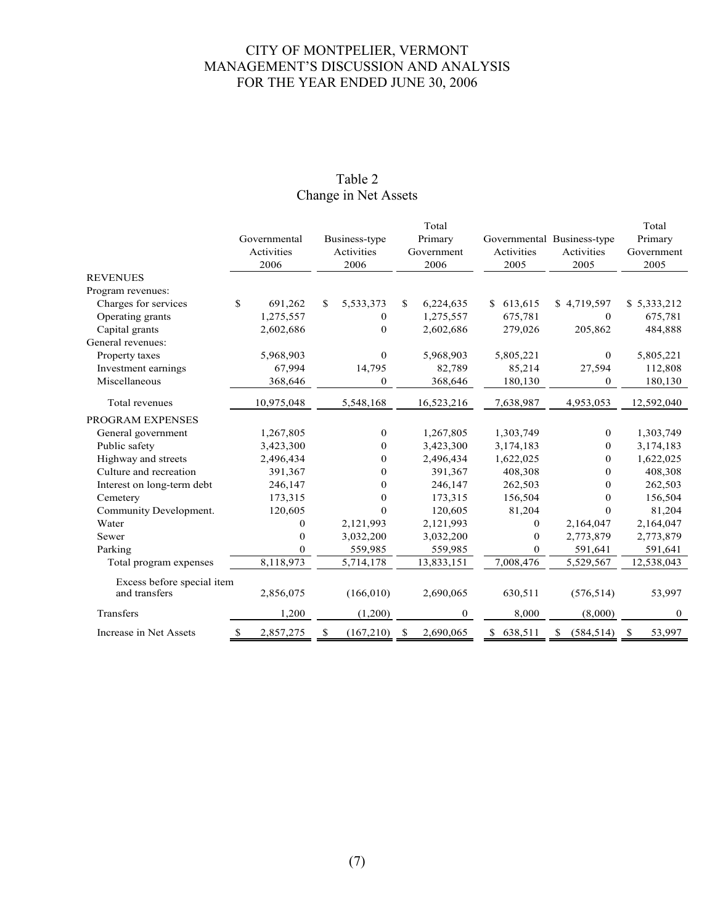|                                             |                 |   |               | Total            |                            |                  | Total          |
|---------------------------------------------|-----------------|---|---------------|------------------|----------------------------|------------------|----------------|
|                                             | Governmental    |   | Business-type | Primary          | Governmental Business-type |                  | Primary        |
|                                             | Activities      |   | Activities    | Government       | Activities                 | Activities       | Government     |
|                                             | 2006            |   | 2006          | 2006             | 2005                       | 2005             | 2005           |
| <b>REVENUES</b>                             |                 |   |               |                  |                            |                  |                |
| Program revenues:                           |                 |   |               |                  |                            |                  |                |
| Charges for services                        | \$<br>691,262   | S | 5,533,373     | \$<br>6,224,635  | \$613,615                  | \$4,719,597      | \$5,333,212    |
| Operating grants                            | 1,275,557       |   | $\theta$      | 1,275,557        | 675,781                    | $\theta$         | 675,781        |
| Capital grants                              | 2,602,686       |   | $\theta$      | 2,602,686        | 279,026                    | 205,862          | 484,888        |
| General revenues:                           |                 |   |               |                  |                            |                  |                |
| Property taxes                              | 5,968,903       |   | $\mathbf{0}$  | 5,968,903        | 5,805,221                  | $\mathbf{0}$     | 5,805,221      |
| Investment earnings                         | 67,994          |   | 14,795        | 82,789           | 85,214                     | 27,594           | 112,808        |
| Miscellaneous                               | 368,646         |   | $\Omega$      | 368,646          | 180,130                    | $\theta$         | 180,130        |
| Total revenues                              | 10,975,048      |   | 5,548,168     | 16,523,216       | 7,638,987                  | 4,953,053        | 12,592,040     |
| PROGRAM EXPENSES                            |                 |   |               |                  |                            |                  |                |
| General government                          | 1,267,805       |   | $\mathbf{0}$  | 1,267,805        | 1,303,749                  | $\mathbf{0}$     | 1,303,749      |
| Public safety                               | 3,423,300       |   | $\mathbf{0}$  | 3,423,300        | 3,174,183                  | $\Omega$         | 3,174,183      |
| Highway and streets                         | 2,496,434       |   | 0             | 2,496,434        | 1,622,025                  | $\Omega$         | 1,622,025      |
| Culture and recreation                      | 391,367         |   | $\Omega$      | 391,367          | 408,308                    | $\Omega$         | 408,308        |
| Interest on long-term debt                  | 246,147         |   | $\Omega$      | 246,147          | 262,503                    | $\Omega$         | 262,503        |
| Cemetery                                    | 173,315         |   | $\Omega$      | 173,315          | 156,504                    | $\Omega$         | 156,504        |
| Community Development.                      | 120,605         |   | $\theta$      | 120,605          | 81,204                     | $\Omega$         | 81,204         |
| Water                                       | $\mathbf{0}$    |   | 2,121,993     | 2,121,993        | $\Omega$                   | 2,164,047        | 2,164,047      |
| Sewer                                       | $\theta$        |   | 3,032,200     | 3,032,200        | $\Omega$                   | 2,773,879        | 2,773,879      |
| Parking                                     | $\Omega$        |   | 559,985       | 559,985          | $\Omega$                   | 591,641          | 591,641        |
| Total program expenses                      | 8,118,973       |   | 5,714,178     | 13,833,151       | 7,008,476                  | 5,529,567        | 12,538,043     |
| Excess before special item<br>and transfers | 2,856,075       |   | (166, 010)    | 2,690,065        | 630,511                    | (576, 514)       | 53,997         |
| Transfers                                   | 1,200           |   | (1,200)       | $\boldsymbol{0}$ | 8,000                      | (8,000)          | $\overline{0}$ |
| Increase in Net Assets                      | \$<br>2,857,275 | S | (167,210)     | \$<br>2,690,065  | \$638,511                  | (584, 514)<br>\$ | \$<br>53,997   |

# Table 2 Change in Net Assets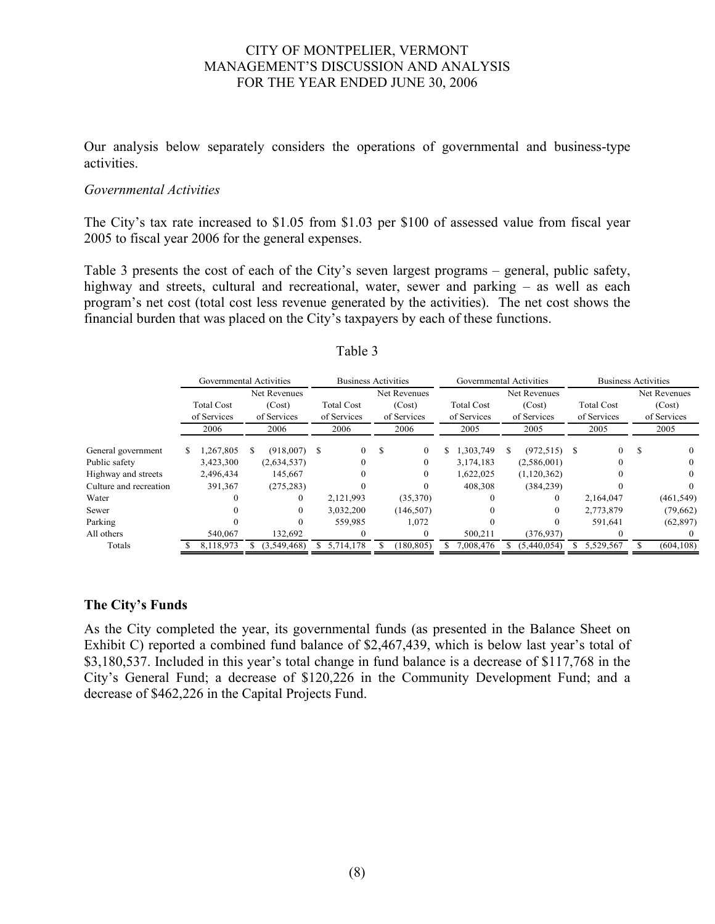Our analysis below separately considers the operations of governmental and business-type activities.

### *Governmental Activities*

The City's tax rate increased to \$1.05 from \$1.03 per \$100 of assessed value from fiscal year 2005 to fiscal year 2006 for the general expenses.

Table 3 presents the cost of each of the City's seven largest programs – general, public safety, highway and streets, cultural and recreational, water, sewer and parking – as well as each program's net cost (total cost less revenue generated by the activities). The net cost shows the financial burden that was placed on the City's taxpayers by each of these functions.

|                        |    | Governmental Activities |    |                | <b>Business Activities</b> |                   |   |                | Governmental Activities |                   |     |                 | <b>Business Activities</b> |                   |             |              |
|------------------------|----|-------------------------|----|----------------|----------------------------|-------------------|---|----------------|-------------------------|-------------------|-----|-----------------|----------------------------|-------------------|-------------|--------------|
|                        |    |                         |    | Net Revenues   |                            |                   |   | Net Revenues   |                         |                   |     | Net Revenues    |                            |                   |             | Net Revenues |
|                        |    | <b>Total Cost</b>       |    | (Cost)         |                            | <b>Total Cost</b> |   | (Cost)         |                         | <b>Total Cost</b> |     | (Cost)          |                            | <b>Total Cost</b> |             | (Cost)       |
|                        |    | of Services             |    | of Services    |                            | of Services       |   | of Services    |                         | of Services       |     | of Services     | of Services                |                   | of Services |              |
|                        |    | 2006                    |    | 2006           |                            | 2006              |   | 2006           |                         | 2005              |     | 2005            |                            | 2005              |             | 2005         |
| General government     | S. | 1,267,805               | S. | $(918,007)$ \$ |                            | $\Omega$          | S | $\overline{0}$ | \$                      | 1,303,749         | \$. | $(972, 515)$ \$ |                            | $\Omega$          | -S          | 0            |
| Public safety          |    | 3,423,300               |    | (2,634,537)    |                            | 0                 |   | $\Omega$       |                         | 3,174,183         |     | (2,586,001)     |                            | $\Omega$          |             | $\Omega$     |
| Highway and streets    |    | 2,496,434               |    | 145.667        |                            | $\theta$          |   | $\Omega$       |                         | 1,622,025         |     | (1,120,362)     |                            | $\Omega$          |             | 0            |
| Culture and recreation |    | 391,367                 |    | (275, 283)     |                            |                   |   | $\theta$       |                         | 408,308           |     | (384, 239)      |                            |                   |             | 0            |
| Water                  |    |                         |    | 0              |                            | 2,121,993         |   | (35,370)       |                         |                   |     | $\Omega$        |                            | 2,164,047         |             | (461, 549)   |
| Sewer                  |    |                         |    | $\mathbf{0}$   |                            | 3,032,200         |   | (146, 507)     |                         |                   |     | 0               |                            | 2,773,879         |             | (79,662)     |
| Parking                |    |                         |    | $\Omega$       |                            | 559,985           |   | 1,072          |                         |                   |     | $\theta$        |                            | 591,641           |             | (62, 897)    |
| All others             |    | 540,067                 |    | 132,692        |                            |                   |   |                |                         | 500,211           |     | (376, 937)      |                            |                   |             |              |
| Totals                 |    | 8,118,973               |    | (3.549.468)    |                            | 5,714,178         |   | (180.805)      |                         | 7.008.476         |     | (5.440.054)     |                            | 5,529,567         |             | (604, 108)   |

#### Table 3

#### **The City's Funds**

As the City completed the year, its governmental funds (as presented in the Balance Sheet on Exhibit C) reported a combined fund balance of \$2,467,439, which is below last year's total of \$3,180,537. Included in this year's total change in fund balance is a decrease of \$117,768 in the City's General Fund; a decrease of \$120,226 in the Community Development Fund; and a decrease of \$462,226 in the Capital Projects Fund.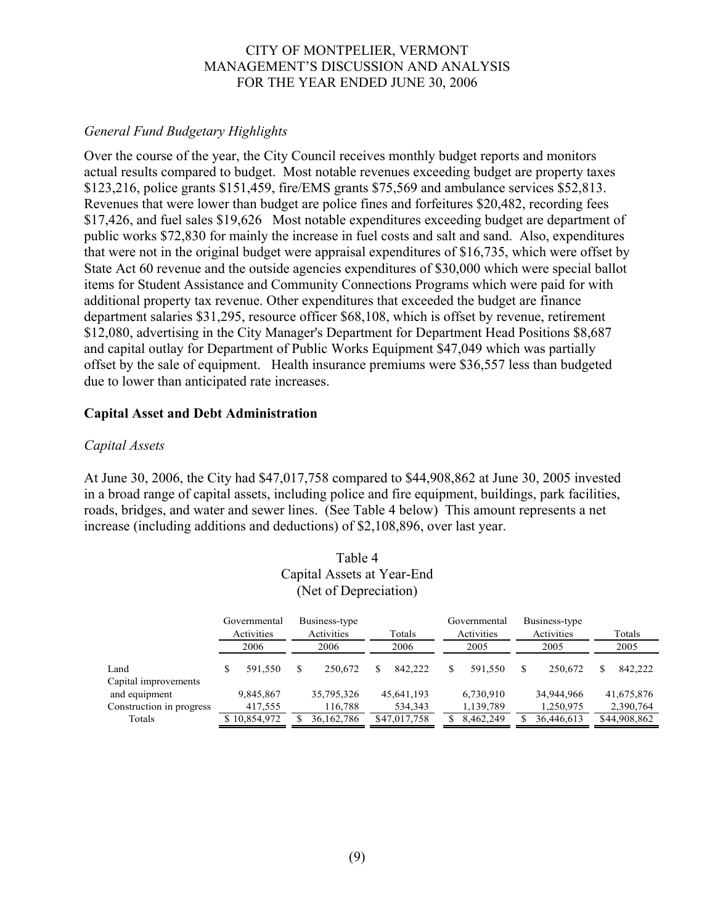# *General Fund Budgetary Highlights*

Over the course of the year, the City Council receives monthly budget reports and monitors actual results compared to budget. Most notable revenues exceeding budget are property taxes \$123,216, police grants \$151,459, fire/EMS grants \$75,569 and ambulance services \$52,813. Revenues that were lower than budget are police fines and forfeitures \$20,482, recording fees \$17,426, and fuel sales \$19,626 Most notable expenditures exceeding budget are department of public works \$72,830 for mainly the increase in fuel costs and salt and sand. Also, expenditures that were not in the original budget were appraisal expenditures of \$16,735, which were offset by State Act 60 revenue and the outside agencies expenditures of \$30,000 which were special ballot items for Student Assistance and Community Connections Programs which were paid for with additional property tax revenue. Other expenditures that exceeded the budget are finance department salaries \$31,295, resource officer \$68,108, which is offset by revenue, retirement \$12,080, advertising in the City Manager's Department for Department Head Positions \$8,687 and capital outlay for Department of Public Works Equipment \$47,049 which was partially offset by the sale of equipment. Health insurance premiums were \$36,557 less than budgeted due to lower than anticipated rate increases.

# **Capital Asset and Debt Administration**

### *Capital Assets*

At June 30, 2006, the City had \$47,017,758 compared to \$44,908,862 at June 30, 2005 invested in a broad range of capital assets, including police and fire equipment, buildings, park facilities, roads, bridges, and water and sewer lines. (See Table 4 below) This amount represents a net increase (including additions and deductions) of \$2,108,896, over last year.

|                                       | Governmental<br>Activities<br>2006 | Business-type<br>Activities<br>2006 | Totals<br>2006 |              |   | Governmental<br>Activities<br>2005 |    | Business-type<br>Activities<br>2005 | Totals<br>2005 |              |
|---------------------------------------|------------------------------------|-------------------------------------|----------------|--------------|---|------------------------------------|----|-------------------------------------|----------------|--------------|
| Land                                  | 591.550                            | \$<br>250.672                       |                | 842.222      | S | 591.550                            | \$ | 250.672                             |                | 842,222      |
| Capital improvements<br>and equipment | 9,845,867                          | 35,795,326                          |                | 45,641,193   |   | 6,730,910                          |    | 34,944,966                          |                | 41,675,876   |
| Construction in progress              | 417,555                            | 116,788                             |                | 534,343      |   | 1,139,789                          |    | 1,250,975                           |                | 2,390,764    |
| Totals                                | \$10,854,972                       | 36, 162, 786                        |                | \$47,017,758 |   | 8,462,249                          | S  | 36,446,613                          |                | \$44,908,862 |

| Table 4                    |
|----------------------------|
| Capital Assets at Year-End |
| (Net of Depreciation)      |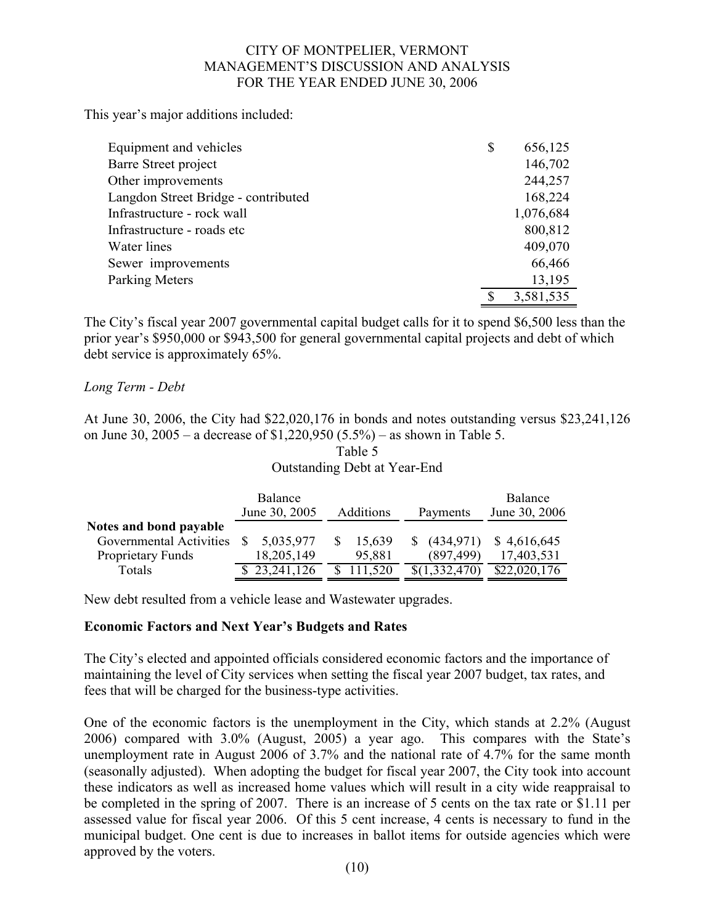This year's major additions included:

| Equipment and vehicles              | \$<br>656,125 |
|-------------------------------------|---------------|
|                                     |               |
| Barre Street project                | 146,702       |
| Other improvements                  | 244,257       |
| Langdon Street Bridge - contributed | 168,224       |
| Infrastructure - rock wall          | 1,076,684     |
| Infrastructure - roads etc          | 800,812       |
| Water lines                         | 409,070       |
| Sewer improvements                  | 66,466        |
| Parking Meters                      | 13,195        |
|                                     | 3,581,535     |

The City's fiscal year 2007 governmental capital budget calls for it to spend \$6,500 less than the prior year's \$950,000 or \$943,500 for general governmental capital projects and debt of which debt service is approximately 65%.

#### *Long Term - Debt*

At June 30, 2006, the City had \$22,020,176 in bonds and notes outstanding versus \$23,241,126 on June 30, 2005 – a decrease of \$1,220,950 (5.5%) – as shown in Table 5.

| Table 5                      |  |
|------------------------------|--|
| Outstanding Debt at Year-End |  |
|                              |  |

|                         | Balance       | Additions |               | Balance<br>June 30, 2006 |
|-------------------------|---------------|-----------|---------------|--------------------------|
|                         | June 30, 2005 |           | Payments      |                          |
| Notes and bond payable  |               |           |               |                          |
| Governmental Activities | 5,035,977     | 15,639    | \$ (434,971)  | \$4,616,645              |
| Proprietary Funds       | 18,205,149    | 95,881    | (897,499)     | 17,403,531               |
| Totals                  | 23,241,126    | 111,520   | \$(1,332,470) | \$22,020,176             |

New debt resulted from a vehicle lease and Wastewater upgrades.

#### **Economic Factors and Next Year's Budgets and Rates**

The City's elected and appointed officials considered economic factors and the importance of maintaining the level of City services when setting the fiscal year 2007 budget, tax rates, and fees that will be charged for the business-type activities.

One of the economic factors is the unemployment in the City, which stands at 2.2% (August 2006) compared with 3.0% (August, 2005) a year ago. This compares with the State's unemployment rate in August 2006 of 3.7% and the national rate of 4.7% for the same month (seasonally adjusted). When adopting the budget for fiscal year 2007, the City took into account these indicators as well as increased home values which will result in a city wide reappraisal to be completed in the spring of 2007. There is an increase of 5 cents on the tax rate or \$1.11 per assessed value for fiscal year 2006. Of this 5 cent increase, 4 cents is necessary to fund in the municipal budget. One cent is due to increases in ballot items for outside agencies which were approved by the voters.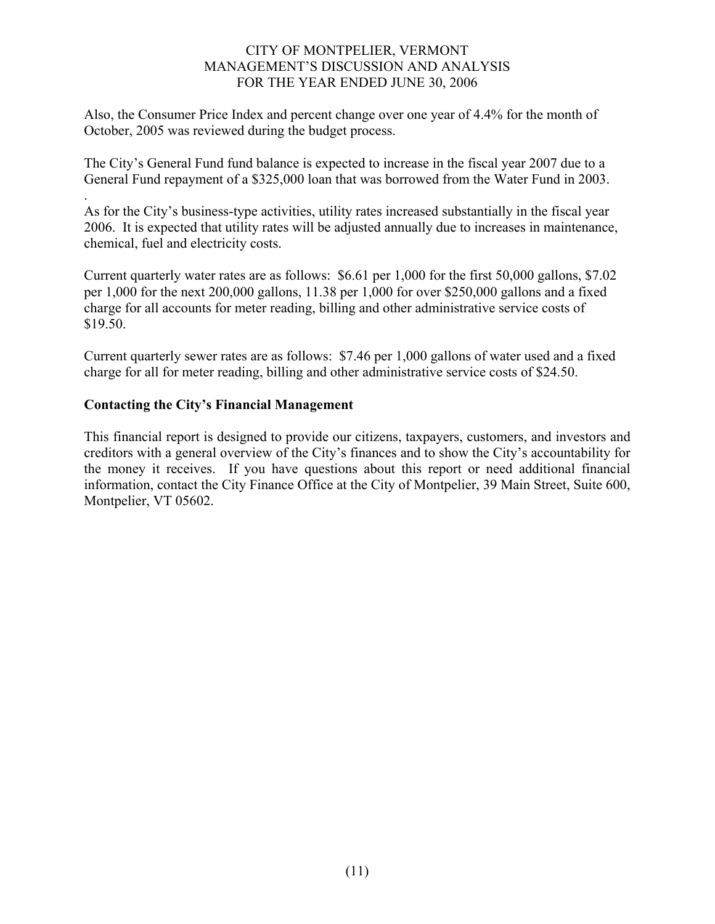Also, the Consumer Price Index and percent change over one year of 4.4% for the month of October, 2005 was reviewed during the budget process.

The City's General Fund fund balance is expected to increase in the fiscal year 2007 due to a General Fund repayment of a \$325,000 loan that was borrowed from the Water Fund in 2003.

. As for the City's business-type activities, utility rates increased substantially in the fiscal year 2006. It is expected that utility rates will be adjusted annually due to increases in maintenance, chemical, fuel and electricity costs.

Current quarterly water rates are as follows: \$6.61 per 1,000 for the first 50,000 gallons, \$7.02 per 1,000 for the next 200,000 gallons, 11.38 per 1,000 for over \$250,000 gallons and a fixed charge for all accounts for meter reading, billing and other administrative service costs of \$19.50.

Current quarterly sewer rates are as follows: \$7.46 per 1,000 gallons of water used and a fixed charge for all for meter reading, billing and other administrative service costs of \$24.50.

# **Contacting the City's Financial Management**

This financial report is designed to provide our citizens, taxpayers, customers, and investors and creditors with a general overview of the City's finances and to show the City's accountability for the money it receives. If you have questions about this report or need additional financial information, contact the City Finance Office at the City of Montpelier, 39 Main Street, Suite 600, Montpelier, VT 05602.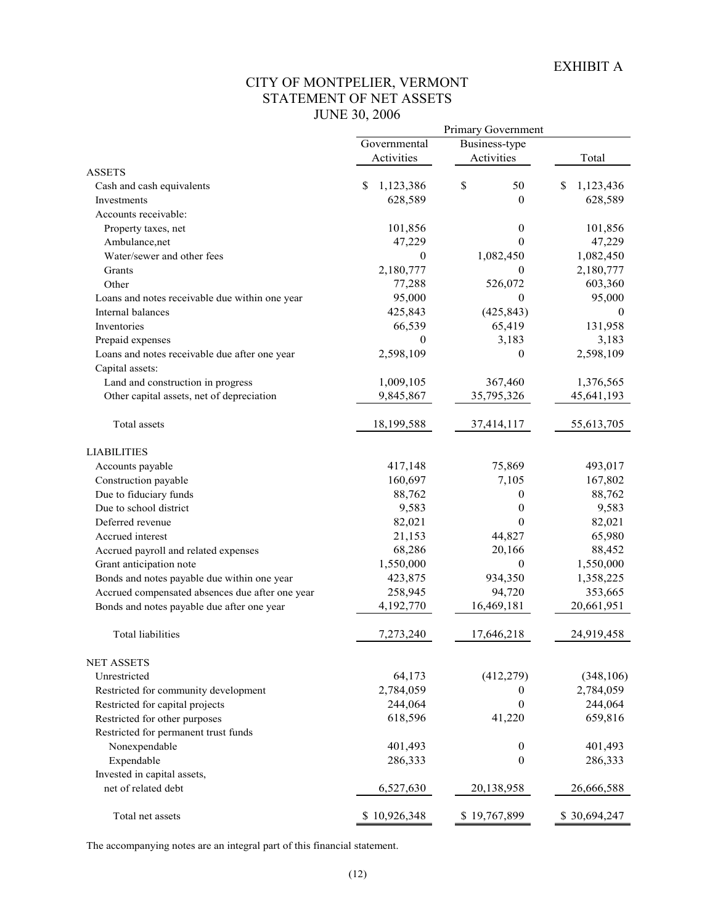# CITY OF MONTPELIER, VERMONT STATEMENT OF NET ASSETS JUNE 30, 2006

|                                                 | Primary Government |                  |                 |  |  |  |
|-------------------------------------------------|--------------------|------------------|-----------------|--|--|--|
|                                                 | Governmental       | Business-type    |                 |  |  |  |
|                                                 | Activities         | Activities       | Total           |  |  |  |
| <b>ASSETS</b>                                   |                    |                  |                 |  |  |  |
| Cash and cash equivalents                       | \$<br>1,123,386    | \$<br>50         | \$<br>1,123,436 |  |  |  |
| Investments                                     | 628,589            | $\Omega$         | 628,589         |  |  |  |
| Accounts receivable:                            |                    |                  |                 |  |  |  |
| Property taxes, net                             | 101,856            | $\mathbf{0}$     | 101,856         |  |  |  |
| Ambulance, net                                  | 47,229             | 0                | 47,229          |  |  |  |
| Water/sewer and other fees                      | $\theta$           | 1,082,450        | 1,082,450       |  |  |  |
| Grants                                          | 2,180,777          | $\overline{0}$   | 2,180,777       |  |  |  |
| Other                                           | 77,288             | 526,072          | 603,360         |  |  |  |
| Loans and notes receivable due within one year  | 95,000             | $\theta$         | 95,000          |  |  |  |
| Internal balances                               | 425,843            | (425, 843)       | $\mathbf{0}$    |  |  |  |
| Inventories                                     | 66,539             | 65,419           | 131,958         |  |  |  |
| Prepaid expenses                                | $\theta$           | 3,183            | 3,183           |  |  |  |
| Loans and notes receivable due after one year   | 2,598,109          | 0                | 2,598,109       |  |  |  |
| Capital assets:                                 |                    |                  |                 |  |  |  |
| Land and construction in progress               | 1,009,105          | 367,460          | 1,376,565       |  |  |  |
| Other capital assets, net of depreciation       | 9,845,867          | 35,795,326       | 45,641,193      |  |  |  |
|                                                 |                    |                  |                 |  |  |  |
| Total assets                                    | 18,199,588         | 37,414,117       | 55,613,705      |  |  |  |
| <b>LIABILITIES</b>                              |                    |                  |                 |  |  |  |
| Accounts payable                                | 417,148            | 75,869           | 493,017         |  |  |  |
| Construction payable                            | 160,697            | 7,105            | 167,802         |  |  |  |
| Due to fiduciary funds                          | 88,762             | 0                | 88,762          |  |  |  |
| Due to school district                          | 9,583              | 0                | 9,583           |  |  |  |
| Deferred revenue                                | 82,021             | 0                | 82,021          |  |  |  |
| Accrued interest                                | 21,153             | 44,827           | 65,980          |  |  |  |
| Accrued payroll and related expenses            | 68,286             | 20,166           | 88,452          |  |  |  |
| Grant anticipation note                         | 1,550,000          | $\Omega$         | 1,550,000       |  |  |  |
| Bonds and notes payable due within one year     | 423,875            | 934,350          | 1,358,225       |  |  |  |
| Accrued compensated absences due after one year | 258,945            | 94,720           | 353,665         |  |  |  |
| Bonds and notes payable due after one year      | 4,192,770          | 16,469,181       | 20,661,951      |  |  |  |
| <b>Total liabilities</b>                        | 7,273,240          | 17,646,218       | 24,919,458      |  |  |  |
| <b>NET ASSETS</b>                               |                    |                  |                 |  |  |  |
| Unrestricted                                    | 64,173             | (412, 279)       | (348, 106)      |  |  |  |
| Restricted for community development            | 2,784,059          | $\bf{0}$         | 2,784,059       |  |  |  |
| Restricted for capital projects                 | 244,064            | $\theta$         | 244,064         |  |  |  |
| Restricted for other purposes                   | 618,596            | 41,220           | 659,816         |  |  |  |
| Restricted for permanent trust funds            |                    |                  |                 |  |  |  |
| Nonexpendable                                   | 401,493            | $\boldsymbol{0}$ | 401,493         |  |  |  |
| Expendable                                      | 286,333            | $\boldsymbol{0}$ | 286,333         |  |  |  |
| Invested in capital assets,                     |                    |                  |                 |  |  |  |
| net of related debt                             | 6,527,630          | 20,138,958       | 26,666,588      |  |  |  |
| Total net assets                                | \$10,926,348       | \$19,767,899     | \$30,694,247    |  |  |  |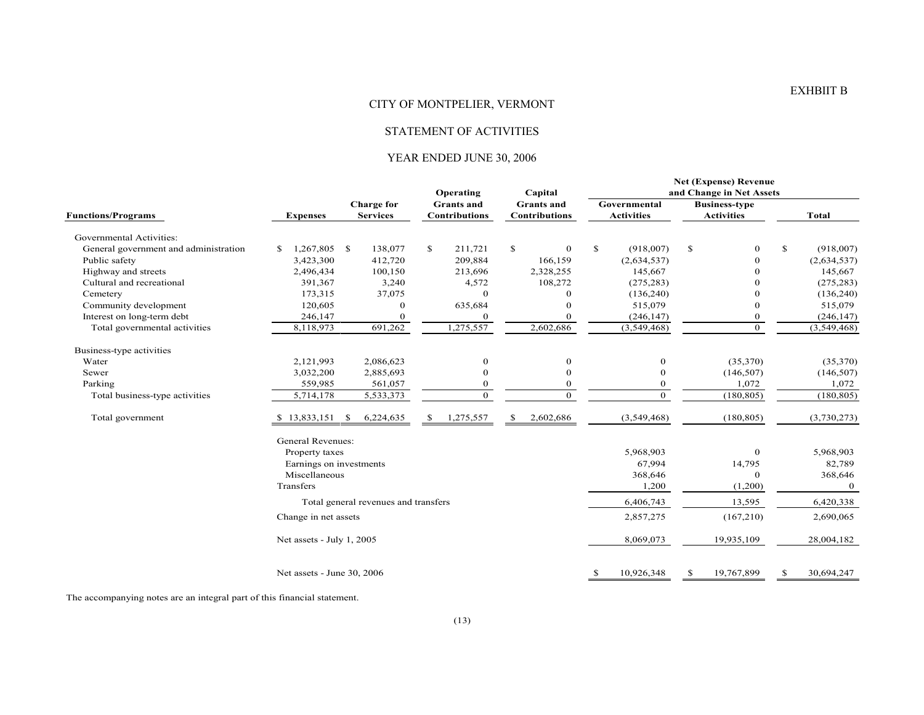EEXHBIIT B

#### CITY OF M ONTPELIER, V ERMONT

#### STATEMENT OF ACTIVITIES

#### YEAR ENDED J U N E 30, 2006

|                                       |                            |                                      | Operating            | Capital              | <b>Net (Expense) Revenue</b><br>and Change in Net Assets |                      |                             |  |  |  |  |
|---------------------------------------|----------------------------|--------------------------------------|----------------------|----------------------|----------------------------------------------------------|----------------------|-----------------------------|--|--|--|--|
|                                       |                            | <b>Charge for</b>                    | <b>Grants</b> and    | <b>Grants</b> and    | Governmental                                             | <b>Business-type</b> |                             |  |  |  |  |
| <b>Functions/Programs</b>             | <b>Expenses</b>            | <b>Services</b>                      | <b>Contributions</b> | <b>Contributions</b> | <b>Activities</b>                                        | <b>Activities</b>    | <b>Total</b>                |  |  |  |  |
| Governmental Activities:              |                            |                                      |                      |                      |                                                          |                      |                             |  |  |  |  |
| General government and administration | 1,267,805 \$<br>\$         | 138,077                              | \$<br>211,721        | \$<br>$\mathbf{0}$   | \$<br>(918,007)                                          | \$<br>$\mathbf{0}$   | \$<br>(918,007)             |  |  |  |  |
| Public safety                         | 3,423,300                  | 412,720                              | 209,884              | 166,159              | (2,634,537)                                              | 0                    | (2,634,537)                 |  |  |  |  |
| Highway and streets                   | 2,496,434                  | 100,150                              | 213,696              | 2,328,255            | 145,667                                                  | 0                    | 145,667                     |  |  |  |  |
| Cultural and recreational             | 391,367                    | 3,240                                | 4,572                | 108,272              | (275, 283)                                               | 0                    | (275, 283)                  |  |  |  |  |
| Cemetery                              | 173,315                    | 37,075                               | $\Omega$             | $\Omega$             | (136, 240)                                               | 0                    | (136, 240)                  |  |  |  |  |
| Community development                 | 120,605                    | $\Omega$                             | 635,684              | 0                    | 515,079                                                  | 0                    | 515,079                     |  |  |  |  |
| Interest on long-term debt            | 246,147                    | $\Omega$                             | $\mathbf{0}$         | $\mathbf{0}$         | (246, 147)                                               | 0                    | (246, 147)                  |  |  |  |  |
| Total governmental activities         | 8,118,973                  | 691,262                              | 1,275,557            | 2,602,686            | (3,549,468)                                              | $\overline{0}$       | (3,549,468)                 |  |  |  |  |
| Business-type activities              |                            |                                      |                      |                      |                                                          |                      |                             |  |  |  |  |
| Water                                 | 2,121,993                  | 2,086,623                            | $\mathbf{0}$         | $\bf{0}$             | $\bf{0}$                                                 | (35,370)             | (35,370)                    |  |  |  |  |
| Sewer                                 | 3,032,200                  | 2,885,693                            | $\mathbf{0}$         | $\mathbf{0}$         | $\overline{0}$                                           | (146, 507)           | (146, 507)                  |  |  |  |  |
| Parking                               | 559,985                    | 561,057                              | $\mathbf{0}$         | $\mathbf{0}$         | $\mathbf{0}$                                             | 1,072                | 1,072                       |  |  |  |  |
| Total business-type activities        | 5,714,178                  | 5,533,373                            | $\theta$             | $\Omega$             | $\Omega$                                                 | (180, 805)           | (180, 805)                  |  |  |  |  |
| Total government                      | 13,833,151<br>S.           | 6,224,635<br>\$                      | 1,275,557<br>\$      | 2,602,686<br>\$      | (3,549,468)                                              | (180, 805)           | (3,730,273)                 |  |  |  |  |
|                                       | General Revenues:          |                                      |                      |                      |                                                          |                      |                             |  |  |  |  |
|                                       | Property taxes             |                                      |                      |                      | 5,968,903                                                | $\overline{0}$       | 5,968,903                   |  |  |  |  |
|                                       | Earnings on investments    |                                      |                      |                      | 67,994                                                   | 14,795               | 82,789                      |  |  |  |  |
|                                       | Miscellaneous              |                                      |                      |                      | 368,646                                                  | 0                    | 368,646                     |  |  |  |  |
|                                       | Transfers                  |                                      |                      |                      | 1,200                                                    | (1,200)              | $\bf{0}$                    |  |  |  |  |
|                                       |                            | Total general revenues and transfers |                      |                      | 6,406,743                                                | 13,595               | 6,420,338                   |  |  |  |  |
|                                       | Change in net assets       |                                      |                      |                      | 2,857,275                                                | (167, 210)           | 2,690,065                   |  |  |  |  |
|                                       | Net assets - July 1, 2005  |                                      |                      |                      | 8,069,073                                                | 19,935,109           | 28,004,182                  |  |  |  |  |
|                                       | Net assets - June 30, 2006 |                                      |                      |                      | 10,926,348<br>\$                                         | 19,767,899<br>\$     | 30,694,247<br><sup>\$</sup> |  |  |  |  |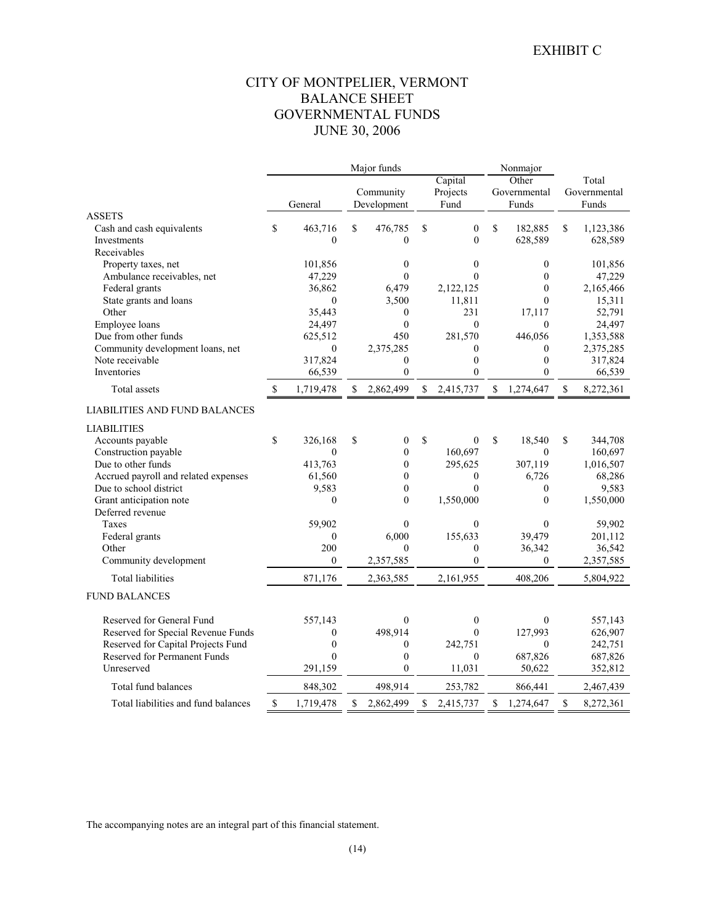#### EXHIBIT C

# CITY OF MONTPELIER, VERMONT BALANCE SHEET GOVERNMENTAL FUNDS JUNE 30, 2006

|                                      |             |                  | Major funds        |               |                  |             | Nonmajor         |             |              |
|--------------------------------------|-------------|------------------|--------------------|---------------|------------------|-------------|------------------|-------------|--------------|
|                                      |             |                  |                    |               | Capital          |             | Other            |             | Total        |
|                                      |             |                  | Community          |               | Projects         |             | Governmental     |             | Governmental |
|                                      |             | General          | Development        |               | Fund             |             | Funds            |             | Funds        |
| <b>ASSETS</b>                        |             |                  |                    |               |                  |             |                  |             |              |
| Cash and cash equivalents            | \$          | 463,716          | \$<br>476,785      | \$            | $\boldsymbol{0}$ | \$          | 182,885          | \$          | 1,123,386    |
| Investments                          |             | $\boldsymbol{0}$ | $\mathbf{0}$       |               | $\overline{0}$   |             | 628,589          |             | 628,589      |
| Receivables                          |             |                  |                    |               |                  |             |                  |             |              |
| Property taxes, net                  |             | 101,856          | $\mathbf{0}$       |               | $\overline{0}$   |             | $\theta$         |             | 101,856      |
| Ambulance receivables, net           |             | 47,229           | $\theta$           |               | 0                |             | $\theta$         |             | 47,229       |
| Federal grants                       |             | 36,862           | 6,479              |               | 2,122,125        |             | $\mathbf{0}$     |             | 2,165,466    |
| State grants and loans               |             | $\mathbf{0}$     | 3,500              |               | 11,811           |             | $\overline{0}$   |             | 15,311       |
| Other                                |             | 35,443           | $\boldsymbol{0}$   |               | 231              |             | 17,117           |             | 52,791       |
| Employee loans                       |             | 24,497           | $\theta$           |               | $\theta$         |             | $\Omega$         |             | 24,497       |
| Due from other funds                 |             | 625,512          | 450                |               | 281,570          |             | 446,056          |             | 1,353,588    |
| Community development loans, net     |             | $\mathbf{0}$     | 2,375,285          |               | 0                |             | 0                |             | 2,375,285    |
| Note receivable                      |             | 317,824          | $\boldsymbol{0}$   |               | $\overline{0}$   |             | $\boldsymbol{0}$ |             | 317,824      |
| Inventories                          |             | 66,539           | $\theta$           |               | $\theta$         |             | $\theta$         |             | 66,539       |
| Total assets                         | \$          | 1,719,478        | \$<br>2,862,499    | <sup>\$</sup> | 2,415,737        | \$          | 1,274,647        | $\mathbf S$ | 8,272,361    |
| <b>LIABILITIES AND FUND BALANCES</b> |             |                  |                    |               |                  |             |                  |             |              |
| <b>LIABILITIES</b>                   |             |                  |                    |               |                  |             |                  |             |              |
| Accounts payable                     | \$          | 326,168          | \$<br>$\mathbf{0}$ | \$            | $\theta$         | $\mathbf S$ | 18,540           | \$          | 344,708      |
| Construction payable                 |             | $\theta$         | $\theta$           |               | 160,697          |             | $\theta$         |             | 160,697      |
| Due to other funds                   |             | 413,763          | $\boldsymbol{0}$   |               | 295,625          |             | 307,119          |             | 1,016,507    |
| Accrued payroll and related expenses |             | 61,560           | $\boldsymbol{0}$   |               | $\theta$         |             | 6,726            |             | 68,286       |
| Due to school district               |             | 9,583            | $\boldsymbol{0}$   |               | $\theta$         |             | $\boldsymbol{0}$ |             | 9,583        |
| Grant anticipation note              |             | $\boldsymbol{0}$ | $\theta$           |               | 1,550,000        |             | $\theta$         |             | 1,550,000    |
| Deferred revenue                     |             |                  |                    |               |                  |             |                  |             |              |
| Taxes                                |             | 59,902           | $\theta$           |               | $\theta$         |             | $\theta$         |             | 59,902       |
| Federal grants                       |             | $\mathbf{0}$     | 6,000              |               | 155,633          |             | 39,479           |             | 201,112      |
| Other                                |             | 200              | $\Omega$           |               | $\theta$         |             | 36,342           |             | 36,542       |
| Community development                |             | $\theta$         | 2,357,585          |               | $\theta$         |             | $\theta$         |             | 2,357,585    |
| <b>Total liabilities</b>             |             | 871,176          | 2,363,585          |               | 2,161,955        |             | 408,206          |             | 5,804,922    |
| <b>FUND BALANCES</b>                 |             |                  |                    |               |                  |             |                  |             |              |
| Reserved for General Fund            |             | 557,143          | $\mathbf{0}$       |               | $\boldsymbol{0}$ |             | $\boldsymbol{0}$ |             | 557,143      |
| Reserved for Special Revenue Funds   |             | $\boldsymbol{0}$ | 498,914            |               | $\theta$         |             | 127,993          |             | 626,907      |
| Reserved for Capital Projects Fund   |             | $\mathbf{0}$     | $\mathbf{0}$       |               | 242,751          |             | $\theta$         |             | 242,751      |
| <b>Reserved for Permanent Funds</b>  |             | $\theta$         | $\theta$           |               | $\theta$         |             | 687,826          |             | 687,826      |
| Unreserved                           |             | 291,159          | $\theta$           |               | 11,031           |             | 50,622           |             | 352,812      |
| Total fund balances                  |             | 848,302          | 498,914            |               | 253,782          |             | 866,441          |             | 2,467,439    |
| Total liabilities and fund balances  | $\mathbf S$ | 1,719,478        | \$<br>2,862,499    | <sup>\$</sup> | 2,415,737        | S           | 1,274,647        | $\mathbf S$ | 8,272,361    |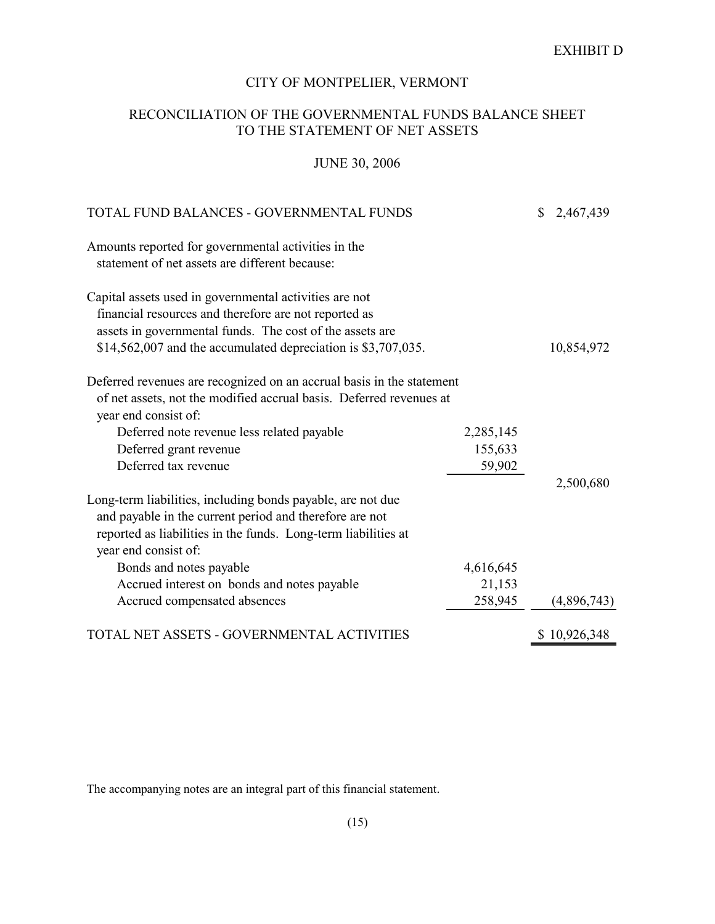# CITY OF MONTPELIER, VERMONT

# RECONCILIATION OF THE GOVERNMENTAL FUNDS BALANCE SHEET TO THE STATEMENT OF NET ASSETS

# JUNE 30, 2006

| TOTAL FUND BALANCES - GOVERNMENTAL FUNDS                                                              | \$<br>2,467,439 |
|-------------------------------------------------------------------------------------------------------|-----------------|
| Amounts reported for governmental activities in the<br>statement of net assets are different because: |                 |
| Capital assets used in governmental activities are not                                                |                 |
| financial resources and therefore are not reported as                                                 |                 |
| assets in governmental funds. The cost of the assets are                                              |                 |
| $$14,562,007$ and the accumulated depreciation is \$3,707,035.                                        | 10,854,972      |
| Deferred revenues are recognized on an accrual basis in the statement                                 |                 |
| of net assets, not the modified accrual basis. Deferred revenues at<br>year end consist of:           |                 |
| Deferred note revenue less related payable<br>2,285,145                                               |                 |
| Deferred grant revenue<br>155,633                                                                     |                 |
| Deferred tax revenue<br>59,902                                                                        |                 |
|                                                                                                       | 2,500,680       |
| Long-term liabilities, including bonds payable, are not due                                           |                 |
| and payable in the current period and therefore are not                                               |                 |
| reported as liabilities in the funds. Long-term liabilities at                                        |                 |
| year end consist of:                                                                                  |                 |
| Bonds and notes payable<br>4,616,645                                                                  |                 |
| 21,153<br>Accrued interest on bonds and notes payable                                                 |                 |
| 258,945<br>Accrued compensated absences                                                               | (4,896,743)     |
| TOTAL NET ASSETS - GOVERNMENTAL ACTIVITIES                                                            | \$10,926,348    |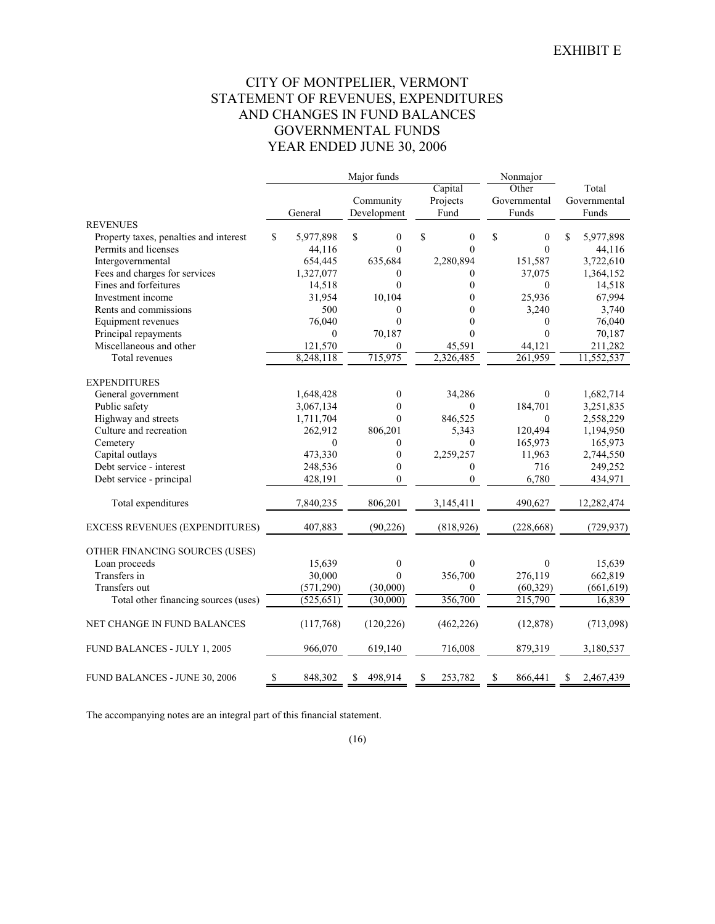# CITY OF MONTPELIER, VERMONT STATEMENT OF REVENUES, EXPENDITURES AND CHANGES IN FUND BALANCES GOVERNMENTAL FUNDS YEAR ENDED JUNE 30, 2006

|                                        |                  | Major funds      |                    | Nonmajor           |                 |  |
|----------------------------------------|------------------|------------------|--------------------|--------------------|-----------------|--|
|                                        |                  |                  | Capital            | Other              | Total           |  |
|                                        |                  | Community        | Projects           | Governmental       | Governmental    |  |
|                                        | General          | Development      | Fund               | Funds              | Funds           |  |
| <b>REVENUES</b>                        |                  |                  |                    |                    |                 |  |
| Property taxes, penalties and interest | \$<br>5,977,898  | \$<br>$\theta$   | \$<br>$\mathbf{0}$ | \$<br>$\mathbf{0}$ | \$<br>5,977,898 |  |
| Permits and licenses                   | 44,116           | $\theta$         | $\Omega$           | $\Omega$           | 44,116          |  |
| Intergovernmental                      | 654,445          | 635,684          | 2,280,894          | 151,587            | 3,722,610       |  |
| Fees and charges for services          | 1,327,077        | $\theta$         | $\mathbf{0}$       | 37,075             | 1,364,152       |  |
| Fines and forfeitures                  | 14,518           | $\Omega$         | $\mathbf{0}$       | $\mathbf{0}$       | 14,518          |  |
| Investment income                      | 31,954           | 10,104           | $\mathbf{0}$       | 25,936             | 67,994          |  |
| Rents and commissions                  | 500              | $\mathbf{0}$     | $\mathbf{0}$       | 3,240              | 3,740           |  |
| Equipment revenues                     | 76,040           | $\theta$         | $\theta$           | $\mathbf{0}$       | 76,040          |  |
| Principal repayments                   | $\theta$         | 70,187           | $\theta$           | $\theta$           | 70,187          |  |
| Miscellaneous and other                | 121,570          | $\mathbf{0}$     | 45,591             | 44,121             | 211,282         |  |
| Total revenues                         | 8,248,118        | 715,975          | 2,326,485          | 261,959            | 11,552,537      |  |
| <b>EXPENDITURES</b>                    |                  |                  |                    |                    |                 |  |
| General government                     | 1,648,428        | $\boldsymbol{0}$ | 34,286             | $\boldsymbol{0}$   | 1,682,714       |  |
| Public safety                          | 3,067,134        | $\mathbf{0}$     | $\theta$           | 184,701            | 3,251,835       |  |
| Highway and streets                    | 1,711,704        | $\theta$         | 846,525            | $\mathbf{0}$       | 2,558,229       |  |
| Culture and recreation                 | 262,912          | 806,201          | 5,343              | 120,494            | 1,194,950       |  |
| Cemetery                               | $\boldsymbol{0}$ | $\mathbf{0}$     | $\theta$           | 165,973            | 165,973         |  |
| Capital outlays                        | 473,330          | $\boldsymbol{0}$ | 2,259,257          | 11,963             | 2,744,550       |  |
| Debt service - interest                | 248,536          | $\mathbf{0}$     | $\theta$           | 716                | 249,252         |  |
| Debt service - principal               | 428,191          | $\theta$         | $\theta$           | 6,780              | 434,971         |  |
|                                        |                  |                  |                    |                    |                 |  |
| Total expenditures                     | 7,840,235        | 806,201          | 3,145,411          | 490,627            | 12,282,474      |  |
| EXCESS REVENUES (EXPENDITURES)         | 407,883          | (90, 226)        | (818,926)          | (228, 668)         | (729, 937)      |  |
| OTHER FINANCING SOURCES (USES)         |                  |                  |                    |                    |                 |  |
| Loan proceeds                          | 15,639           | $\mathbf{0}$     | $\theta$           | $\mathbf{0}$       | 15,639          |  |
| Transfers in                           | 30,000           | $\Omega$         | 356,700            | 276,119            | 662,819         |  |
| Transfers out                          | (571, 290)       | (30,000)         | $\boldsymbol{0}$   | (60, 329)          | (661, 619)      |  |
| Total other financing sources (uses)   | (525, 651)       | (30,000)         | 356,700            | 215,790            | 16,839          |  |
|                                        |                  |                  |                    |                    |                 |  |
| <b>NET CHANGE IN FUND BALANCES</b>     | (117,768)        | (120, 226)       | (462, 226)         | (12, 878)          | (713,098)       |  |
| FUND BALANCES - JULY 1, 2005           | 966,070          | 619,140          | 716,008            | 879,319            | 3,180,537       |  |
| FUND BALANCES - JUNE 30, 2006          | \$<br>848,302    | 498,914<br>S     | 253,782<br>\$      | \$<br>866,441      | 2,467,439<br>S  |  |
|                                        |                  |                  |                    |                    |                 |  |

The accompanying notes are an integral part of this financial statement.

(16)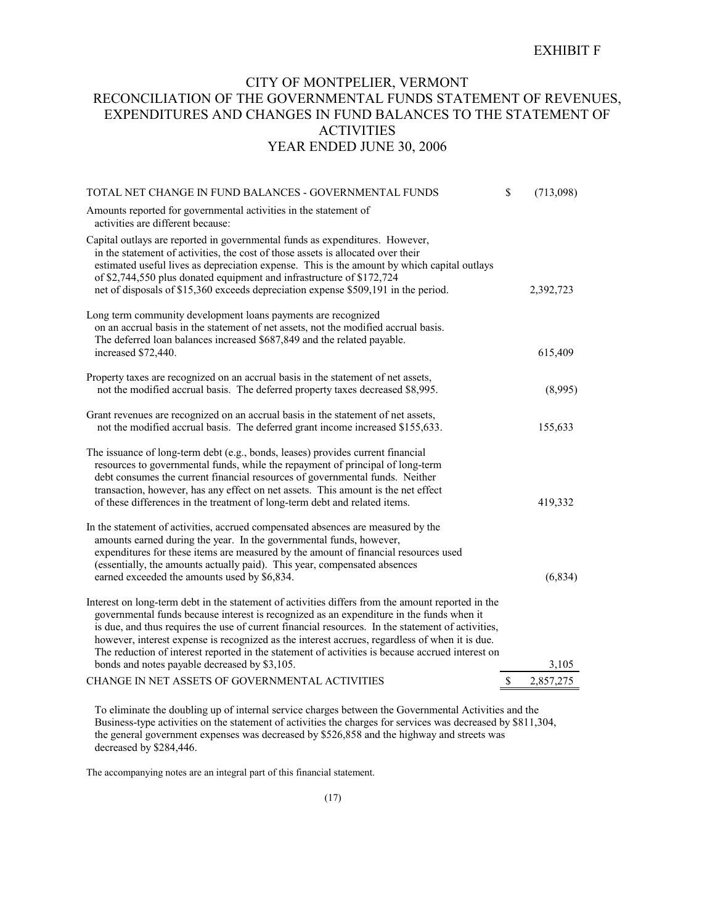#### EXHIBIT F

# CITY OF MONTPELIER, VERMONT RECONCILIATION OF THE GOVERNMENTAL FUNDS STATEMENT OF REVENUES, EXPENDITURES AND CHANGES IN FUND BALANCES TO THE STATEMENT OF ACTIVITIES YEAR ENDED JUNE 30, 2006

| TOTAL NET CHANGE IN FUND BALANCES - GOVERNMENTAL FUNDS                                                                                                                                                                                                                                                                                                                                                                                                                                                                                                    | \$           | (713,098) |
|-----------------------------------------------------------------------------------------------------------------------------------------------------------------------------------------------------------------------------------------------------------------------------------------------------------------------------------------------------------------------------------------------------------------------------------------------------------------------------------------------------------------------------------------------------------|--------------|-----------|
| Amounts reported for governmental activities in the statement of<br>activities are different because:                                                                                                                                                                                                                                                                                                                                                                                                                                                     |              |           |
| Capital outlays are reported in governmental funds as expenditures. However,<br>in the statement of activities, the cost of those assets is allocated over their<br>estimated useful lives as depreciation expense. This is the amount by which capital outlays<br>of \$2,744,550 plus donated equipment and infrastructure of \$172,724<br>net of disposals of \$15,360 exceeds depreciation expense \$509,191 in the period.                                                                                                                            |              | 2,392,723 |
| Long term community development loans payments are recognized<br>on an accrual basis in the statement of net assets, not the modified accrual basis.<br>The deferred loan balances increased \$687,849 and the related payable.<br>increased \$72,440.                                                                                                                                                                                                                                                                                                    |              | 615,409   |
| Property taxes are recognized on an accrual basis in the statement of net assets,<br>not the modified accrual basis. The deferred property taxes decreased \$8,995.                                                                                                                                                                                                                                                                                                                                                                                       |              | (8,995)   |
| Grant revenues are recognized on an accrual basis in the statement of net assets,<br>not the modified accrual basis. The deferred grant income increased \$155,633.                                                                                                                                                                                                                                                                                                                                                                                       |              | 155,633   |
| The issuance of long-term debt (e.g., bonds, leases) provides current financial<br>resources to governmental funds, while the repayment of principal of long-term<br>debt consumes the current financial resources of governmental funds. Neither<br>transaction, however, has any effect on net assets. This amount is the net effect<br>of these differences in the treatment of long-term debt and related items.                                                                                                                                      |              | 419,332   |
| In the statement of activities, accrued compensated absences are measured by the<br>amounts earned during the year. In the governmental funds, however,<br>expenditures for these items are measured by the amount of financial resources used<br>(essentially, the amounts actually paid). This year, compensated absences<br>earned exceeded the amounts used by \$6,834.                                                                                                                                                                               |              | (6, 834)  |
| Interest on long-term debt in the statement of activities differs from the amount reported in the<br>governmental funds because interest is recognized as an expenditure in the funds when it<br>is due, and thus requires the use of current financial resources. In the statement of activities,<br>however, interest expense is recognized as the interest accrues, regardless of when it is due.<br>The reduction of interest reported in the statement of activities is because accrued interest on<br>bonds and notes payable decreased by \$3,105. |              | 3,105     |
| CHANGE IN NET ASSETS OF GOVERNMENTAL ACTIVITIES                                                                                                                                                                                                                                                                                                                                                                                                                                                                                                           | $\mathbb{S}$ | 2,857,275 |
|                                                                                                                                                                                                                                                                                                                                                                                                                                                                                                                                                           |              |           |

To eliminate the doubling up of internal service charges between the Governmental Activities and the Business-type activities on the statement of activities the charges for services was decreased by \$811,304, the general government expenses was decreased by \$526,858 and the highway and streets was decreased by \$284,446.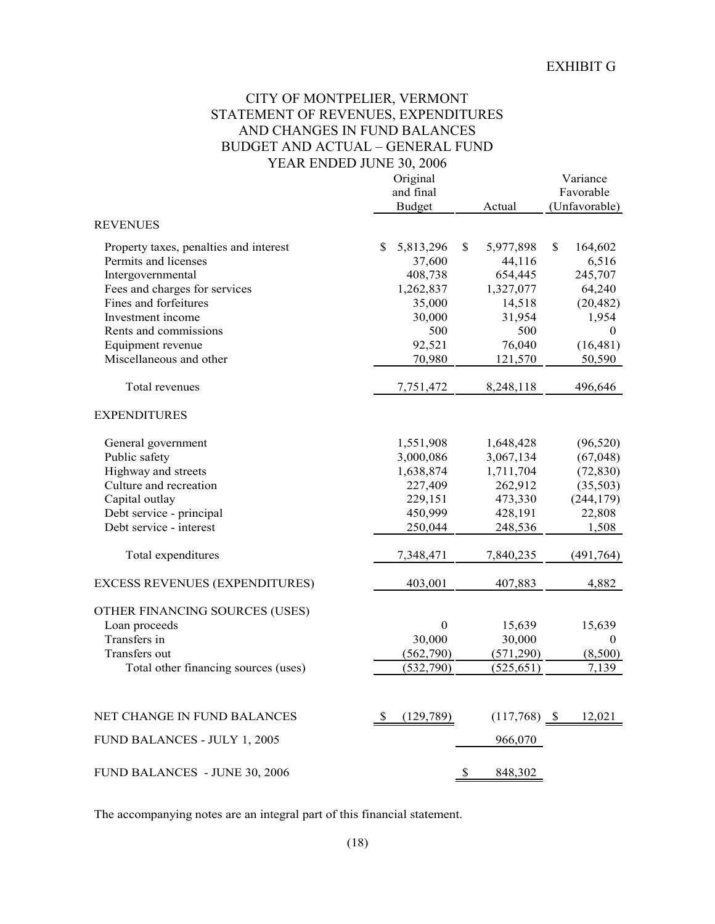# CITY OF MONTPELIER, VERMONT STATEMENT OF REVENUES, EXPENDITURES AND CHANGES IN FUND BALANCES BUDGET AND ACTUAL – GENERAL FUND YEAR ENDED JUNE 30, 2006

|                                        | Original<br>and final |                 | Variance<br>Favorable |
|----------------------------------------|-----------------------|-----------------|-----------------------|
|                                        | <b>Budget</b>         | Actual          | (Unfavorable)         |
| <b>REVENUES</b>                        |                       |                 |                       |
| Property taxes, penalties and interest | 5,813,296<br>\$       | \$<br>5,977,898 | \$<br>164,602         |
| Permits and licenses                   | 37,600                | 44,116          | 6,516                 |
| Intergovernmental                      | 408,738               | 654,445         | 245,707               |
| Fees and charges for services          | 1,262,837             | 1,327,077       | 64,240                |
| Fines and forfeitures                  | 35,000                | 14,518          | (20, 482)             |
| Investment income                      | 30,000                | 31,954          | 1,954                 |
| Rents and commissions                  | 500                   | 500             | $\theta$              |
| Equipment revenue                      | 92,521                | 76,040          | (16, 481)             |
| Miscellaneous and other                | 70,980                | 121,570         | 50,590                |
| Total revenues                         | 7,751,472             | 8,248,118       | 496,646               |
| <b>EXPENDITURES</b>                    |                       |                 |                       |
| General government                     | 1,551,908             | 1,648,428       | (96, 520)             |
| Public safety                          | 3,000,086             | 3,067,134       | (67, 048)             |
| Highway and streets                    | 1,638,874             | 1,711,704       | (72, 830)             |
| Culture and recreation                 | 227,409               | 262,912         | (35,503)              |
| Capital outlay                         | 229,151               | 473,330         | (244, 179)            |
| Debt service - principal               | 450,999               | 428,191         | 22,808                |
| Debt service - interest                | 250,044               | 248,536         | 1,508                 |
| Total expenditures                     | 7,348,471             | 7,840,235       | (491,764)             |
| <b>EXCESS REVENUES (EXPENDITURES)</b>  | 403,001               | 407,883         | 4,882                 |
| OTHER FINANCING SOURCES (USES)         |                       |                 |                       |
| Loan proceeds                          | $\boldsymbol{0}$      | 15,639          | 15,639                |
| Transfers in                           | 30,000                | 30,000          | $\mathbf{0}$          |
| Transfers out                          | (562,790)             | (571, 290)      | (8,500)               |
| Total other financing sources (uses)   | (532,790)             | (525, 651)      | 7,139                 |
|                                        |                       |                 |                       |
| NET CHANGE IN FUND BALANCES            | \$<br>(129, 789)      | $(117,768)$ \$  | 12,021                |
| FUND BALANCES - JULY 1, 2005           |                       | 966,070         |                       |
| FUND BALANCES - JUNE 30, 2006          |                       | \$<br>848,302   |                       |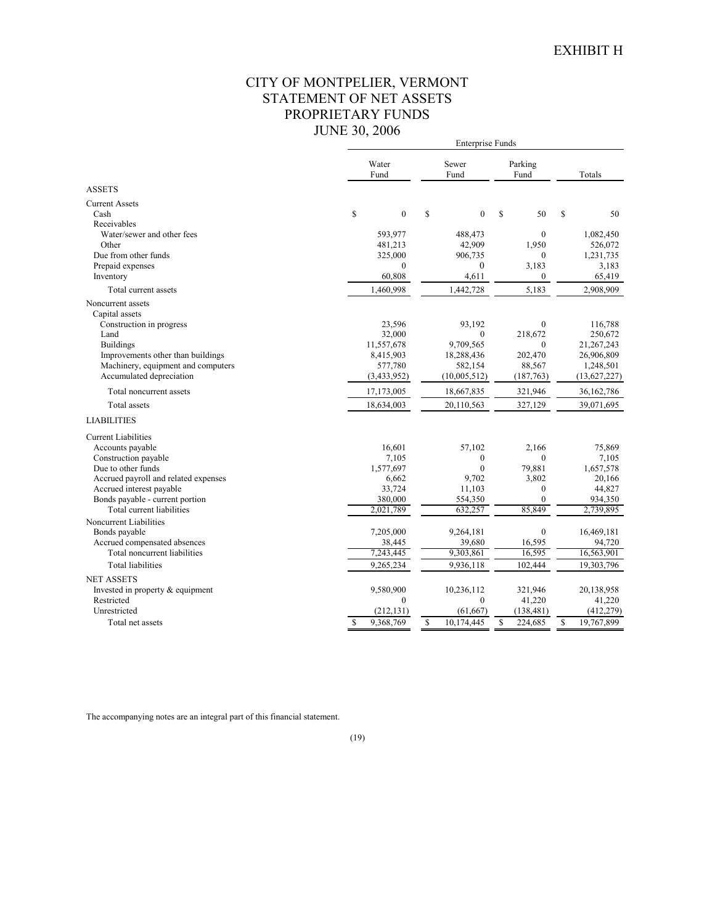#### EXHIBIT H

# CITY OF MONTPELIER, VERMONT STATEMENT OF NET ASSETS PROPRIETARY FUNDS JUNE 30, 2006

|                                                                                                     |                                     | <b>Enterprise Funds</b>               |                                       |                                         |  |  |  |
|-----------------------------------------------------------------------------------------------------|-------------------------------------|---------------------------------------|---------------------------------------|-----------------------------------------|--|--|--|
|                                                                                                     | Water<br>Fund                       | Sewer<br>Fund                         | Parking<br>Fund                       | Totals                                  |  |  |  |
| <b>ASSETS</b>                                                                                       |                                     |                                       |                                       |                                         |  |  |  |
| <b>Current Assets</b><br>Cash<br>Receivables                                                        | \$<br>$\mathbf{0}$                  | S<br>$\mathbf{0}$                     | \$<br>50                              | S<br>50                                 |  |  |  |
| Water/sewer and other fees<br>Other                                                                 | 593,977<br>481,213                  | 488,473<br>42,909                     | $\theta$<br>1,950                     | 1,082,450<br>526,072                    |  |  |  |
| Due from other funds<br>Prepaid expenses<br>Inventory                                               | 325,000<br>$\mathbf{0}$<br>60,808   | 906,735<br>0<br>4,611                 | $\mathbf{0}$<br>3,183<br>$\mathbf{0}$ | 1,231,735<br>3,183<br>65,419            |  |  |  |
| Total current assets                                                                                | 1,460,998                           | 1,442,728                             | 5,183                                 | 2,908,909                               |  |  |  |
| Noncurrent assets<br>Capital assets                                                                 |                                     |                                       |                                       |                                         |  |  |  |
| Construction in progress<br>Land<br><b>Buildings</b>                                                | 23,596<br>32,000<br>11,557,678      | 93,192<br>$\theta$<br>9,709,565       | $\mathbf{0}$<br>218,672<br>$\Omega$   | 116,788<br>250.672<br>21, 267, 243      |  |  |  |
| Improvements other than buildings<br>Machinery, equipment and computers<br>Accumulated depreciation | 8,415,903<br>577,780<br>(3,433,952) | 18,288,436<br>582,154<br>(10,005,512) | 202,470<br>88,567<br>(187,763)        | 26,906,809<br>1,248,501<br>(13,627,227) |  |  |  |
| Total noncurrent assets                                                                             | 17, 173, 005                        | 18,667,835                            | 321,946                               | 36, 162, 786                            |  |  |  |
| Total assets                                                                                        | 18,634,003                          | 20,110,563                            | 327,129                               | 39,071,695                              |  |  |  |
| <b>LIABILITIES</b>                                                                                  |                                     |                                       |                                       |                                         |  |  |  |
| <b>Current Liabilities</b>                                                                          |                                     |                                       |                                       |                                         |  |  |  |
| Accounts payable<br>Construction payable                                                            | 16.601<br>7,105                     | 57,102<br>$\mathbf{0}$                | 2,166<br>$\theta$                     | 75,869<br>7,105                         |  |  |  |
| Due to other funds                                                                                  | 1,577,697                           | $\theta$                              | 79,881                                | 1,657,578                               |  |  |  |
| Accrued payroll and related expenses                                                                | 6,662                               | 9,702                                 | 3.802                                 | 20,166                                  |  |  |  |
| Accrued interest payable                                                                            | 33,724                              | 11,103                                | $\mathbf{0}$                          | 44,827                                  |  |  |  |
| Bonds payable - current portion<br>Total current liabilities                                        | 380,000<br>2,021,789                | 554,350<br>632,257                    | $\mathbf{0}$<br>85,849                | 934,350<br>2,739,895                    |  |  |  |
| Noncurrent Liabilities                                                                              |                                     |                                       |                                       |                                         |  |  |  |
| Bonds payable                                                                                       | 7,205,000                           | 9,264,181                             | $\mathbf{0}$                          | 16,469,181                              |  |  |  |
| Accrued compensated absences                                                                        | 38,445                              | 39,680                                | 16,595                                | 94,720                                  |  |  |  |
| Total noncurrent liabilities                                                                        | 7,243,445                           | 9,303,861                             | 16,595                                | 16,563,901                              |  |  |  |
| <b>Total liabilities</b>                                                                            | 9,265,234                           | 9,936,118                             | 102.444                               | 19.303.796                              |  |  |  |
| <b>NET ASSETS</b>                                                                                   |                                     |                                       |                                       |                                         |  |  |  |
| Invested in property & equipment<br>Restricted                                                      | 9,580,900<br>$\theta$               | 10,236,112<br>$\Omega$                | 321,946                               | 20,138,958                              |  |  |  |
| Unrestricted                                                                                        | (212, 131)                          | (61, 667)                             | 41,220<br>(138, 481)                  | 41,220<br>(412, 279)                    |  |  |  |
| Total net assets                                                                                    | \$<br>9,368,769                     | <b>S</b><br>10,174,445                | \$<br>224,685                         | $\mathbf S$<br>19,767,899               |  |  |  |
|                                                                                                     |                                     |                                       |                                       |                                         |  |  |  |

The accompanying notes are an integral part of this financial statement.

(19)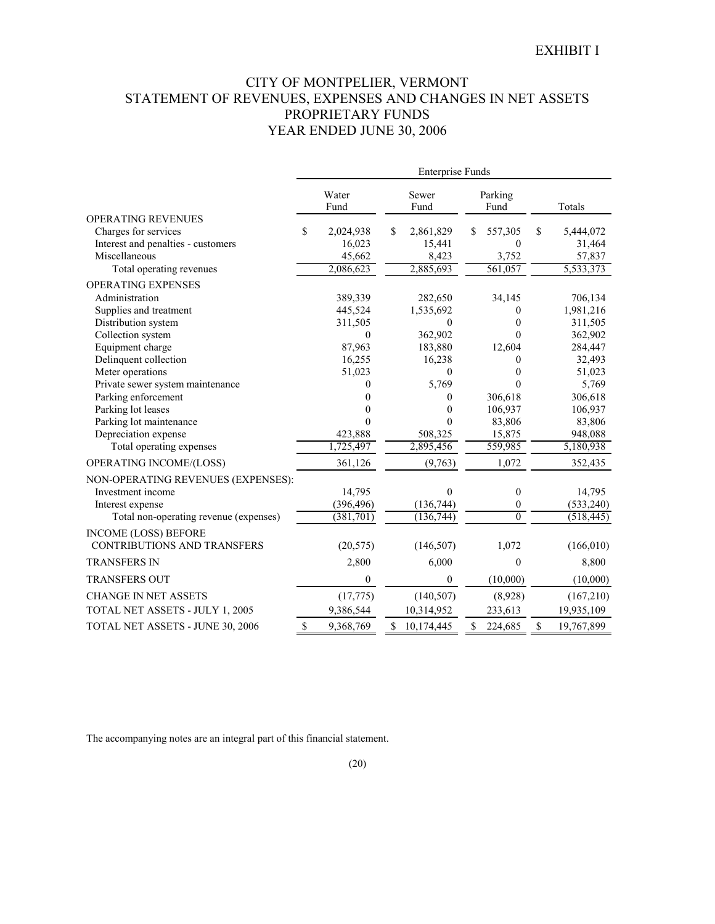# CITY OF MONTPELIER, VERMONT STATEMENT OF REVENUES, EXPENSES AND CHANGES IN NET ASSETS PROPRIETARY FUNDS YEAR ENDED JUNE 30, 2006

|                                        | <b>Enterprise Funds</b> |                |    |                  |    |                  |    |                        |
|----------------------------------------|-------------------------|----------------|----|------------------|----|------------------|----|------------------------|
|                                        |                         | Water<br>Fund  |    | Sewer<br>Fund    |    | Parking<br>Fund  |    | Totals                 |
| <b>OPERATING REVENUES</b>              |                         |                |    |                  |    |                  |    |                        |
| Charges for services                   | \$                      | 2,024,938      | \$ | 2,861,829        | S  | 557,305          | \$ | 5,444,072              |
| Interest and penalties - customers     |                         | 16,023         |    | 15,441           |    | $\boldsymbol{0}$ |    | 31,464                 |
| Miscellaneous                          |                         | 45,662         |    | 8,423            |    | 3,752            |    | 57,837                 |
| Total operating revenues               |                         | 2,086,623      |    | 2,885,693        |    | 561,057          |    | 5,533,373              |
| <b>OPERATING EXPENSES</b>              |                         |                |    |                  |    |                  |    |                        |
| Administration                         |                         | 389,339        |    | 282,650          |    | 34,145           |    | 706,134                |
| Supplies and treatment                 |                         | 445,524        |    | 1,535,692        |    | 0                |    | 1,981,216              |
| Distribution system                    |                         | 311,505        |    | $\theta$         |    | $\boldsymbol{0}$ |    | 311,505                |
| Collection system                      |                         | $\theta$       |    | 362,902          |    | $\theta$         |    | 362,902                |
| Equipment charge                       |                         | 87,963         |    | 183,880          |    | 12,604           |    | 284,447                |
| Delinquent collection                  |                         | 16,255         |    | 16,238           |    | $\theta$         |    | 32,493                 |
| Meter operations                       |                         | 51,023         |    | $\boldsymbol{0}$ |    | $\boldsymbol{0}$ |    | 51,023                 |
| Private sewer system maintenance       |                         | 0              |    | 5,769            |    | $\theta$         |    | 5,769                  |
| Parking enforcement                    |                         | 0              |    | 0                |    | 306,618          |    | 306,618                |
| Parking lot leases                     |                         | 0              |    | $\boldsymbol{0}$ |    | 106,937          |    | 106,937                |
| Parking lot maintenance                |                         | $\Omega$       |    | $\Omega$         |    | 83,806           |    | 83,806                 |
| Depreciation expense                   |                         | 423,888        |    | 508,325          |    | 15,875           |    | 948,088                |
| Total operating expenses               |                         | 1,725,497      |    | 2,895,456        |    | 559,985          |    | 5,180,938              |
| OPERATING INCOME/(LOSS)                |                         | 361,126        |    | (9,763)          |    | 1,072            |    | 352,435                |
| NON-OPERATING REVENUES (EXPENSES):     |                         |                |    |                  |    |                  |    |                        |
| Investment income                      |                         | 14,795         |    | $\boldsymbol{0}$ |    | $\boldsymbol{0}$ |    | 14,795                 |
| Interest expense                       |                         | (396, 496)     |    | (136, 744)       |    | $\mathbf{0}$     |    | (533, 240)             |
| Total non-operating revenue (expenses) |                         | (381,701)      |    | (136, 744)       |    | $\overline{0}$   |    | $\overline{(518,445)}$ |
| <b>INCOME (LOSS) BEFORE</b>            |                         |                |    |                  |    |                  |    |                        |
| <b>CONTRIBUTIONS AND TRANSFERS</b>     |                         | (20, 575)      |    | (146, 507)       |    | 1,072            |    | (166, 010)             |
| <b>TRANSFERS IN</b>                    |                         | 2,800          |    | 6,000            |    | $\boldsymbol{0}$ |    | 8,800                  |
| <b>TRANSFERS OUT</b>                   |                         | $\overline{0}$ |    | $\mathbf{0}$     |    | (10,000)         |    | (10,000)               |
| <b>CHANGE IN NET ASSETS</b>            |                         | (17, 775)      |    | (140, 507)       |    | (8,928)          |    | (167,210)              |
| TOTAL NET ASSETS - JULY 1, 2005        |                         | 9,386,544      |    | 10,314,952       |    | 233,613          |    | 19,935,109             |
| TOTAL NET ASSETS - JUNE 30, 2006       | \$                      | 9,368,769      | \$ | 10,174,445       | \$ | 224,685          | \$ | 19,767,899             |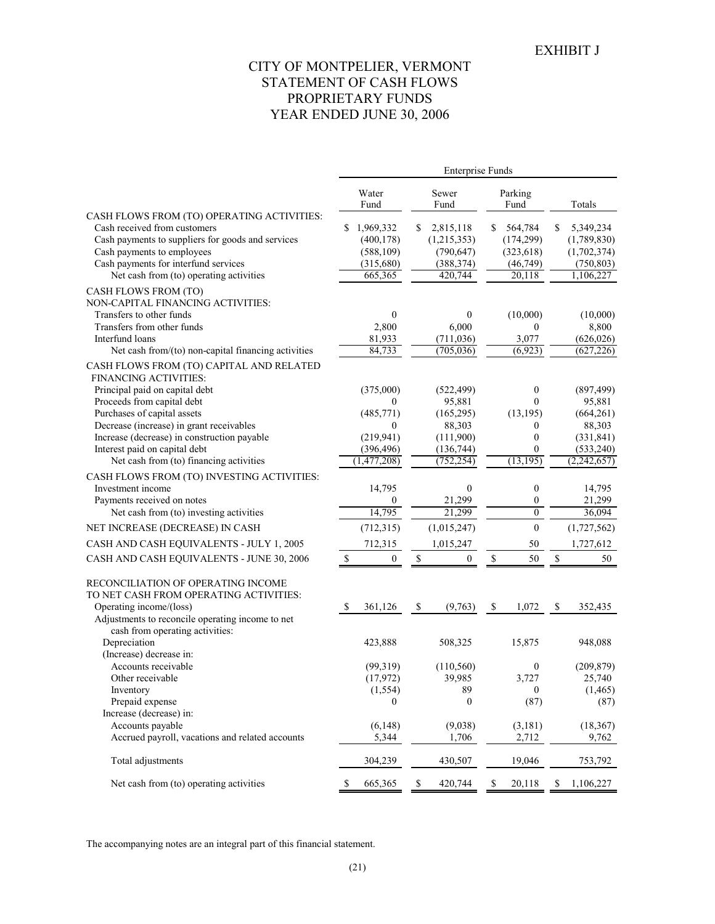# CITY OF MONTPELIER, VERMONT STATEMENT OF CASH FLOWS PROPRIETARY FUNDS YEAR ENDED JUNE 30, 2006

|                                                                                     | <b>Enterprise Funds</b> |                  |    |                  |              |                  |             |               |
|-------------------------------------------------------------------------------------|-------------------------|------------------|----|------------------|--------------|------------------|-------------|---------------|
|                                                                                     |                         | Water<br>Fund    |    | Sewer<br>Fund    |              | Parking<br>Fund  |             | Totals        |
| CASH FLOWS FROM (TO) OPERATING ACTIVITIES:                                          |                         |                  |    |                  |              |                  |             |               |
| Cash received from customers                                                        |                         | \$1,969,332      | S. | 2,815,118        | S.           | 564,784          | \$          | 5,349,234     |
| Cash payments to suppliers for goods and services                                   |                         | (400, 178)       |    | (1,215,353)      |              | (174, 299)       |             | (1,789,830)   |
| Cash payments to employees                                                          |                         | (588, 109)       |    | (790, 647)       |              | (323, 618)       |             | (1,702,374)   |
| Cash payments for interfund services                                                |                         | (315,680)        |    | (388, 374)       |              | (46,749)         |             | (750, 803)    |
| Net cash from (to) operating activities                                             |                         | 665,365          |    | 420,744          |              | 20,118           |             | 1,106,227     |
| CASH FLOWS FROM (TO)                                                                |                         |                  |    |                  |              |                  |             |               |
| NON-CAPITAL FINANCING ACTIVITIES:                                                   |                         |                  |    |                  |              |                  |             |               |
| Transfers to other funds                                                            |                         | $\boldsymbol{0}$ |    | 0                |              | (10,000)         |             | (10,000)      |
| Transfers from other funds                                                          |                         | 2,800            |    | 6,000            |              | $\theta$         |             | 8,800         |
| Interfund loans                                                                     |                         | 81,933           |    | (711, 036)       |              | 3,077            |             | (626, 026)    |
| Net cash from/(to) non-capital financing activities                                 |                         | 84,733           |    | (705, 036)       |              | (6,923)          |             | (627, 226)    |
| CASH FLOWS FROM (TO) CAPITAL AND RELATED<br><b>FINANCING ACTIVITIES:</b>            |                         |                  |    |                  |              |                  |             |               |
| Principal paid on capital debt                                                      |                         | (375,000)        |    | (522, 499)       |              | $\overline{0}$   |             | (897, 499)    |
| Proceeds from capital debt                                                          |                         | 0                |    | 95,881           |              | $\theta$         |             | 95,881        |
| Purchases of capital assets                                                         |                         | (485, 771)       |    | (165, 295)       |              | (13, 195)        |             | (664, 261)    |
| Decrease (increase) in grant receivables                                            |                         | 0                |    | 88,303           |              | 0                |             | 88,303        |
| Increase (decrease) in construction payable                                         |                         | (219, 941)       |    | (111,900)        |              | $\mathbf{0}$     |             | (331, 841)    |
| Interest paid on capital debt                                                       |                         | (396, 496)       |    | (136, 744)       |              | $\theta$         |             | (533,240)     |
| Net cash from (to) financing activities                                             |                         | (1, 477, 208)    |    | (752, 254)       |              | (13, 195)        |             | (2, 242, 657) |
| CASH FLOWS FROM (TO) INVESTING ACTIVITIES:                                          |                         |                  |    |                  |              |                  |             |               |
| Investment income                                                                   |                         | 14,795           |    | $\boldsymbol{0}$ |              | $\boldsymbol{0}$ |             | 14,795        |
| Payments received on notes                                                          |                         | $\boldsymbol{0}$ |    | 21,299           |              | $\boldsymbol{0}$ |             | 21,299        |
| Net cash from (to) investing activities                                             |                         | 14,795           |    | 21,299           |              | $\theta$         |             | 36,094        |
| NET INCREASE (DECREASE) IN CASH                                                     |                         | (712, 315)       |    | (1,015,247)      |              | $\boldsymbol{0}$ |             | (1,727,562)   |
| CASH AND CASH EQUIVALENTS - JULY 1, 2005                                            |                         | 712,315          |    | 1,015,247        |              | 50               |             | 1,727,612     |
| CASH AND CASH EQUIVALENTS - JUNE 30, 2006                                           | $\mathbb{S}$            | $\boldsymbol{0}$ | \$ | $\boldsymbol{0}$ | $\mathbb{S}$ | 50               | $\mathbb S$ | 50            |
| RECONCILIATION OF OPERATING INCOME                                                  |                         |                  |    |                  |              |                  |             |               |
| TO NET CASH FROM OPERATING ACTIVITIES:                                              |                         |                  |    |                  |              |                  |             |               |
| Operating income/(loss)                                                             | S                       | 361,126          | \$ | (9,763)          | S            | 1,072            | \$          | 352,435       |
| Adjustments to reconcile operating income to net<br>cash from operating activities: |                         |                  |    |                  |              |                  |             |               |
| Depreciation                                                                        |                         | 423,888          |    | 508,325          |              | 15,875           |             | 948,088       |
| (Increase) decrease in:                                                             |                         |                  |    |                  |              |                  |             |               |
| Accounts receivable                                                                 |                         | (99,319)         |    | (110, 560)       |              | $\theta$         |             | (209, 879)    |
| Other receivable                                                                    |                         | (17, 972)        |    | 39,985           |              | 3,727            |             | 25,740        |
| Inventory                                                                           |                         | (1, 554)         |    | 89               |              | $\boldsymbol{0}$ |             | (1, 465)      |
| Prepaid expense                                                                     |                         | $\mathbf{0}$     |    | $\mathbf{0}$     |              | (87)             |             | (87)          |
| Increase (decrease) in:                                                             |                         |                  |    |                  |              |                  |             |               |
| Accounts payable                                                                    |                         | (6, 148)         |    | (9,038)          |              | (3,181)          |             | (18, 367)     |
| Accrued payroll, vacations and related accounts                                     |                         | 5,344            |    | 1,706            |              | 2,712            |             | 9,762         |
| Total adjustments                                                                   |                         | 304,239          |    | 430,507          |              | 19,046           |             | 753,792       |
| Net cash from (to) operating activities                                             | \$                      | 665,365          | \$ | 420,744          | \$           | 20,118           | \$          | 1,106,227     |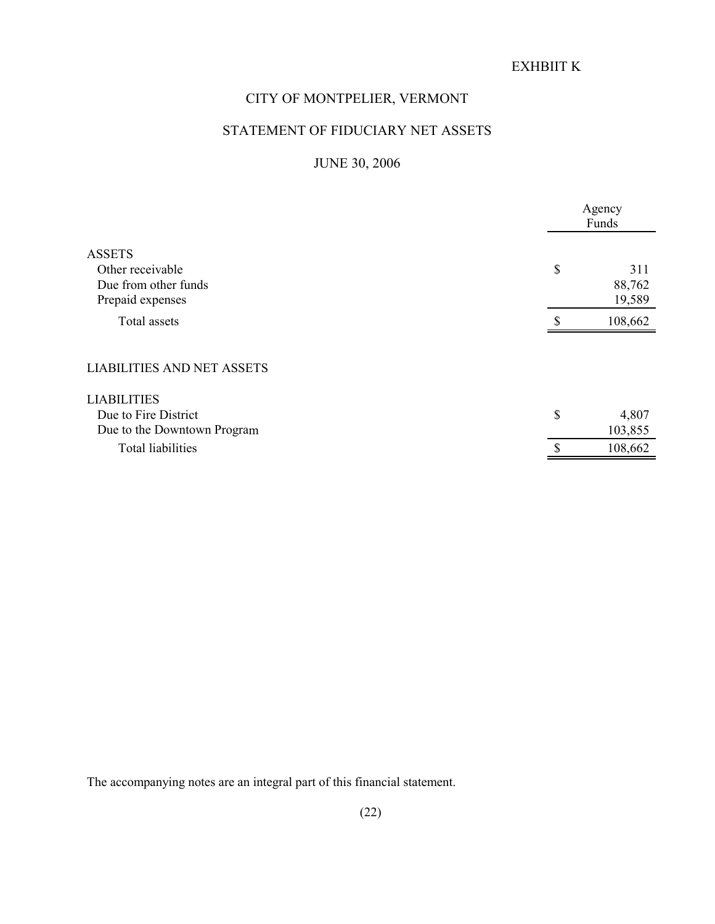# EXHBIIT K

# CITY OF MONTPELIER, VERMONT

# STATEMENT OF FIDUCIARY NET ASSETS

# JUNE 30, 2006

|                                                                               | Agency<br>Funds               |
|-------------------------------------------------------------------------------|-------------------------------|
| <b>ASSETS</b><br>Other receivable<br>Due from other funds<br>Prepaid expenses | \$<br>311<br>88,762<br>19,589 |
| Total assets                                                                  | 108,662                       |
| <b>LIABILITIES AND NET ASSETS</b>                                             |                               |
| <b>LIABILITIES</b><br>Due to Fire District<br>Due to the Downtown Program     | \$<br>4,807<br>103,855        |
| <b>Total liabilities</b>                                                      | \$<br>108,662                 |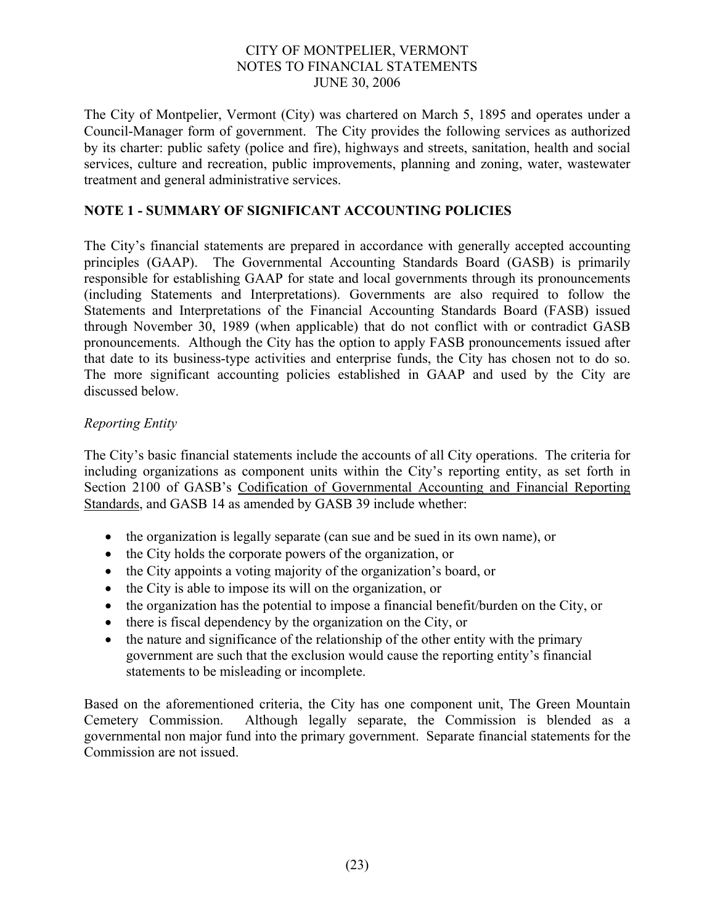The City of Montpelier, Vermont (City) was chartered on March 5, 1895 and operates under a Council-Manager form of government. The City provides the following services as authorized by its charter: public safety (police and fire), highways and streets, sanitation, health and social services, culture and recreation, public improvements, planning and zoning, water, wastewater treatment and general administrative services.

# **NOTE 1 - SUMMARY OF SIGNIFICANT ACCOUNTING POLICIES**

The City's financial statements are prepared in accordance with generally accepted accounting principles (GAAP). The Governmental Accounting Standards Board (GASB) is primarily responsible for establishing GAAP for state and local governments through its pronouncements (including Statements and Interpretations). Governments are also required to follow the Statements and Interpretations of the Financial Accounting Standards Board (FASB) issued through November 30, 1989 (when applicable) that do not conflict with or contradict GASB pronouncements. Although the City has the option to apply FASB pronouncements issued after that date to its business-type activities and enterprise funds, the City has chosen not to do so. The more significant accounting policies established in GAAP and used by the City are discussed below.

# *Reporting Entity*

The City's basic financial statements include the accounts of all City operations. The criteria for including organizations as component units within the City's reporting entity, as set forth in Section 2100 of GASB's Codification of Governmental Accounting and Financial Reporting Standards, and GASB 14 as amended by GASB 39 include whether:

- the organization is legally separate (can sue and be sued in its own name), or
- the City holds the corporate powers of the organization, or
- the City appoints a voting majority of the organization's board, or
- the City is able to impose its will on the organization, or
- the organization has the potential to impose a financial benefit/burden on the City, or
- there is fiscal dependency by the organization on the City, or
- the nature and significance of the relationship of the other entity with the primary government are such that the exclusion would cause the reporting entity's financial statements to be misleading or incomplete.

Based on the aforementioned criteria, the City has one component unit, The Green Mountain Cemetery Commission. Although legally separate, the Commission is blended as a governmental non major fund into the primary government. Separate financial statements for the Commission are not issued.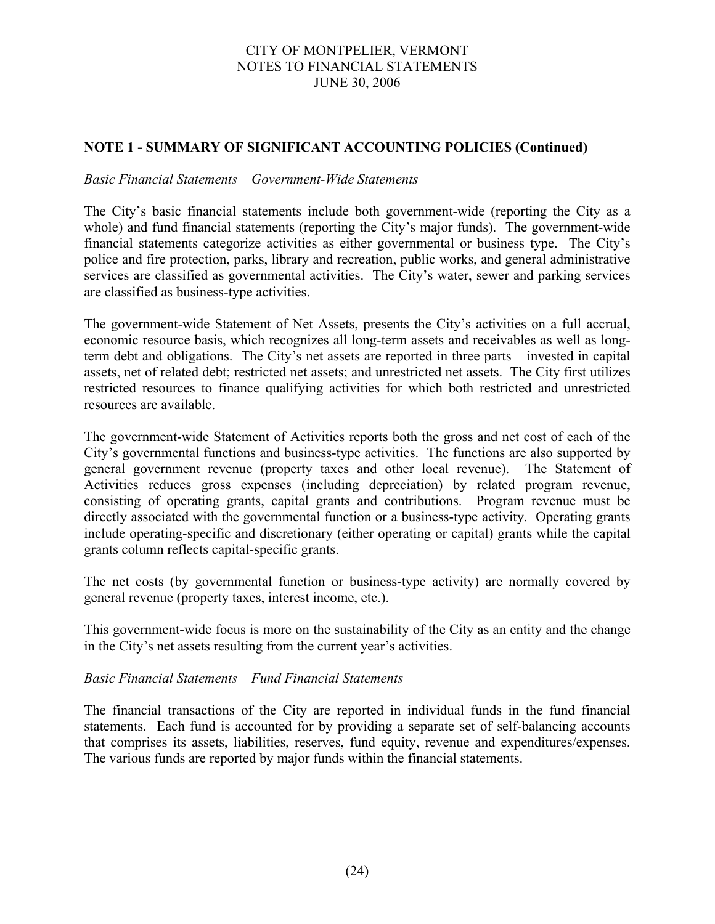# **NOTE 1 - SUMMARY OF SIGNIFICANT ACCOUNTING POLICIES (Continued)**

#### *Basic Financial Statements – Government-Wide Statements*

The City's basic financial statements include both government-wide (reporting the City as a whole) and fund financial statements (reporting the City's major funds). The government-wide financial statements categorize activities as either governmental or business type. The City's police and fire protection, parks, library and recreation, public works, and general administrative services are classified as governmental activities. The City's water, sewer and parking services are classified as business-type activities.

The government-wide Statement of Net Assets, presents the City's activities on a full accrual, economic resource basis, which recognizes all long-term assets and receivables as well as longterm debt and obligations. The City's net assets are reported in three parts – invested in capital assets, net of related debt; restricted net assets; and unrestricted net assets. The City first utilizes restricted resources to finance qualifying activities for which both restricted and unrestricted resources are available.

The government-wide Statement of Activities reports both the gross and net cost of each of the City's governmental functions and business-type activities. The functions are also supported by general government revenue (property taxes and other local revenue). The Statement of Activities reduces gross expenses (including depreciation) by related program revenue, consisting of operating grants, capital grants and contributions. Program revenue must be directly associated with the governmental function or a business-type activity. Operating grants include operating-specific and discretionary (either operating or capital) grants while the capital grants column reflects capital-specific grants.

The net costs (by governmental function or business-type activity) are normally covered by general revenue (property taxes, interest income, etc.).

This government-wide focus is more on the sustainability of the City as an entity and the change in the City's net assets resulting from the current year's activities.

#### *Basic Financial Statements – Fund Financial Statements*

The financial transactions of the City are reported in individual funds in the fund financial statements. Each fund is accounted for by providing a separate set of self-balancing accounts that comprises its assets, liabilities, reserves, fund equity, revenue and expenditures/expenses. The various funds are reported by major funds within the financial statements.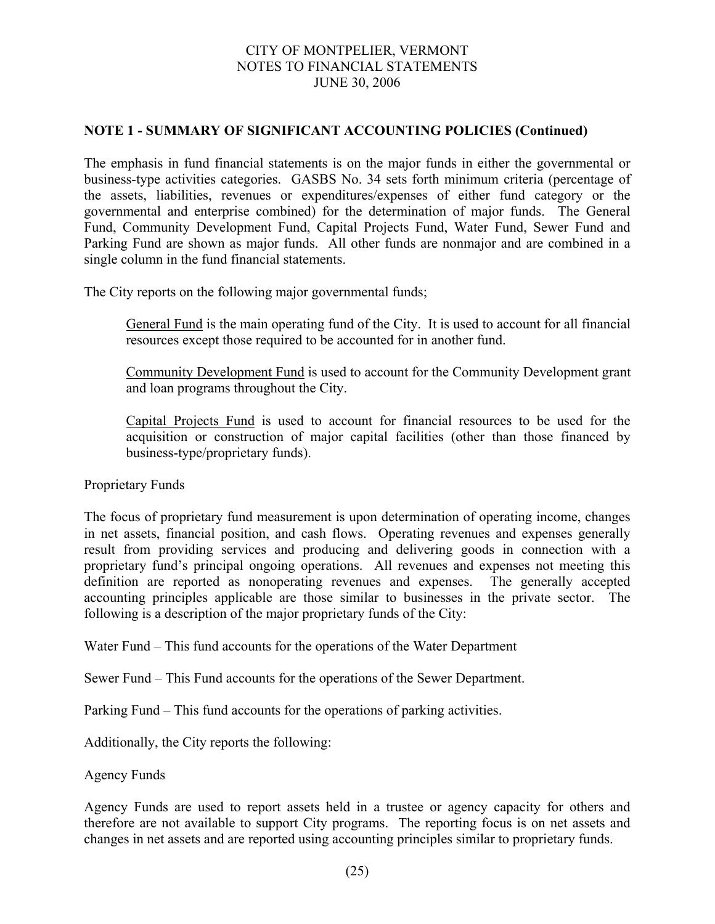# **NOTE 1 - SUMMARY OF SIGNIFICANT ACCOUNTING POLICIES (Continued)**

The emphasis in fund financial statements is on the major funds in either the governmental or business-type activities categories. GASBS No. 34 sets forth minimum criteria (percentage of the assets, liabilities, revenues or expenditures/expenses of either fund category or the governmental and enterprise combined) for the determination of major funds. The General Fund, Community Development Fund, Capital Projects Fund, Water Fund, Sewer Fund and Parking Fund are shown as major funds. All other funds are nonmajor and are combined in a single column in the fund financial statements.

The City reports on the following major governmental funds;

General Fund is the main operating fund of the City. It is used to account for all financial resources except those required to be accounted for in another fund.

Community Development Fund is used to account for the Community Development grant and loan programs throughout the City.

Capital Projects Fund is used to account for financial resources to be used for the acquisition or construction of major capital facilities (other than those financed by business-type/proprietary funds).

Proprietary Funds

The focus of proprietary fund measurement is upon determination of operating income, changes in net assets, financial position, and cash flows. Operating revenues and expenses generally result from providing services and producing and delivering goods in connection with a proprietary fund's principal ongoing operations. All revenues and expenses not meeting this definition are reported as nonoperating revenues and expenses. The generally accepted accounting principles applicable are those similar to businesses in the private sector. The following is a description of the major proprietary funds of the City:

Water Fund – This fund accounts for the operations of the Water Department

Sewer Fund – This Fund accounts for the operations of the Sewer Department.

Parking Fund – This fund accounts for the operations of parking activities.

Additionally, the City reports the following:

Agency Funds

Agency Funds are used to report assets held in a trustee or agency capacity for others and therefore are not available to support City programs. The reporting focus is on net assets and changes in net assets and are reported using accounting principles similar to proprietary funds.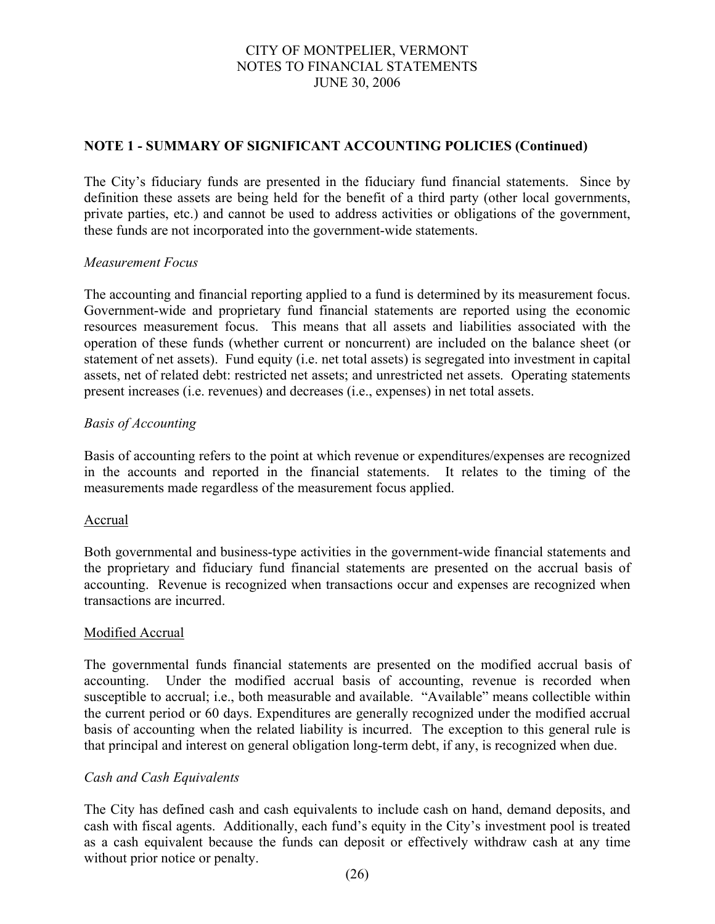# **NOTE 1 - SUMMARY OF SIGNIFICANT ACCOUNTING POLICIES (Continued)**

The City's fiduciary funds are presented in the fiduciary fund financial statements. Since by definition these assets are being held for the benefit of a third party (other local governments, private parties, etc.) and cannot be used to address activities or obligations of the government, these funds are not incorporated into the government-wide statements.

#### *Measurement Focus*

The accounting and financial reporting applied to a fund is determined by its measurement focus. Government-wide and proprietary fund financial statements are reported using the economic resources measurement focus. This means that all assets and liabilities associated with the operation of these funds (whether current or noncurrent) are included on the balance sheet (or statement of net assets). Fund equity (i.e. net total assets) is segregated into investment in capital assets, net of related debt: restricted net assets; and unrestricted net assets. Operating statements present increases (i.e. revenues) and decreases (i.e., expenses) in net total assets.

#### *Basis of Accounting*

Basis of accounting refers to the point at which revenue or expenditures/expenses are recognized in the accounts and reported in the financial statements. It relates to the timing of the measurements made regardless of the measurement focus applied.

#### Accrual

Both governmental and business-type activities in the government-wide financial statements and the proprietary and fiduciary fund financial statements are presented on the accrual basis of accounting. Revenue is recognized when transactions occur and expenses are recognized when transactions are incurred.

#### Modified Accrual

The governmental funds financial statements are presented on the modified accrual basis of accounting. Under the modified accrual basis of accounting, revenue is recorded when susceptible to accrual; i.e., both measurable and available. "Available" means collectible within the current period or 60 days. Expenditures are generally recognized under the modified accrual basis of accounting when the related liability is incurred. The exception to this general rule is that principal and interest on general obligation long-term debt, if any, is recognized when due.

#### *Cash and Cash Equivalents*

The City has defined cash and cash equivalents to include cash on hand, demand deposits, and cash with fiscal agents. Additionally, each fund's equity in the City's investment pool is treated as a cash equivalent because the funds can deposit or effectively withdraw cash at any time without prior notice or penalty.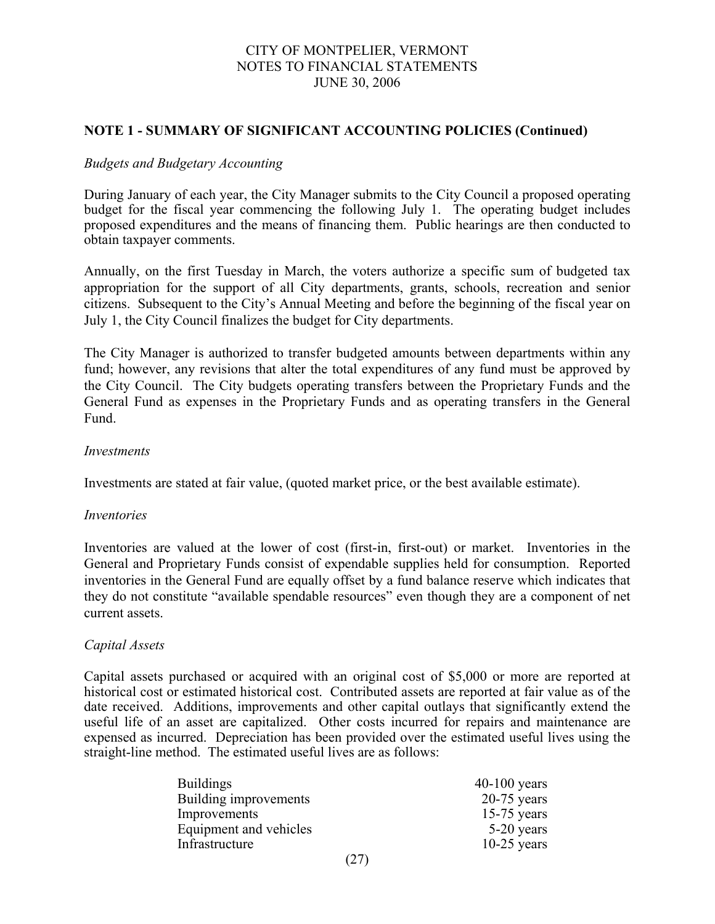# **NOTE 1 - SUMMARY OF SIGNIFICANT ACCOUNTING POLICIES (Continued)**

#### *Budgets and Budgetary Accounting*

During January of each year, the City Manager submits to the City Council a proposed operating budget for the fiscal year commencing the following July 1. The operating budget includes proposed expenditures and the means of financing them. Public hearings are then conducted to obtain taxpayer comments.

Annually, on the first Tuesday in March, the voters authorize a specific sum of budgeted tax appropriation for the support of all City departments, grants, schools, recreation and senior citizens. Subsequent to the City's Annual Meeting and before the beginning of the fiscal year on July 1, the City Council finalizes the budget for City departments.

The City Manager is authorized to transfer budgeted amounts between departments within any fund; however, any revisions that alter the total expenditures of any fund must be approved by the City Council. The City budgets operating transfers between the Proprietary Funds and the General Fund as expenses in the Proprietary Funds and as operating transfers in the General Fund.

#### *Investments*

Investments are stated at fair value, (quoted market price, or the best available estimate).

#### *Inventories*

Inventories are valued at the lower of cost (first-in, first-out) or market. Inventories in the General and Proprietary Funds consist of expendable supplies held for consumption. Reported inventories in the General Fund are equally offset by a fund balance reserve which indicates that they do not constitute "available spendable resources" even though they are a component of net current assets.

#### *Capital Assets*

Capital assets purchased or acquired with an original cost of \$5,000 or more are reported at historical cost or estimated historical cost. Contributed assets are reported at fair value as of the date received. Additions, improvements and other capital outlays that significantly extend the useful life of an asset are capitalized. Other costs incurred for repairs and maintenance are expensed as incurred. Depreciation has been provided over the estimated useful lives using the straight-line method. The estimated useful lives are as follows:

| <b>Buildings</b>       | $40-100$ years |
|------------------------|----------------|
| Building improvements  | $20-75$ years  |
| Improvements           | 15-75 years    |
| Equipment and vehicles | $5-20$ years   |
| Infrastructure         | $10-25$ years  |
|                        |                |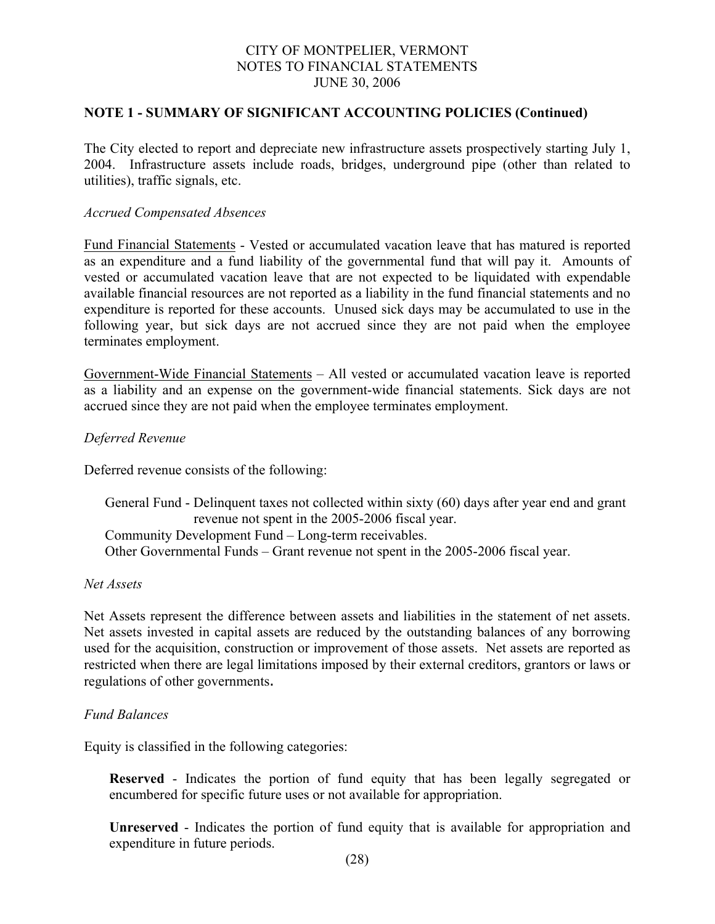#### **NOTE 1 - SUMMARY OF SIGNIFICANT ACCOUNTING POLICIES (Continued)**

The City elected to report and depreciate new infrastructure assets prospectively starting July 1, 2004. Infrastructure assets include roads, bridges, underground pipe (other than related to utilities), traffic signals, etc.

#### *Accrued Compensated Absences*

Fund Financial Statements - Vested or accumulated vacation leave that has matured is reported as an expenditure and a fund liability of the governmental fund that will pay it. Amounts of vested or accumulated vacation leave that are not expected to be liquidated with expendable available financial resources are not reported as a liability in the fund financial statements and no expenditure is reported for these accounts. Unused sick days may be accumulated to use in the following year, but sick days are not accrued since they are not paid when the employee terminates employment.

Government-Wide Financial Statements – All vested or accumulated vacation leave is reported as a liability and an expense on the government-wide financial statements. Sick days are not accrued since they are not paid when the employee terminates employment.

#### *Deferred Revenue*

Deferred revenue consists of the following:

General Fund - Delinquent taxes not collected within sixty (60) days after year end and grant revenue not spent in the 2005-2006 fiscal year. Community Development Fund – Long-term receivables. Other Governmental Funds – Grant revenue not spent in the 2005-2006 fiscal year.

#### *Net Assets*

Net Assets represent the difference between assets and liabilities in the statement of net assets. Net assets invested in capital assets are reduced by the outstanding balances of any borrowing used for the acquisition, construction or improvement of those assets. Net assets are reported as restricted when there are legal limitations imposed by their external creditors, grantors or laws or regulations of other governments.

### *Fund Balances*

Equity is classified in the following categories:

**Reserved** - Indicates the portion of fund equity that has been legally segregated or encumbered for specific future uses or not available for appropriation.

**Unreserved** - Indicates the portion of fund equity that is available for appropriation and expenditure in future periods.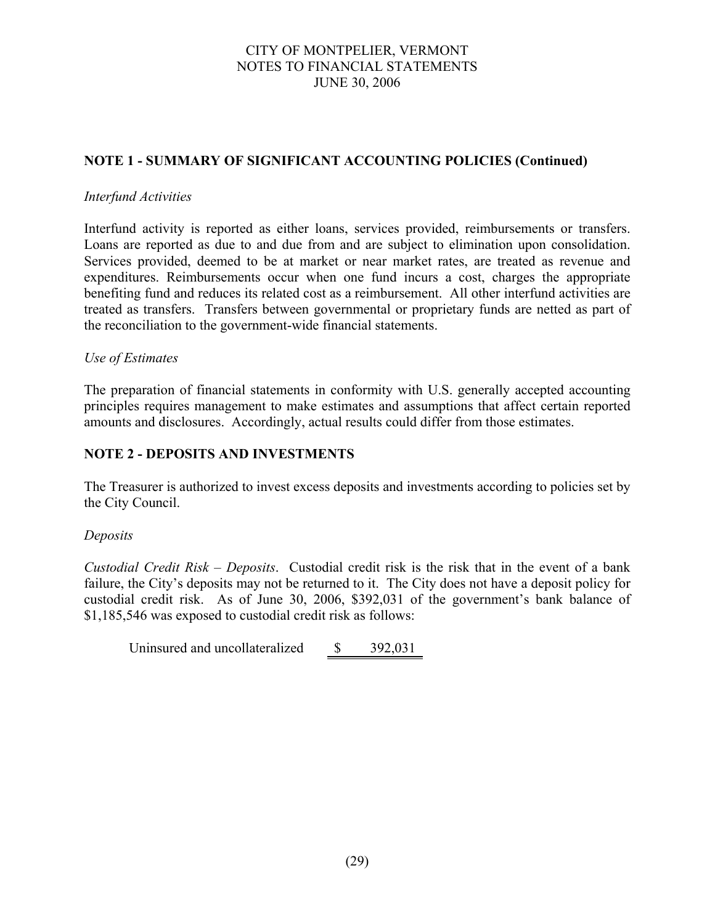# **NOTE 1 - SUMMARY OF SIGNIFICANT ACCOUNTING POLICIES (Continued)**

#### *Interfund Activities*

Interfund activity is reported as either loans, services provided, reimbursements or transfers. Loans are reported as due to and due from and are subject to elimination upon consolidation. Services provided, deemed to be at market or near market rates, are treated as revenue and expenditures. Reimbursements occur when one fund incurs a cost, charges the appropriate benefiting fund and reduces its related cost as a reimbursement. All other interfund activities are treated as transfers. Transfers between governmental or proprietary funds are netted as part of the reconciliation to the government-wide financial statements.

#### *Use of Estimates*

The preparation of financial statements in conformity with U.S. generally accepted accounting principles requires management to make estimates and assumptions that affect certain reported amounts and disclosures. Accordingly, actual results could differ from those estimates.

### **NOTE 2 - DEPOSITS AND INVESTMENTS**

The Treasurer is authorized to invest excess deposits and investments according to policies set by the City Council.

#### *Deposits*

*Custodial Credit Risk – Deposits*. Custodial credit risk is the risk that in the event of a bank failure, the City's deposits may not be returned to it. The City does not have a deposit policy for custodial credit risk. As of June 30, 2006, \$392,031 of the government's bank balance of \$1,185,546 was exposed to custodial credit risk as follows:

Uninsured and uncollateralized  $\qquad$  \$ 392,031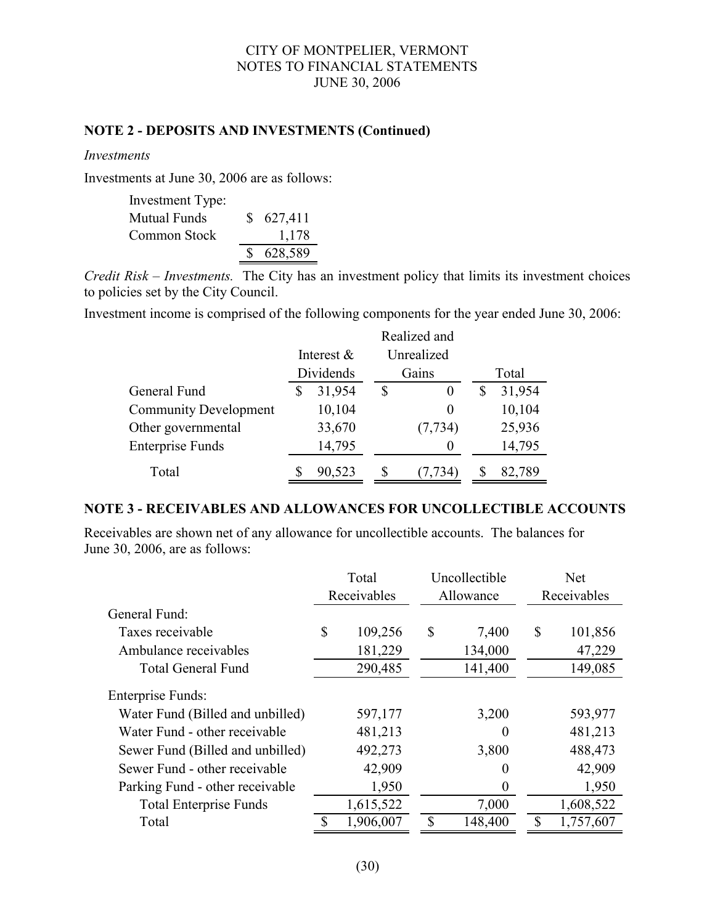#### **NOTE 2 - DEPOSITS AND INVESTMENTS (Continued)**

*Investments*

Investments at June 30, 2006 are as follows:

| <b>Investment Type:</b> |                |           |
|-------------------------|----------------|-----------|
| <b>Mutual Funds</b>     |                | \$627,411 |
| Common Stock            |                | 1,178     |
|                         | $\mathbb{S}^-$ | 628,589   |

*Credit Risk – Investments.* The City has an investment policy that limits its investment choices to policies set by the City Council.

Investment income is comprised of the following components for the year ended June 30, 2006:

|                              | Realized and |               |    |            |       |        |  |  |
|------------------------------|--------------|---------------|----|------------|-------|--------|--|--|
|                              |              | Interest $\&$ |    | Unrealized |       |        |  |  |
|                              | Dividends    |               |    | Gains      | Total |        |  |  |
| General Fund                 |              | 31,954        | \$ | $\theta$   | S     | 31,954 |  |  |
| <b>Community Development</b> |              | 10,104        |    | $\theta$   |       | 10,104 |  |  |
| Other governmental           |              | 33,670        |    | (7, 734)   |       | 25,936 |  |  |
| <b>Enterprise Funds</b>      |              | 14,795        |    |            |       | 14,795 |  |  |
| Total                        |              | 90,523        |    | 7734       |       | 82,789 |  |  |

# **NOTE 3 - RECEIVABLES AND ALLOWANCES FOR UNCOLLECTIBLE ACCOUNTS**

Receivables are shown net of any allowance for uncollectible accounts. The balances for June 30, 2006, are as follows:

|                                  | Total         | Uncollectible | Net          |             |  |
|----------------------------------|---------------|---------------|--------------|-------------|--|
|                                  | Receivables   | Allowance     |              | Receivables |  |
| General Fund:                    |               |               |              |             |  |
| Taxes receivable                 | \$<br>109,256 | \$<br>7,400   | $\mathbb{S}$ | 101,856     |  |
| Ambulance receivables            | 181,229       | 134,000       |              | 47,229      |  |
| <b>Total General Fund</b>        | 290,485       | 141,400       |              | 149,085     |  |
| <b>Enterprise Funds:</b>         |               |               |              |             |  |
| Water Fund (Billed and unbilled) | 597,177       | 3,200         |              | 593,977     |  |
| Water Fund - other receivable    | 481,213       | $\Omega$      |              | 481,213     |  |
| Sewer Fund (Billed and unbilled) | 492,273       | 3,800         |              | 488,473     |  |
| Sewer Fund - other receivable    | 42,909        | $\Omega$      |              | 42,909      |  |
| Parking Fund - other receivable  | 1,950         | $\theta$      |              | 1,950       |  |
| <b>Total Enterprise Funds</b>    | 1,615,522     | 7,000         |              | 1,608,522   |  |
| Total                            | 1,906,007     | 148,400       |              | 1,757,607   |  |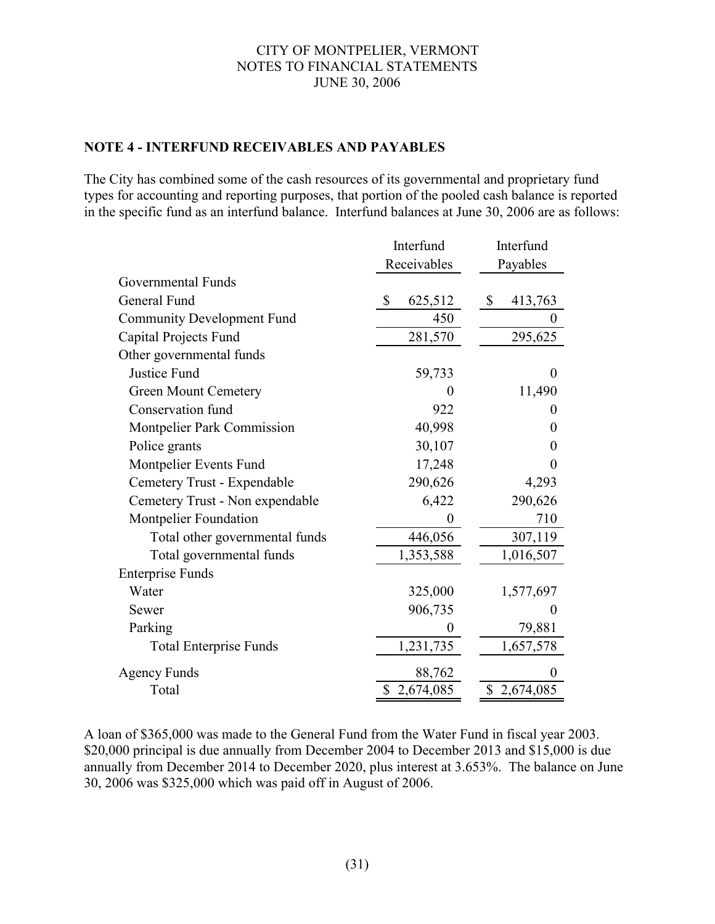#### **NOTE 4 - INTERFUND RECEIVABLES AND PAYABLES**

The City has combined some of the cash resources of its governmental and proprietary fund types for accounting and reporting purposes, that portion of the pooled cash balance is reported in the specific fund as an interfund balance. Interfund balances at June 30, 2006 are as follows:

|                                   | Interfund     | Interfund        |
|-----------------------------------|---------------|------------------|
|                                   | Receivables   | Payables         |
| Governmental Funds                |               |                  |
| General Fund                      | \$<br>625,512 | \$<br>413,763    |
| <b>Community Development Fund</b> | 450           | $\boldsymbol{0}$ |
| <b>Capital Projects Fund</b>      | 281,570       | 295,625          |
| Other governmental funds          |               |                  |
| <b>Justice Fund</b>               | 59,733        | $\Omega$         |
| <b>Green Mount Cemetery</b>       | 0             | 11,490           |
| Conservation fund                 | 922           |                  |
| Montpelier Park Commission        | 40,998        | $\theta$         |
| Police grants                     | 30,107        | 0                |
| Montpelier Events Fund            | 17,248        | 0                |
| Cemetery Trust - Expendable       | 290,626       | 4,293            |
| Cemetery Trust - Non expendable   | 6,422         | 290,626          |
| Montpelier Foundation             | 0             | 710              |
| Total other governmental funds    | 446,056       | 307,119          |
| Total governmental funds          | 1,353,588     | 1,016,507        |
| <b>Enterprise Funds</b>           |               |                  |
| Water                             | 325,000       | 1,577,697        |
| Sewer                             | 906,735       | 0                |
| Parking                           | 0             | 79,881           |
| <b>Total Enterprise Funds</b>     | 1,231,735     | 1,657,578        |
| <b>Agency Funds</b>               | 88,762        | 0                |
| Total                             | \$2,674,085   | \$2,674,085      |

A loan of \$365,000 was made to the General Fund from the Water Fund in fiscal year 2003. \$20,000 principal is due annually from December 2004 to December 2013 and \$15,000 is due annually from December 2014 to December 2020, plus interest at 3.653%. The balance on June 30, 2006 was \$325,000 which was paid off in August of 2006.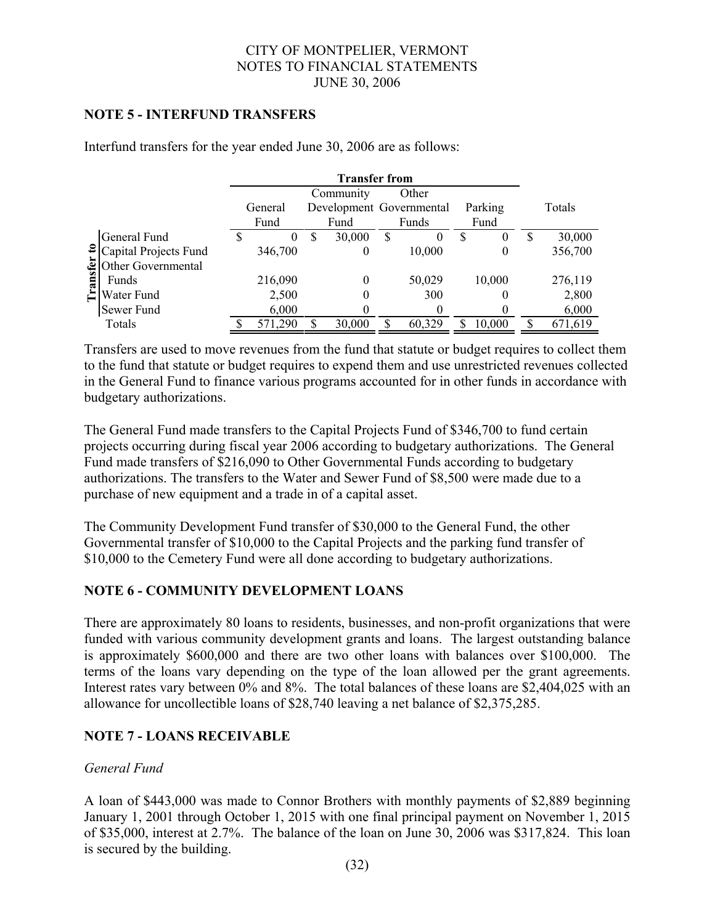### **NOTE 5 - INTERFUND TRANSFERS**

|            |                       |   |         |   | Community |                          | Other  |         |        |   |         |
|------------|-----------------------|---|---------|---|-----------|--------------------------|--------|---------|--------|---|---------|
|            |                       |   | General |   |           | Development Governmental |        | Parking |        |   | Totals  |
|            |                       |   | Fund    |   | Fund      | Funds                    |        | Fund    |        |   |         |
|            | General Fund          | S | 0       | S | 30,000    | S                        |        | S       |        | S | 30,000  |
| $\epsilon$ | Capital Projects Fund |   | 346,700 |   | 0         |                          | 10,000 |         | 0      |   | 356,700 |
|            | Other Governmental    |   |         |   |           |                          |        |         |        |   |         |
| ansfer     | Funds                 |   | 216,090 |   | 0         |                          | 50,029 |         | 10,000 |   | 276,119 |
| Ě          | Water Fund            |   | 2,500   |   | 0         |                          | 300    |         |        |   | 2,800   |
|            | Sewer Fund            |   | 6,000   |   |           |                          |        |         |        |   | 6,000   |
|            | Totals                |   | 571,290 |   | 30,000    | S                        | 60,329 |         | 10,000 |   | 671,619 |

Interfund transfers for the year ended June 30, 2006 are as follows:

 Transfers are used to move revenues from the fund that statute or budget requires to collect them to the fund that statute or budget requires to expend them and use unrestricted revenues collected in the General Fund to finance various programs accounted for in other funds in accordance with budgetary authorizations.

The General Fund made transfers to the Capital Projects Fund of \$346,700 to fund certain projects occurring during fiscal year 2006 according to budgetary authorizations. The General Fund made transfers of \$216,090 to Other Governmental Funds according to budgetary authorizations. The transfers to the Water and Sewer Fund of \$8,500 were made due to a purchase of new equipment and a trade in of a capital asset.

The Community Development Fund transfer of \$30,000 to the General Fund, the other Governmental transfer of \$10,000 to the Capital Projects and the parking fund transfer of \$10,000 to the Cemetery Fund were all done according to budgetary authorizations.

# **NOTE 6 - COMMUNITY DEVELOPMENT LOANS**

There are approximately 80 loans to residents, businesses, and non-profit organizations that were funded with various community development grants and loans. The largest outstanding balance is approximately \$600,000 and there are two other loans with balances over \$100,000. The terms of the loans vary depending on the type of the loan allowed per the grant agreements. Interest rates vary between 0% and 8%. The total balances of these loans are \$2,404,025 with an allowance for uncollectible loans of \$28,740 leaving a net balance of \$2,375,285.

# **NOTE 7 - LOANS RECEIVABLE**

# *General Fund*

A loan of \$443,000 was made to Connor Brothers with monthly payments of \$2,889 beginning January 1, 2001 through October 1, 2015 with one final principal payment on November 1, 2015 of \$35,000, interest at 2.7%. The balance of the loan on June 30, 2006 was \$317,824. This loan is secured by the building.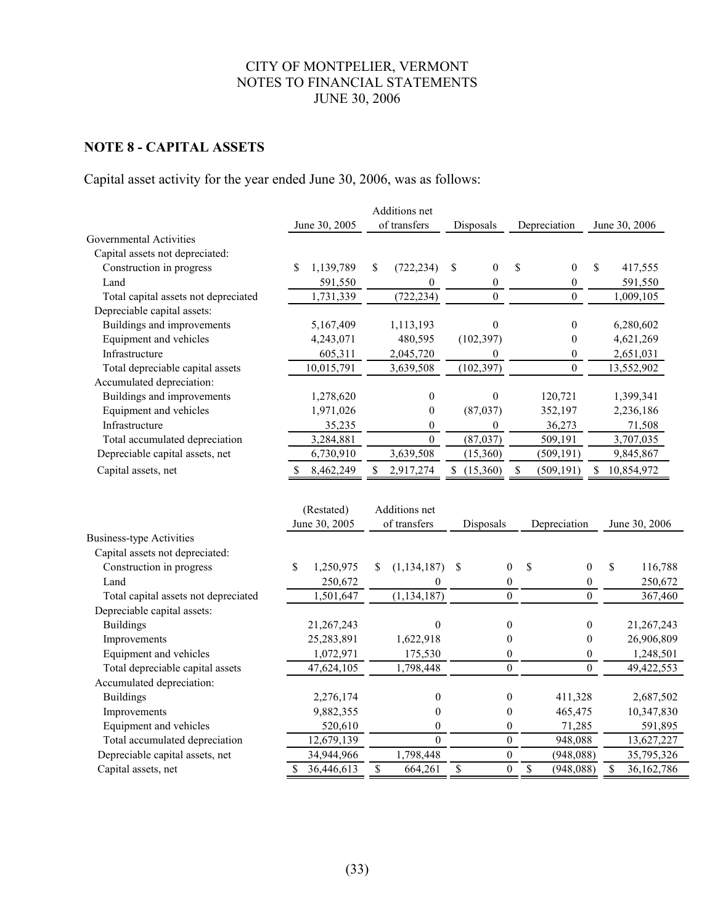# **NOTE 8 - CAPITAL ASSETS**

Capital asset activity for the year ended June 30, 2006, was as follows:

|                                                                    |    |               |                 | Additions net        |                           |                              |                        |                                    |                                  |                         |
|--------------------------------------------------------------------|----|---------------|-----------------|----------------------|---------------------------|------------------------------|------------------------|------------------------------------|----------------------------------|-------------------------|
|                                                                    |    | June 30, 2005 |                 | of transfers         |                           | Disposals                    | Depreciation           |                                    |                                  | June 30, 2006           |
| <b>Governmental Activities</b>                                     |    |               |                 |                      |                           |                              |                        |                                    |                                  |                         |
| Capital assets not depreciated:                                    |    |               |                 |                      |                           |                              |                        |                                    |                                  |                         |
| Construction in progress                                           | S  | 1,139,789     | \$              | (722, 234)           | \$                        | $\theta$                     | \$<br>$\boldsymbol{0}$ | \$                                 |                                  | 417,555                 |
| Land                                                               |    | 591,550       |                 | $\boldsymbol{0}$     |                           | $\boldsymbol{0}$             | $\boldsymbol{0}$       |                                    |                                  | 591,550                 |
| Total capital assets not depreciated                               |    | 1,731,339     |                 | (722, 234)           |                           | $\mathbf{0}$                 | $\mathbf{0}$           |                                    |                                  | 1,009,105               |
| Depreciable capital assets:                                        |    |               |                 |                      |                           |                              |                        |                                    |                                  |                         |
| Buildings and improvements                                         |    | 5,167,409     |                 | 1,113,193            |                           | $\mathbf{0}$                 | $\mathbf{0}$           |                                    |                                  | 6,280,602               |
| Equipment and vehicles                                             |    | 4,243,071     |                 | 480,595              |                           | (102, 397)                   | $\mathbf{0}$           |                                    |                                  | 4,621,269               |
| Infrastructure                                                     |    | 605,311       |                 | 2,045,720            |                           | $\Omega$                     | $\boldsymbol{0}$       |                                    |                                  | 2,651,031               |
| Total depreciable capital assets                                   |    | 10,015,791    |                 | 3,639,508            |                           | (102, 397)                   | $\theta$               |                                    |                                  | $\overline{13,552,902}$ |
| Accumulated depreciation:                                          |    |               |                 |                      |                           |                              |                        |                                    |                                  |                         |
| Buildings and improvements                                         |    | 1,278,620     |                 | $\boldsymbol{0}$     |                           | $\boldsymbol{0}$             | 120,721                |                                    |                                  | 1,399,341               |
| Equipment and vehicles                                             |    | 1,971,026     |                 | $\boldsymbol{0}$     |                           | (87,037)                     | 352,197                |                                    |                                  | 2,236,186               |
| Infrastructure                                                     |    | 35,235        |                 | $\mathbf{0}$         |                           | $\theta$                     | 36,273                 |                                    |                                  | 71,508                  |
| Total accumulated depreciation                                     |    | 3,284,881     |                 | $\mathbf{0}$         |                           | (87, 037)                    | 509,191                |                                    |                                  | 3,707,035               |
| Depreciable capital assets, net                                    |    | 6,730,910     |                 | 3,639,508            |                           | (15,360)                     | (509, 191)             |                                    |                                  | 9,845,867               |
| Capital assets, net                                                |    | 8,462,249     | \$<br>2,917,274 |                      | $\mathsf{\$}$<br>(15,360) |                              | \$<br>(509, 191)       |                                    | $\mathbf{\hat{S}}$<br>10,854,972 |                         |
|                                                                    |    | (Restated)    |                 | <b>Additions net</b> |                           |                              |                        |                                    |                                  |                         |
|                                                                    |    | June 30, 2005 |                 | of transfers         |                           | Disposals                    | Depreciation           |                                    |                                  | June 30, 2006           |
|                                                                    |    |               |                 |                      |                           |                              |                        |                                    |                                  |                         |
| <b>Business-type Activities</b><br>Capital assets not depreciated: |    |               |                 |                      |                           |                              |                        |                                    |                                  |                         |
|                                                                    |    |               |                 |                      |                           |                              | \$                     |                                    |                                  |                         |
| Construction in progress                                           | \$ | 1,250,975     | \$              | (1, 134, 187)        | \$                        | 0                            |                        | $\boldsymbol{0}$                   | \$                               | 116,788                 |
| Land                                                               |    | 250,672       |                 | 0                    |                           | 0<br>$\overline{0}$          |                        | $\boldsymbol{0}$<br>$\overline{0}$ |                                  | 250,672                 |
| Total capital assets not depreciated                               |    | 1,501,647     |                 | (1, 134, 187)        |                           |                              |                        |                                    |                                  | 367,460                 |
| Depreciable capital assets:                                        |    |               |                 |                      |                           |                              |                        |                                    |                                  |                         |
| <b>Buildings</b>                                                   |    | 21,267,243    |                 | $\boldsymbol{0}$     |                           | $\boldsymbol{0}$             |                        | $\boldsymbol{0}$                   |                                  | 21,267,243              |
| Improvements                                                       |    | 25,283,891    |                 | 1,622,918            |                           | $\boldsymbol{0}$             |                        | $\boldsymbol{0}$                   |                                  | 26,906,809              |
| Equipment and vehicles                                             |    | 1,072,971     |                 | 175,530              |                           | $\boldsymbol{0}$<br>$\theta$ |                        | $\boldsymbol{0}$<br>$\theta$       |                                  | 1,248,501               |
| Total depreciable capital assets                                   |    | 47,624,105    |                 | 1,798,448            |                           |                              |                        |                                    |                                  | 49,422,553              |
| Accumulated depreciation:                                          |    |               |                 |                      |                           |                              |                        |                                    |                                  |                         |
| <b>Buildings</b>                                                   |    | 2,276,174     |                 | 0                    |                           | 0                            | 411,328                |                                    |                                  | 2,687,502               |
| Improvements                                                       |    | 9,882,355     |                 | $\boldsymbol{0}$     |                           | 0                            | 465,475                |                                    |                                  | 10,347,830              |
| Equipment and vehicles                                             |    | 520,610       |                 | 0                    |                           | $\boldsymbol{0}$             | 71,285                 |                                    |                                  | 591,895                 |
| Total accumulated depreciation                                     |    | 12,679,139    |                 | $\boldsymbol{0}$     |                           | $\boldsymbol{0}$             | 948,088                |                                    |                                  | 13,627,227              |
| Depreciable capital assets, net                                    |    | 34,944,966    |                 | 1,798,448            |                           | $\boldsymbol{0}$             | (948, 088)             |                                    |                                  | 35,795,326              |
| Capital assets, net                                                | \$ | 36,446,613    | \$              | 664,261              | \$                        | $\overline{0}$               | \$<br>(948, 088)       |                                    | \$                               | 36, 162, 786            |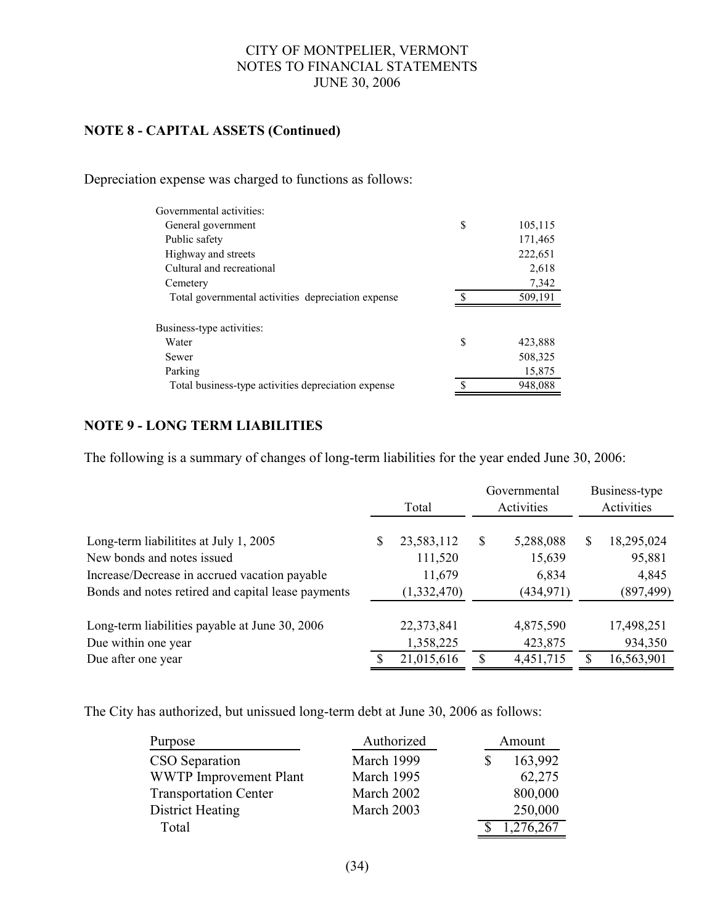# **NOTE 8 - CAPITAL ASSETS (Continued)**

Depreciation expense was charged to functions as follows:

| Governmental activities:                            |    |         |
|-----------------------------------------------------|----|---------|
| General government                                  | \$ | 105,115 |
| Public safety                                       |    | 171,465 |
| Highway and streets                                 |    | 222,651 |
| Cultural and recreational                           |    | 2,618   |
| Cemetery                                            |    | 7,342   |
| Total governmental activities depreciation expense  |    | 509,191 |
|                                                     |    |         |
| Business-type activities:                           |    |         |
| Water                                               | S  | 423,888 |
| Sewer                                               |    | 508,325 |
| Parking                                             |    | 15,875  |
| Total business-type activities depreciation expense |    | 948,088 |
|                                                     |    |         |

# **NOTE 9 - LONG TERM LIABILITIES**

The following is a summary of changes of long-term liabilities for the year ended June 30, 2006:

|                                                    |   | Total       | Governmental<br>Activities |   | Business-type<br>Activities |
|----------------------------------------------------|---|-------------|----------------------------|---|-----------------------------|
| Long-term liabilitities at July 1, 2005            | S | 23,583,112  | \$<br>5,288,088            | S | 18,295,024                  |
| New bonds and notes issued                         |   | 111,520     | 15,639                     |   | 95,881                      |
| Increase/Decrease in accrued vacation payable      |   | 11,679      | 6,834                      |   | 4,845                       |
| Bonds and notes retired and capital lease payments |   | (1,332,470) | (434,971)                  |   | (897,499)                   |
| Long-term liabilities payable at June 30, 2006     |   | 22,373,841  | 4,875,590                  |   | 17,498,251                  |
| Due within one year                                |   | 1,358,225   | 423,875                    |   | 934,350                     |
| Due after one year                                 |   | 21,015,616  | 4,451,715                  |   | 16,563,901                  |

The City has authorized, but unissued long-term debt at June 30, 2006 as follows:

| Purpose                       | Authorized |   | Amount    |
|-------------------------------|------------|---|-----------|
| CSO Separation                | March 1999 | S | 163,992   |
| <b>WWTP</b> Improvement Plant | March 1995 |   | 62,275    |
| <b>Transportation Center</b>  | March 2002 |   | 800,000   |
| District Heating              | March 2003 |   | 250,000   |
| Total                         |            |   | 1,276,267 |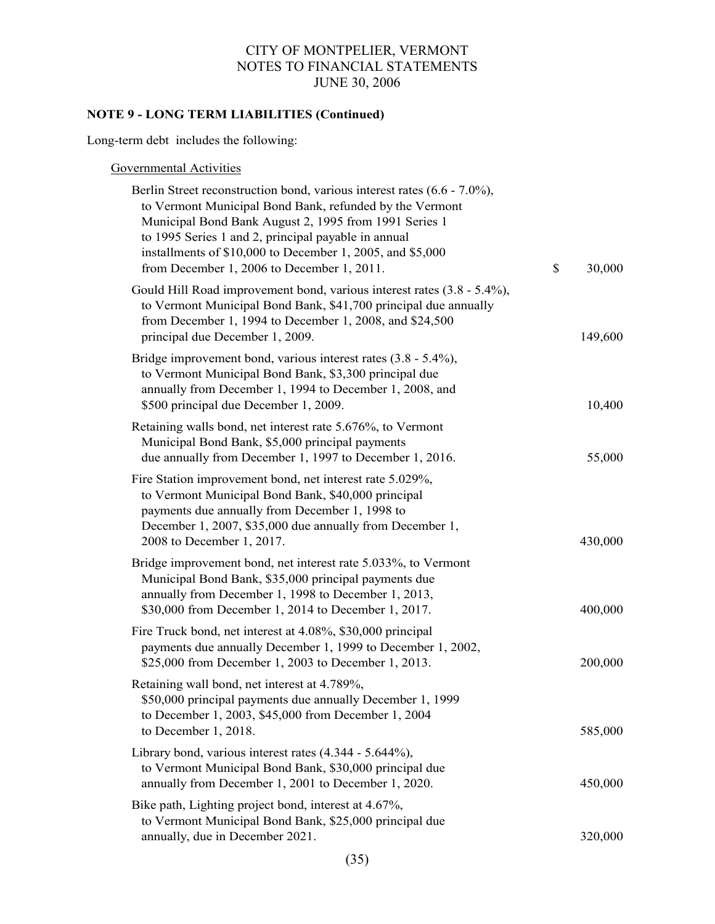# **NOTE 9 - LONG TERM LIABILITIES (Continued)**

Long-term debt includes the following:

### Governmental Activities

| Berlin Street reconstruction bond, various interest rates (6.6 - 7.0%),<br>to Vermont Municipal Bond Bank, refunded by the Vermont<br>Municipal Bond Bank August 2, 1995 from 1991 Series 1<br>to 1995 Series 1 and 2, principal payable in annual<br>installments of \$10,000 to December 1, 2005, and \$5,000<br>from December 1, 2006 to December 1, 2011. | \$<br>30,000 |
|---------------------------------------------------------------------------------------------------------------------------------------------------------------------------------------------------------------------------------------------------------------------------------------------------------------------------------------------------------------|--------------|
| Gould Hill Road improvement bond, various interest rates (3.8 - 5.4%),<br>to Vermont Municipal Bond Bank, \$41,700 principal due annually<br>from December 1, 1994 to December 1, 2008, and \$24,500<br>principal due December 1, 2009.                                                                                                                       | 149,600      |
| Bridge improvement bond, various interest rates $(3.8 - 5.4\%)$ ,<br>to Vermont Municipal Bond Bank, \$3,300 principal due<br>annually from December 1, 1994 to December 1, 2008, and<br>\$500 principal due December 1, 2009.                                                                                                                                | 10,400       |
| Retaining walls bond, net interest rate 5.676%, to Vermont<br>Municipal Bond Bank, \$5,000 principal payments<br>due annually from December 1, 1997 to December 1, 2016.                                                                                                                                                                                      | 55,000       |
| Fire Station improvement bond, net interest rate 5.029%,<br>to Vermont Municipal Bond Bank, \$40,000 principal<br>payments due annually from December 1, 1998 to<br>December 1, 2007, \$35,000 due annually from December 1,<br>2008 to December 1, 2017.                                                                                                     | 430,000      |
| Bridge improvement bond, net interest rate 5.033%, to Vermont<br>Municipal Bond Bank, \$35,000 principal payments due<br>annually from December 1, 1998 to December 1, 2013,<br>\$30,000 from December 1, 2014 to December 1, 2017.                                                                                                                           | 400,000      |
| Fire Truck bond, net interest at 4.08%, \$30,000 principal<br>payments due annually December 1, 1999 to December 1, 2002,<br>\$25,000 from December 1, 2003 to December 1, 2013.                                                                                                                                                                              | 200,000      |
| Retaining wall bond, net interest at 4.789%,<br>\$50,000 principal payments due annually December 1, 1999<br>to December 1, 2003, \$45,000 from December 1, 2004<br>to December 1, 2018.                                                                                                                                                                      | 585,000      |
| Library bond, various interest rates $(4.344 - 5.644\%)$ ,<br>to Vermont Municipal Bond Bank, \$30,000 principal due<br>annually from December 1, 2001 to December 1, 2020.                                                                                                                                                                                   | 450,000      |
| Bike path, Lighting project bond, interest at 4.67%,<br>to Vermont Municipal Bond Bank, \$25,000 principal due<br>annually, due in December 2021.                                                                                                                                                                                                             | 320,000      |
| (35)                                                                                                                                                                                                                                                                                                                                                          |              |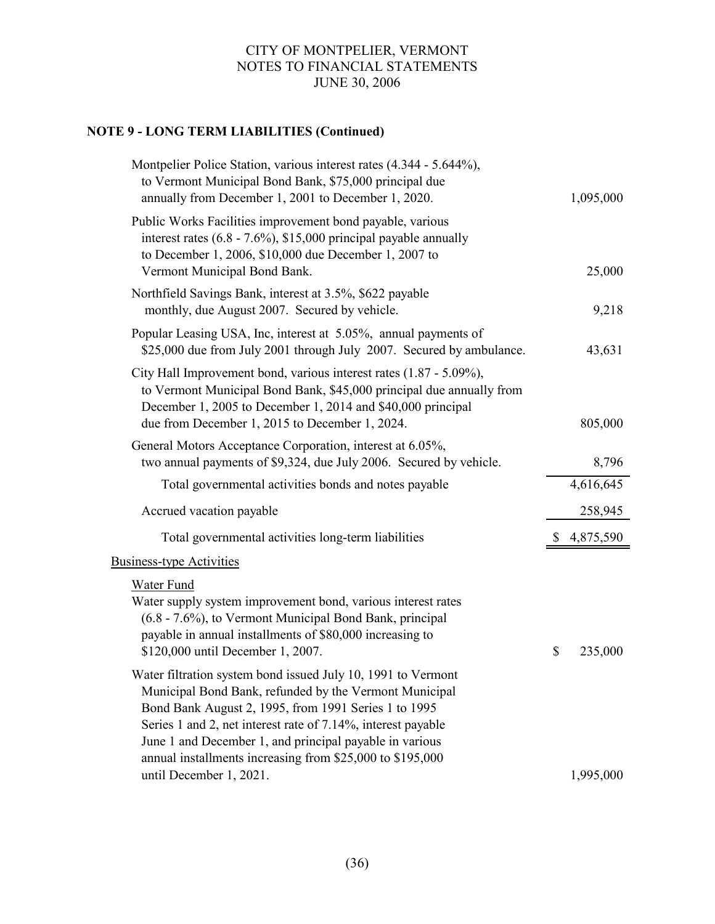# **NOTE 9 - LONG TERM LIABILITIES (Continued)**

| Montpelier Police Station, various interest rates (4.344 - 5.644%),<br>to Vermont Municipal Bond Bank, \$75,000 principal due<br>annually from December 1, 2001 to December 1, 2020.                                                                                                                                                                                                              | 1,095,000     |
|---------------------------------------------------------------------------------------------------------------------------------------------------------------------------------------------------------------------------------------------------------------------------------------------------------------------------------------------------------------------------------------------------|---------------|
| Public Works Facilities improvement bond payable, various<br>interest rates $(6.8 - 7.6\%)$ , \$15,000 principal payable annually<br>to December 1, 2006, \$10,000 due December 1, 2007 to<br>Vermont Municipal Bond Bank.                                                                                                                                                                        | 25,000        |
| Northfield Savings Bank, interest at 3.5%, \$622 payable<br>monthly, due August 2007. Secured by vehicle.                                                                                                                                                                                                                                                                                         | 9,218         |
| Popular Leasing USA, Inc, interest at 5.05%, annual payments of<br>\$25,000 due from July 2001 through July 2007. Secured by ambulance.                                                                                                                                                                                                                                                           | 43,631        |
| City Hall Improvement bond, various interest rates (1.87 - 5.09%),<br>to Vermont Municipal Bond Bank, \$45,000 principal due annually from<br>December 1, 2005 to December 1, 2014 and \$40,000 principal<br>due from December 1, 2015 to December 1, 2024.                                                                                                                                       | 805,000       |
| General Motors Acceptance Corporation, interest at 6.05%,<br>two annual payments of \$9,324, due July 2006. Secured by vehicle.                                                                                                                                                                                                                                                                   | 8,796         |
| Total governmental activities bonds and notes payable                                                                                                                                                                                                                                                                                                                                             | 4,616,645     |
| Accrued vacation payable                                                                                                                                                                                                                                                                                                                                                                          | 258,945       |
| Total governmental activities long-term liabilities                                                                                                                                                                                                                                                                                                                                               | 4,875,590     |
| <b>Business-type Activities</b>                                                                                                                                                                                                                                                                                                                                                                   |               |
| <b>Water Fund</b><br>Water supply system improvement bond, various interest rates<br>(6.8 - 7.6%), to Vermont Municipal Bond Bank, principal<br>payable in annual installments of \$80,000 increasing to<br>\$120,000 until December 1, 2007.                                                                                                                                                     | \$<br>235,000 |
| Water filtration system bond issued July 10, 1991 to Vermont<br>Municipal Bond Bank, refunded by the Vermont Municipal<br>Bond Bank August 2, 1995, from 1991 Series 1 to 1995<br>Series 1 and 2, net interest rate of 7.14%, interest payable<br>June 1 and December 1, and principal payable in various<br>annual installments increasing from \$25,000 to \$195,000<br>until December 1, 2021. | 1,995,000     |
|                                                                                                                                                                                                                                                                                                                                                                                                   |               |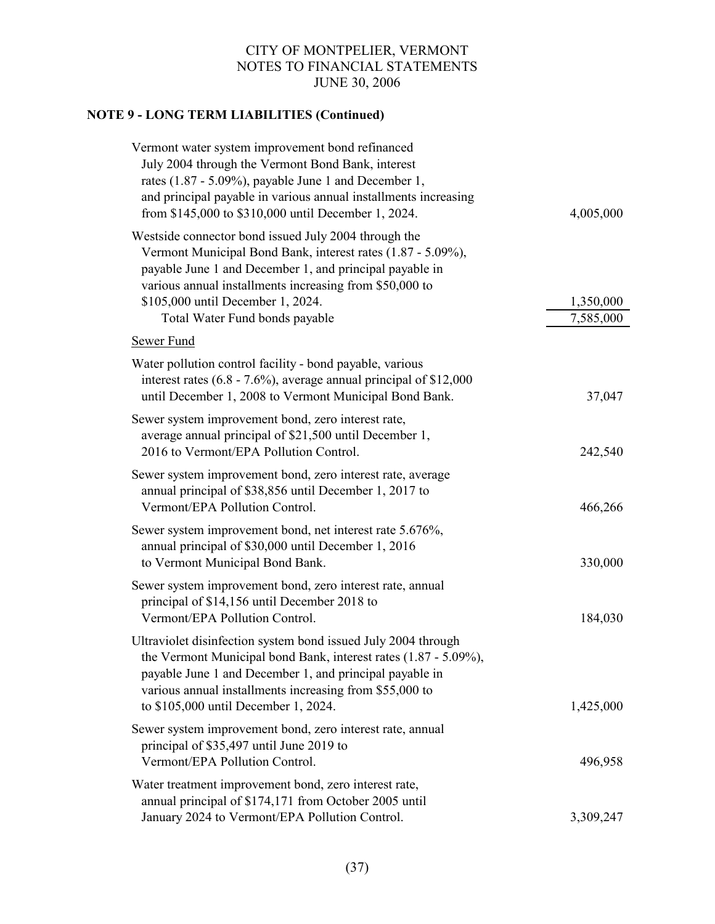# **NOTE 9 - LONG TERM LIABILITIES (Continued)**

| Vermont water system improvement bond refinanced<br>July 2004 through the Vermont Bond Bank, interest<br>rates (1.87 - 5.09%), payable June 1 and December 1,<br>and principal payable in various annual installments increasing<br>from \$145,000 to \$310,000 until December 1, 2024.                          | 4,005,000              |
|------------------------------------------------------------------------------------------------------------------------------------------------------------------------------------------------------------------------------------------------------------------------------------------------------------------|------------------------|
| Westside connector bond issued July 2004 through the<br>Vermont Municipal Bond Bank, interest rates (1.87 - 5.09%),<br>payable June 1 and December 1, and principal payable in<br>various annual installments increasing from \$50,000 to<br>\$105,000 until December 1, 2024.<br>Total Water Fund bonds payable | 1,350,000<br>7,585,000 |
| <b>Sewer Fund</b>                                                                                                                                                                                                                                                                                                |                        |
| Water pollution control facility - bond payable, various<br>interest rates $(6.8 - 7.6\%)$ , average annual principal of \$12,000<br>until December 1, 2008 to Vermont Municipal Bond Bank.                                                                                                                      | 37,047                 |
| Sewer system improvement bond, zero interest rate,<br>average annual principal of \$21,500 until December 1,<br>2016 to Vermont/EPA Pollution Control.                                                                                                                                                           | 242,540                |
| Sewer system improvement bond, zero interest rate, average<br>annual principal of \$38,856 until December 1, 2017 to<br>Vermont/EPA Pollution Control.                                                                                                                                                           | 466,266                |
| Sewer system improvement bond, net interest rate 5.676%,<br>annual principal of \$30,000 until December 1, 2016<br>to Vermont Municipal Bond Bank.                                                                                                                                                               | 330,000                |
| Sewer system improvement bond, zero interest rate, annual<br>principal of \$14,156 until December 2018 to<br>Vermont/EPA Pollution Control.                                                                                                                                                                      | 184,030                |
| Ultraviolet disinfection system bond issued July 2004 through<br>the Vermont Municipal bond Bank, interest rates (1.87 - 5.09%).<br>payable June 1 and December 1, and principal payable in<br>various annual installments increasing from \$55,000 to<br>to \$105,000 until December 1, 2024.                   | 1,425,000              |
| Sewer system improvement bond, zero interest rate, annual<br>principal of \$35,497 until June 2019 to<br>Vermont/EPA Pollution Control.                                                                                                                                                                          | 496,958                |
|                                                                                                                                                                                                                                                                                                                  |                        |
| Water treatment improvement bond, zero interest rate,<br>annual principal of \$174,171 from October 2005 until<br>January 2024 to Vermont/EPA Pollution Control.                                                                                                                                                 | 3,309,247              |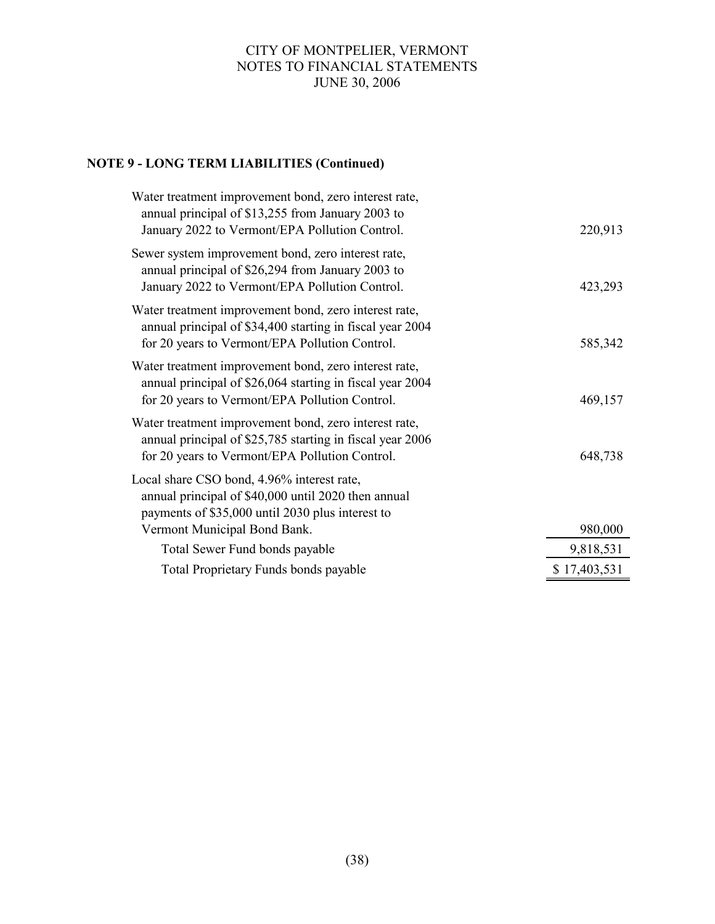# **NOTE 9 - LONG TERM LIABILITIES (Continued)**

| Water treatment improvement bond, zero interest rate,<br>annual principal of \$13,255 from January 2003 to<br>January 2022 to Vermont/EPA Pollution Control.         | 220,913      |
|----------------------------------------------------------------------------------------------------------------------------------------------------------------------|--------------|
| Sewer system improvement bond, zero interest rate,<br>annual principal of \$26,294 from January 2003 to<br>January 2022 to Vermont/EPA Pollution Control.            | 423,293      |
| Water treatment improvement bond, zero interest rate,<br>annual principal of \$34,400 starting in fiscal year 2004<br>for 20 years to Vermont/EPA Pollution Control. | 585,342      |
| Water treatment improvement bond, zero interest rate,<br>annual principal of \$26,064 starting in fiscal year 2004<br>for 20 years to Vermont/EPA Pollution Control. | 469,157      |
| Water treatment improvement bond, zero interest rate,<br>annual principal of \$25,785 starting in fiscal year 2006<br>for 20 years to Vermont/EPA Pollution Control. | 648,738      |
| Local share CSO bond, 4.96% interest rate,<br>annual principal of \$40,000 until 2020 then annual<br>payments of \$35,000 until 2030 plus interest to                |              |
| Vermont Municipal Bond Bank.                                                                                                                                         | 980,000      |
| Total Sewer Fund bonds payable                                                                                                                                       | 9,818,531    |
| <b>Total Proprietary Funds bonds payable</b>                                                                                                                         | \$17,403,531 |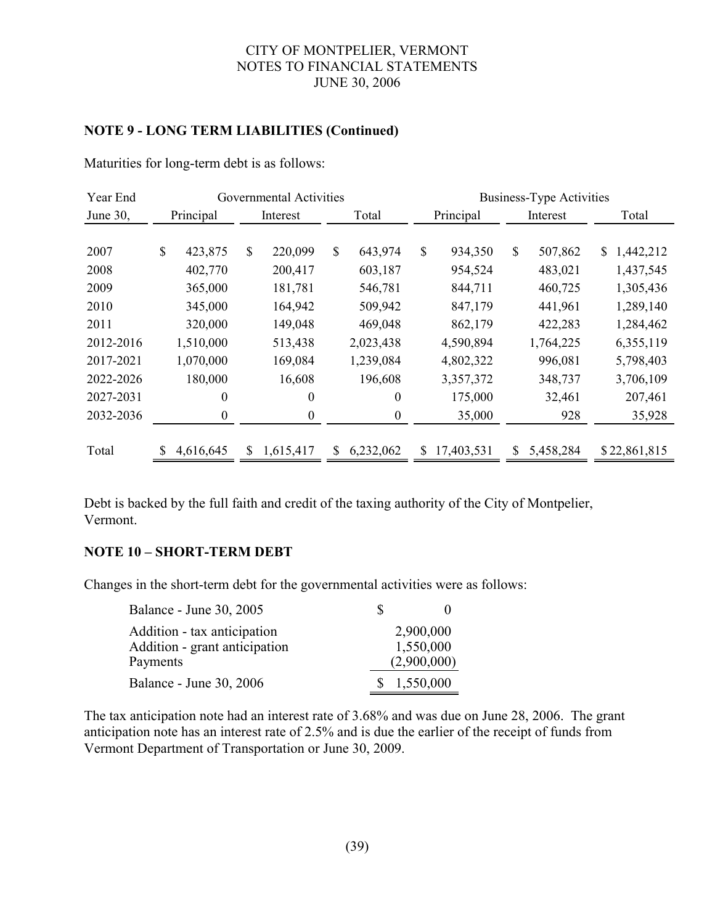### **NOTE 9 - LONG TERM LIABILITIES (Continued)**

| Year End  |               | <b>Governmental Activities</b> |                  | <b>Business-Type Activities</b> |                       |              |           |       |              |
|-----------|---------------|--------------------------------|------------------|---------------------------------|-----------------------|--------------|-----------|-------|--------------|
| June 30,  | Principal     | Interest                       | Total            |                                 | Principal<br>Interest |              |           | Total |              |
| 2007      | \$<br>423,875 | \$<br>220,099                  | \$<br>643,974    | \$                              | 934,350               | $\mathbb{S}$ | 507,862   |       | \$1,442,212  |
| 2008      | 402,770       | 200,417                        | 603,187          |                                 | 954,524               |              | 483,021   |       | 1,437,545    |
| 2009      | 365,000       | 181,781                        | 546,781          |                                 | 844,711               |              | 460,725   |       | 1,305,436    |
| 2010      | 345,000       | 164,942                        | 509,942          |                                 | 847,179               |              | 441,961   |       | 1,289,140    |
| 2011      | 320,000       | 149,048                        | 469,048          |                                 | 862,179               |              | 422,283   |       | 1,284,462    |
| 2012-2016 | 1,510,000     | 513,438                        | 2,023,438        |                                 | 4,590,894             |              | 1,764,225 |       | 6,355,119    |
| 2017-2021 | 1,070,000     | 169,084                        | 1,239,084        |                                 | 4,802,322             |              | 996,081   |       | 5,798,403    |
| 2022-2026 | 180,000       | 16,608                         | 196,608          |                                 | 3,357,372             |              | 348,737   |       | 3,706,109    |
| 2027-2031 | 0             | 0                              | 0                |                                 | 175,000               |              | 32,461    |       | 207,461      |
| 2032-2036 | 0             | $\boldsymbol{0}$               | $\boldsymbol{0}$ |                                 | 35,000                |              | 928       |       | 35,928       |
| Total     | 4,616,645     | 1,615,417                      | 6,232,062        | \$                              | 17,403,531            |              | 5,458,284 |       | \$22,861,815 |

Maturities for long-term debt is as follows:

Debt is backed by the full faith and credit of the taxing authority of the City of Montpelier, Vermont.

# **NOTE 10 – SHORT-TERM DEBT**

Changes in the short-term debt for the governmental activities were as follows:

| <b>Balance - June 30, 2005</b> | S.          |             |
|--------------------------------|-------------|-------------|
| Addition - tax anticipation    |             | 2,900,000   |
| Addition - grant anticipation  |             | 1,550,000   |
| Payments                       |             | (2,900,000) |
| <b>Balance - June 30, 2006</b> | \$1,550,000 |             |

The tax anticipation note had an interest rate of 3.68% and was due on June 28, 2006. The grant anticipation note has an interest rate of 2.5% and is due the earlier of the receipt of funds from Vermont Department of Transportation or June 30, 2009.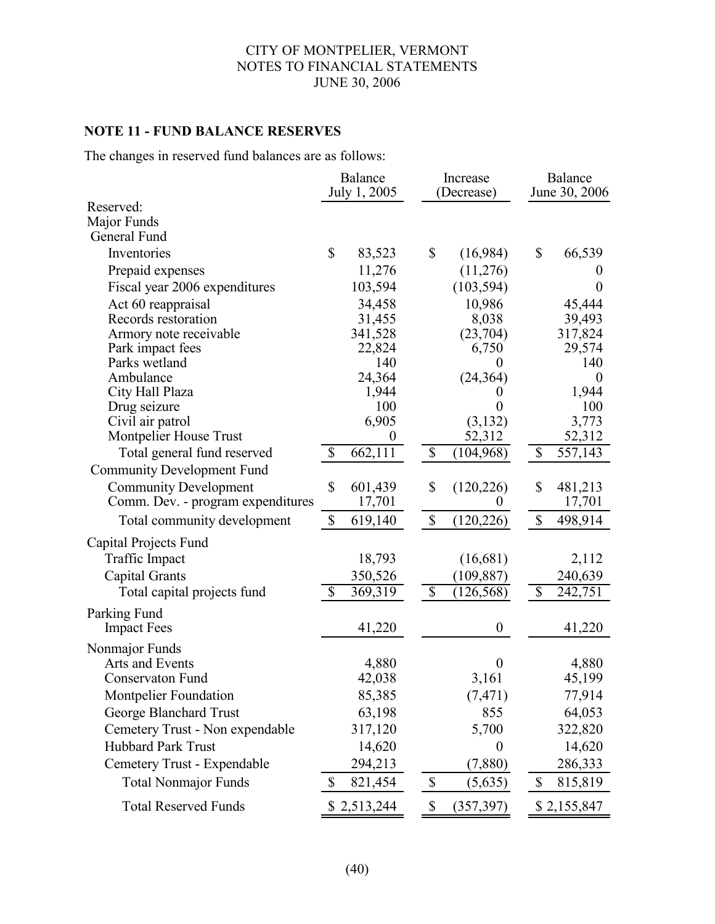# **NOTE 11 - FUND BALANCE RESERVES**

The changes in reserved fund balances are as follows:

|                                    |                           | Balance<br>July 1, 2005 |                           | Increase<br>(Decrease) |                           | <b>Balance</b><br>June 30, 2006 |
|------------------------------------|---------------------------|-------------------------|---------------------------|------------------------|---------------------------|---------------------------------|
| Reserved:                          |                           |                         |                           |                        |                           |                                 |
| Major Funds                        |                           |                         |                           |                        |                           |                                 |
| General Fund                       |                           |                         |                           |                        |                           |                                 |
| Inventories                        | \$                        | 83,523                  | \$                        | (16,984)               | \$                        | 66,539                          |
| Prepaid expenses                   |                           | 11,276                  |                           | (11,276)               |                           | $\theta$                        |
| Fiscal year 2006 expenditures      |                           | 103,594                 |                           | (103, 594)             |                           | $\theta$                        |
| Act 60 reappraisal                 |                           | 34,458                  |                           | 10,986                 |                           | 45,444                          |
| Records restoration                |                           | 31,455                  |                           | 8,038                  |                           | 39,493                          |
| Armory note receivable             |                           | 341,528                 |                           | (23,704)               |                           | 317,824                         |
| Park impact fees                   |                           | 22,824                  |                           | 6,750                  |                           | 29,574                          |
| Parks wetland                      |                           | 140                     |                           | 0                      |                           | 140                             |
| Ambulance                          |                           | 24,364                  |                           | (24, 364)              |                           | $\theta$                        |
| City Hall Plaza                    |                           | 1,944<br>100            |                           | 0                      |                           | 1,944<br>100                    |
| Drug seizure<br>Civil air patrol   |                           | 6,905                   |                           | (3, 132)               |                           | 3,773                           |
| Montpelier House Trust             |                           | $\boldsymbol{0}$        |                           | 52,312                 |                           | 52,312                          |
| Total general fund reserved        | \$                        | 662,111                 | \$                        | (104, 968)             | $\mathcal{S}$             | 557,143                         |
| <b>Community Development Fund</b>  |                           |                         |                           |                        |                           |                                 |
| <b>Community Development</b>       | \$                        | 601,439                 | \$                        | (120, 226)             | \$                        | 481,213                         |
| Comm. Dev. - program expenditures  |                           | 17,701                  |                           | O                      |                           | 17,701                          |
| Total community development        | $\boldsymbol{\mathsf{S}}$ | 619,140                 | $\boldsymbol{\mathsf{S}}$ | (120, 226)             | \$                        | 498,914                         |
| Capital Projects Fund              |                           |                         |                           |                        |                           |                                 |
| <b>Traffic Impact</b>              |                           | 18,793                  |                           | (16,681)               |                           | 2,112                           |
| Capital Grants                     |                           | 350,526                 |                           | (109, 887)             |                           | 240,639                         |
|                                    | \$                        | 369,319                 | $\boldsymbol{\mathsf{S}}$ | (126, 568)             | $\mathcal{S}$             | 242,751                         |
| Total capital projects fund        |                           |                         |                           |                        |                           |                                 |
| Parking Fund<br><b>Impact Fees</b> |                           | 41,220                  |                           | $\boldsymbol{0}$       |                           | 41,220                          |
| Nonmajor Funds                     |                           |                         |                           |                        |                           |                                 |
| Arts and Events                    |                           | 4,880                   |                           | $\boldsymbol{0}$       |                           | 4,880                           |
| <b>Conservaton Fund</b>            |                           | 42,038                  |                           | 3,161                  |                           | 45,199                          |
| Montpelier Foundation              |                           | 85,385                  |                           | (7, 471)               |                           | 77,914                          |
| George Blanchard Trust             |                           | 63,198                  |                           | 855                    |                           | 64,053                          |
| Cemetery Trust - Non expendable    |                           | 317,120                 |                           | 5,700                  |                           | 322,820                         |
| <b>Hubbard Park Trust</b>          |                           | 14,620                  |                           | 0                      |                           | 14,620                          |
| Cemetery Trust - Expendable        |                           | 294,213                 |                           | (7,880)                |                           | 286,333                         |
| <b>Total Nonmajor Funds</b>        | $\mathbb{S}$              | 821,454                 | \$                        | (5,635)                | $\boldsymbol{\mathsf{S}}$ | 815,819                         |
| <b>Total Reserved Funds</b>        |                           | \$2,513,244             | \$                        | (357, 397)             |                           | \$2,155,847                     |
|                                    |                           |                         |                           |                        |                           |                                 |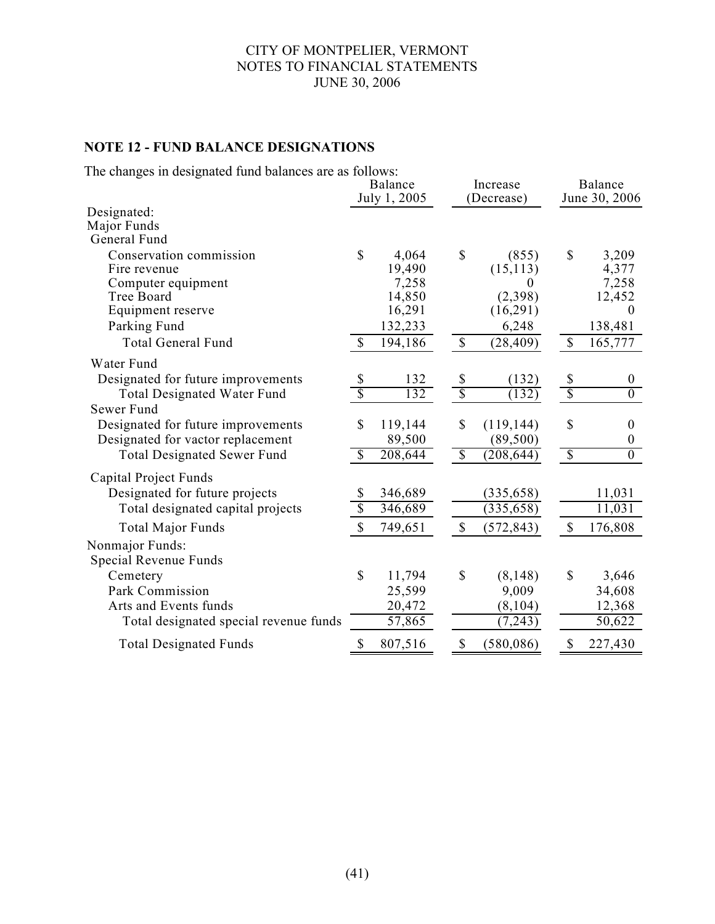#### **NOTE 12 - FUND BALANCE DESIGNATIONS**

The changes in designated fund balances are as follows: Balance Increase Balance July 1, 2005 (Decrease) June 30, 2006 Designated: Major Funds General Fund Conservation commission <br>
S 4,064 \$ (855) \$ 3,209<br>
Fire revenue 19,490 (15,113) 4,377 Fire revenue 19,490 (15,113) 4,377<br>
Computer equipment 7,258 (15,113) 4,377 Computer equipment 7,258 0<br>Tree Board 14,850 (2,398) Tree Board 14,850 (2,398) 12,452 Equipment reserve  $16,291$  (16,291) 0 Parking Fund 132,233 6,248 138,481 Total General Fund  $$ 194,186$   $$ (28,409)$   $$ 165,777$  Water Fund Designated for future improvements  $\qquad$  \$ 132 \$ (132) \$ 0 Total Designated Water Fund  $\frac{132}{\sqrt{3}} \frac{132}{\sqrt{3}} \frac{132}{\sqrt{3}} \frac{132}{\sqrt{3}}$  Sewer Fund Designated for future improvements  $\begin{array}{cccc} \text{S} & 119,144 & \text{S} & (119,144) & \text{S} & 0 \end{array}$ Designated for vactor replacement 89,500 (89,500) 0 Total Designated Sewer Fund  $\overline{\$}$  208,644  $\overline{\$}$  (208,644)  $\overline{\$}$  0 Capital Project Funds Designated for future projects \$ 346,689 (335,658) 11,031 Total designated capital projects  $\overline{\text{S} \quad 346,689}$  (335,658) 11,031 Total Major Funds \$ 749,651 \$ (572,843) \$ 176,808 Nonmajor Funds: Special Revenue Funds Cemetery \$ 11,794 \$ (8,148) \$ 3,646 Park Commission 25,599 9,009 34,608 Arts and Events funds 20.472 (8,104) 12,368 Total designated special revenue funds 57,865 (7,243) 50,622 Total Designated Funds \$ 807,516 \$ (580,086) \$ 227,430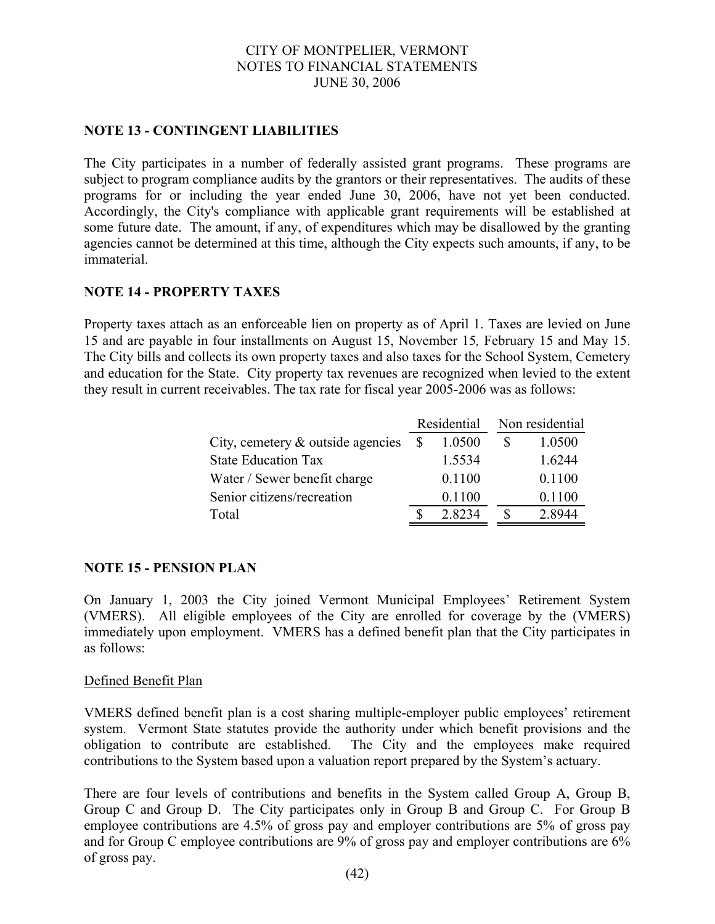# **NOTE 13 - CONTINGENT LIABILITIES**

The City participates in a number of federally assisted grant programs. These programs are subject to program compliance audits by the grantors or their representatives. The audits of these programs for or including the year ended June 30, 2006, have not yet been conducted. Accordingly, the City's compliance with applicable grant requirements will be established at some future date. The amount, if any, of expenditures which may be disallowed by the granting agencies cannot be determined at this time, although the City expects such amounts, if any, to be *immaterial* 

# **NOTE 14 - PROPERTY TAXES**

Property taxes attach as an enforceable lien on property as of April 1. Taxes are levied on June 15 and are payable in four installments on August 15, November 15*,* February 15 and May 15. The City bills and collects its own property taxes and also taxes for the School System, Cemetery and education for the State. City property tax revenues are recognized when levied to the extent they result in current receivables. The tax rate for fiscal year 2005-2006 was as follows:

|                                      |   | Residential | Non residential |
|--------------------------------------|---|-------------|-----------------|
| City, cemetery $\&$ outside agencies | S | 1.0500      | 1.0500          |
| <b>State Education Tax</b>           |   | 1.5534      | 1 6244          |
| Water / Sewer benefit charge         |   | 0.1100      | 0.1100          |
| Senior citizens/recreation           |   | 0.1100      | 0.1100          |
| Total                                |   | 28234       | 2.8944          |

# **NOTE 15 - PENSION PLAN**

On January 1, 2003 the City joined Vermont Municipal Employees' Retirement System (VMERS). All eligible employees of the City are enrolled for coverage by the (VMERS) immediately upon employment. VMERS has a defined benefit plan that the City participates in as follows:

#### Defined Benefit Plan

VMERS defined benefit plan is a cost sharing multiple-employer public employees' retirement system. Vermont State statutes provide the authority under which benefit provisions and the obligation to contribute are established. The City and the employees make required contributions to the System based upon a valuation report prepared by the System's actuary.

There are four levels of contributions and benefits in the System called Group A, Group B, Group C and Group D. The City participates only in Group B and Group C. For Group B employee contributions are 4.5% of gross pay and employer contributions are 5% of gross pay and for Group C employee contributions are 9% of gross pay and employer contributions are 6% of gross pay.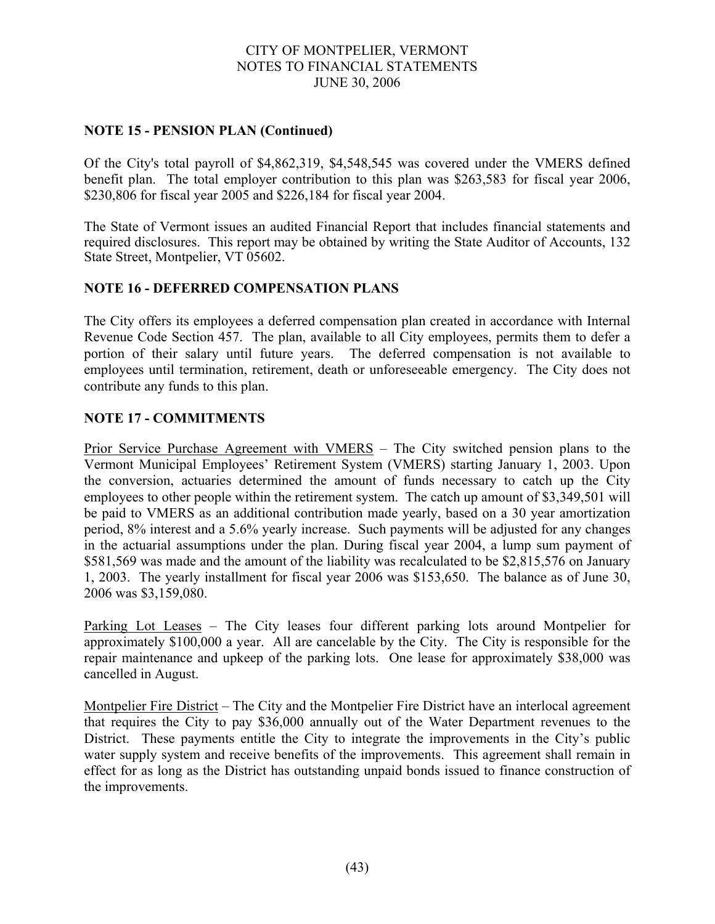### **NOTE 15 - PENSION PLAN (Continued)**

Of the City's total payroll of \$4,862,319, \$4,548,545 was covered under the VMERS defined benefit plan. The total employer contribution to this plan was \$263,583 for fiscal year 2006, \$230,806 for fiscal year 2005 and \$226,184 for fiscal year 2004.

The State of Vermont issues an audited Financial Report that includes financial statements and required disclosures. This report may be obtained by writing the State Auditor of Accounts, 132 State Street, Montpelier, VT 05602.

### **NOTE 16 - DEFERRED COMPENSATION PLANS**

The City offers its employees a deferred compensation plan created in accordance with Internal Revenue Code Section 457. The plan, available to all City employees, permits them to defer a portion of their salary until future years. The deferred compensation is not available to employees until termination, retirement, death or unforeseeable emergency. The City does not contribute any funds to this plan.

# **NOTE 17 - COMMITMENTS**

Prior Service Purchase Agreement with VMERS – The City switched pension plans to the Vermont Municipal Employees' Retirement System (VMERS) starting January 1, 2003. Upon the conversion, actuaries determined the amount of funds necessary to catch up the City employees to other people within the retirement system. The catch up amount of \$3,349,501 will be paid to VMERS as an additional contribution made yearly, based on a 30 year amortization period, 8% interest and a 5.6% yearly increase. Such payments will be adjusted for any changes in the actuarial assumptions under the plan. During fiscal year 2004, a lump sum payment of \$581,569 was made and the amount of the liability was recalculated to be \$2,815,576 on January 1, 2003. The yearly installment for fiscal year 2006 was \$153,650. The balance as of June 30, 2006 was \$3,159,080.

Parking Lot Leases – The City leases four different parking lots around Montpelier for approximately \$100,000 a year. All are cancelable by the City. The City is responsible for the repair maintenance and upkeep of the parking lots. One lease for approximately \$38,000 was cancelled in August.

Montpelier Fire District – The City and the Montpelier Fire District have an interlocal agreement that requires the City to pay \$36,000 annually out of the Water Department revenues to the District. These payments entitle the City to integrate the improvements in the City's public water supply system and receive benefits of the improvements. This agreement shall remain in effect for as long as the District has outstanding unpaid bonds issued to finance construction of the improvements.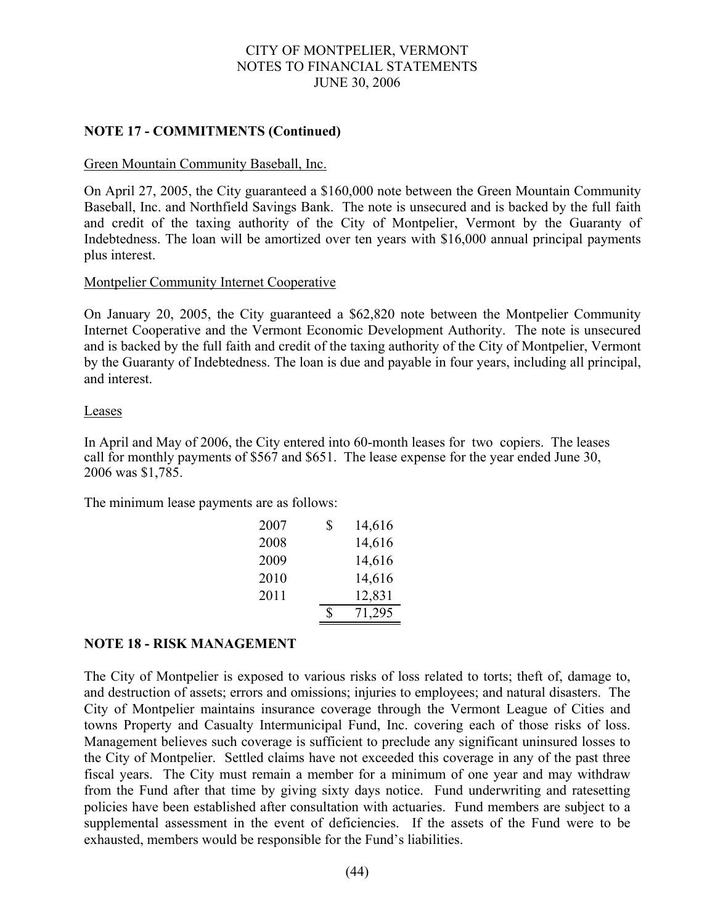# **NOTE 17 - COMMITMENTS (Continued)**

#### Green Mountain Community Baseball, Inc.

On April 27, 2005, the City guaranteed a \$160,000 note between the Green Mountain Community Baseball, Inc. and Northfield Savings Bank. The note is unsecured and is backed by the full faith and credit of the taxing authority of the City of Montpelier, Vermont by the Guaranty of Indebtedness. The loan will be amortized over ten years with \$16,000 annual principal payments plus interest.

#### Montpelier Community Internet Cooperative

On January 20, 2005, the City guaranteed a \$62,820 note between the Montpelier Community Internet Cooperative and the Vermont Economic Development Authority. The note is unsecured and is backed by the full faith and credit of the taxing authority of the City of Montpelier, Vermont by the Guaranty of Indebtedness. The loan is due and payable in four years, including all principal, and interest.

#### Leases

In April and May of 2006, the City entered into 60-month leases for two copiers. The leases call for monthly payments of \$567 and \$651. The lease expense for the year ended June 30, 2006 was \$1,785.

The minimum lease payments are as follows:

| 2007 | \$<br>14,616 |
|------|--------------|
| 2008 | 14,616       |
| 2009 | 14,616       |
| 2010 | 14,616       |
| 2011 | 12,831       |
|      | 71,295       |

#### **NOTE 18 - RISK MANAGEMENT**

The City of Montpelier is exposed to various risks of loss related to torts; theft of, damage to, and destruction of assets; errors and omissions; injuries to employees; and natural disasters. The City of Montpelier maintains insurance coverage through the Vermont League of Cities and towns Property and Casualty Intermunicipal Fund, Inc. covering each of those risks of loss. Management believes such coverage is sufficient to preclude any significant uninsured losses to the City of Montpelier. Settled claims have not exceeded this coverage in any of the past three fiscal years. The City must remain a member for a minimum of one year and may withdraw from the Fund after that time by giving sixty days notice. Fund underwriting and ratesetting policies have been established after consultation with actuaries. Fund members are subject to a supplemental assessment in the event of deficiencies. If the assets of the Fund were to be exhausted, members would be responsible for the Fund's liabilities.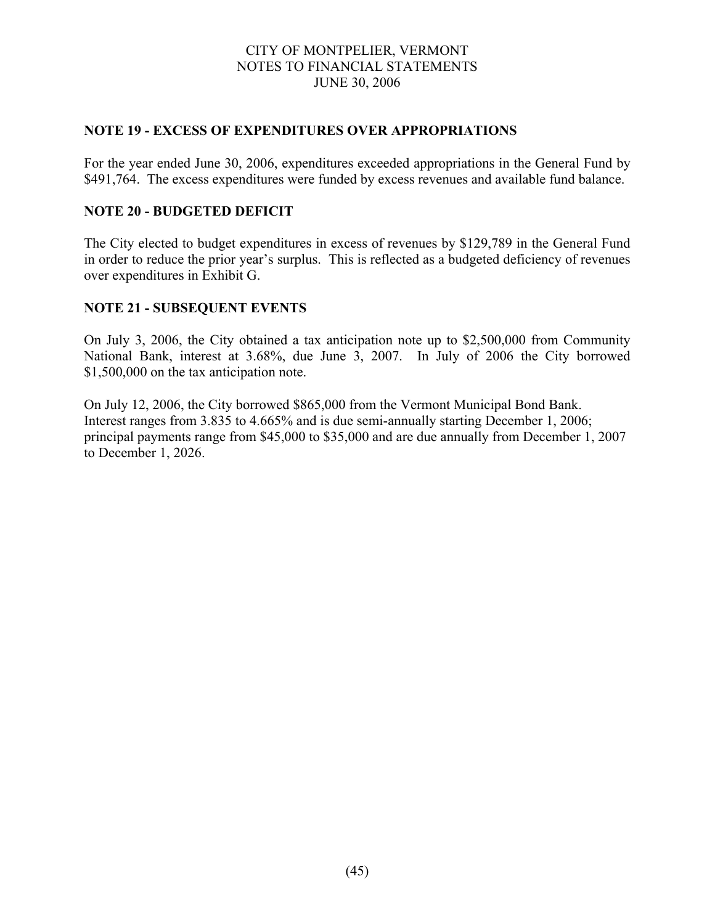#### **NOTE 19 - EXCESS OF EXPENDITURES OVER APPROPRIATIONS**

For the year ended June 30, 2006, expenditures exceeded appropriations in the General Fund by \$491,764. The excess expenditures were funded by excess revenues and available fund balance.

### **NOTE 20 - BUDGETED DEFICIT**

The City elected to budget expenditures in excess of revenues by \$129,789 in the General Fund in order to reduce the prior year's surplus. This is reflected as a budgeted deficiency of revenues over expenditures in Exhibit G.

### **NOTE 21 - SUBSEQUENT EVENTS**

On July 3, 2006, the City obtained a tax anticipation note up to \$2,500,000 from Community National Bank, interest at 3.68%, due June 3, 2007. In July of 2006 the City borrowed \$1,500,000 on the tax anticipation note.

On July 12, 2006, the City borrowed \$865,000 from the Vermont Municipal Bond Bank. Interest ranges from 3.835 to 4.665% and is due semi-annually starting December 1, 2006; principal payments range from \$45,000 to \$35,000 and are due annually from December 1, 2007 to December 1, 2026.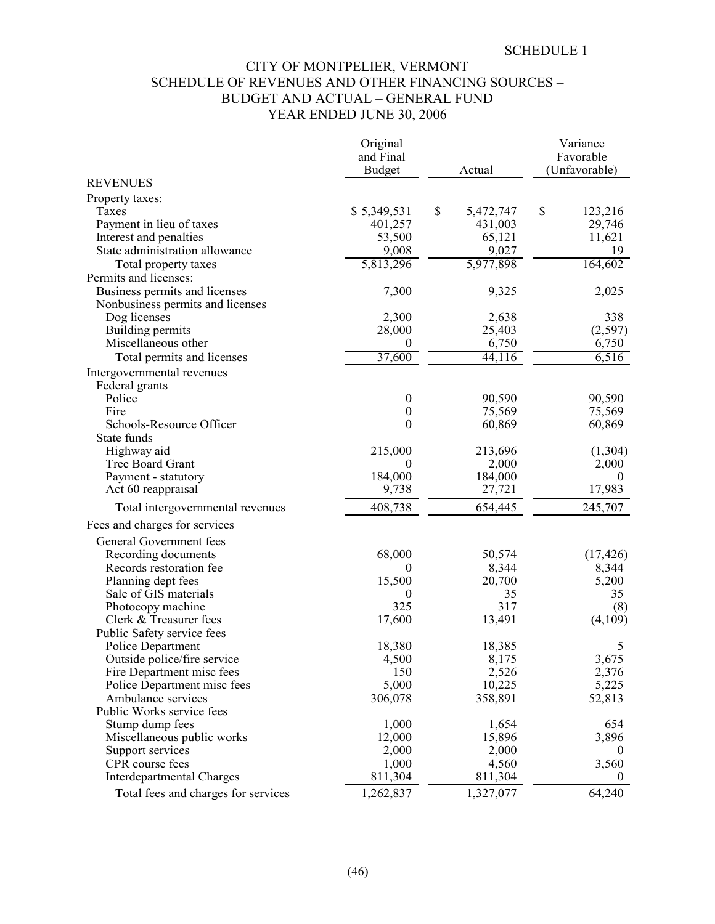# CITY OF MONTPELIER, VERMONT SCHEDULE OF REVENUES AND OTHER FINANCING SOURCES – BUDGET AND ACTUAL – GENERAL FUND YEAR ENDED JUNE 30, 2006

|                                     | Original         |                 | Variance      |
|-------------------------------------|------------------|-----------------|---------------|
|                                     | and Final        |                 | Favorable     |
| <b>REVENUES</b>                     | <b>Budget</b>    | Actual          | (Unfavorable) |
|                                     |                  |                 |               |
| Property taxes:                     |                  |                 |               |
| Taxes                               | \$5,349,531      | \$<br>5,472,747 | \$<br>123,216 |
| Payment in lieu of taxes            | 401,257          | 431,003         | 29,746        |
| Interest and penalties              | 53,500           | 65,121          | 11,621        |
| State administration allowance      | 9,008            | 9,027           | 19            |
| Total property taxes                | 5,813,296        | 5,977,898       | 164,602       |
| Permits and licenses:               |                  |                 |               |
| Business permits and licenses       | 7,300            | 9,325           | 2,025         |
| Nonbusiness permits and licenses    |                  |                 |               |
| Dog licenses                        | 2,300            | 2,638           | 338           |
| Building permits                    | 28,000           | 25,403          | (2,597)       |
| Miscellaneous other                 | $\boldsymbol{0}$ | 6,750           | 6,750         |
| Total permits and licenses          | 37,600           | 44,116          | 6,516         |
| Intergovernmental revenues          |                  |                 |               |
| Federal grants                      |                  |                 |               |
| Police                              | $\boldsymbol{0}$ | 90,590          | 90,590        |
| Fire                                | $\boldsymbol{0}$ | 75,569          | 75,569        |
| Schools-Resource Officer            | $\boldsymbol{0}$ | 60,869          | 60,869        |
| State funds                         |                  |                 |               |
| Highway aid                         | 215,000          | 213,696         | (1,304)       |
| <b>Tree Board Grant</b>             | 0                | 2,000           | 2,000         |
| Payment - statutory                 | 184,000          | 184,000         | $\theta$      |
| Act 60 reappraisal                  | 9,738            | 27,721          | 17,983        |
| Total intergovernmental revenues    | 408,738          | 654,445         | 245,707       |
| Fees and charges for services       |                  |                 |               |
| General Government fees             |                  |                 |               |
| Recording documents                 | 68,000           | 50,574          | (17, 426)     |
| Records restoration fee             | 0                | 8,344           | 8,344         |
| Planning dept fees                  | 15,500           | 20,700          | 5,200         |
| Sale of GIS materials               | $\theta$         | 35              | 35            |
| Photocopy machine                   | 325              | 317             | (8)           |
| Clerk & Treasurer fees              | 17,600           | 13,491          | (4,109)       |
| Public Safety service fees          |                  |                 |               |
| Police Department                   | 18,380           | 18,385          | 5             |
| Outside police/fire service         | 4,500            | 8,175           | 3,675         |
| Fire Department misc fees           | 150              | 2,526           | 2,376         |
| Police Department misc fees         | 5,000            | 10,225          | 5,225         |
| Ambulance services                  | 306,078          | 358,891         | 52,813        |
| Public Works service fees           |                  |                 |               |
| Stump dump fees                     | 1,000            | 1,654           | 654           |
|                                     |                  |                 |               |
| Miscellaneous public works          | 12,000           | 15,896          | 3,896         |
| Support services                    | 2,000            | 2,000           | $\theta$      |
| CPR course fees                     | 1,000            | 4,560           | 3,560         |
| Interdepartmental Charges           | 811,304          | 811,304         | 0             |
| Total fees and charges for services | 1,262,837        | 1,327,077       | 64,240        |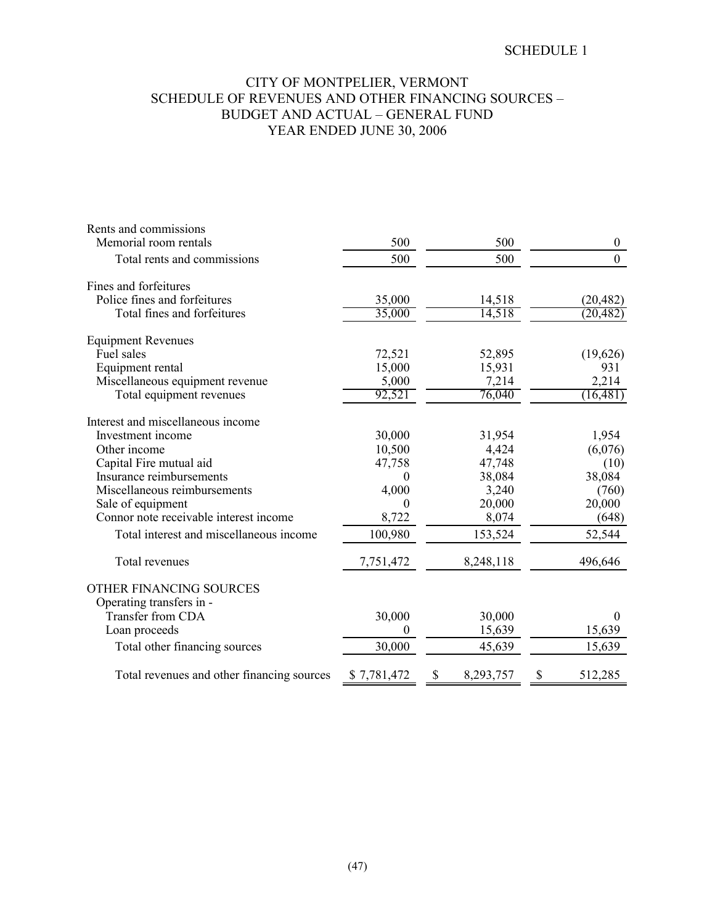#### SCHEDULE 1

# CITY OF MONTPELIER, VERMONT SCHEDULE OF REVENUES AND OTHER FINANCING SOURCES – BUDGET AND ACTUAL – GENERAL FUND YEAR ENDED JUNE 30, 2006

| Rents and commissions                      |                  |                |                |
|--------------------------------------------|------------------|----------------|----------------|
| Memorial room rentals                      | 500              | 500            | $\overline{0}$ |
| Total rents and commissions                | 500              | 500            | $\overline{0}$ |
| Fines and forfeitures                      |                  |                |                |
| Police fines and forfeitures               | 35,000           | 14,518         | (20, 482)      |
| Total fines and forfeitures                | 35,000           | 14,518         | (20, 482)      |
| <b>Equipment Revenues</b>                  |                  |                |                |
| Fuel sales                                 | 72,521           | 52,895         | (19,626)       |
| Equipment rental                           | 15,000           | 15,931         | 931            |
| Miscellaneous equipment revenue            | 5,000            | 7,214          | 2,214          |
| Total equipment revenues                   | 92,521           | 76,040         | (16, 481)      |
| Interest and miscellaneous income          |                  |                |                |
| Investment income                          | 30,000           | 31,954         | 1,954          |
| Other income                               | 10,500           | 4,424          | (6,076)        |
| Capital Fire mutual aid                    | 47,758           | 47,748         | (10)           |
| Insurance reimbursements                   | 0                | 38,084         | 38,084         |
| Miscellaneous reimbursements               | 4,000            | 3,240          | (760)          |
| Sale of equipment                          | 0                | 20,000         | 20,000         |
| Connor note receivable interest income     | 8,722            | 8,074          | (648)          |
| Total interest and miscellaneous income    | 100,980          | 153,524        | 52,544         |
| Total revenues                             | 7,751,472        | 8,248,118      | 496,646        |
| OTHER FINANCING SOURCES                    |                  |                |                |
| Operating transfers in -                   |                  |                |                |
| <b>Transfer from CDA</b>                   | 30,000           | 30,000         | $\theta$       |
| Loan proceeds                              | $\boldsymbol{0}$ | 15,639         | 15,639         |
| Total other financing sources              | 30,000           | 45,639         | 15,639         |
| Total revenues and other financing sources | \$7,781,472      | 8,293,757<br>y | 512,285<br>S   |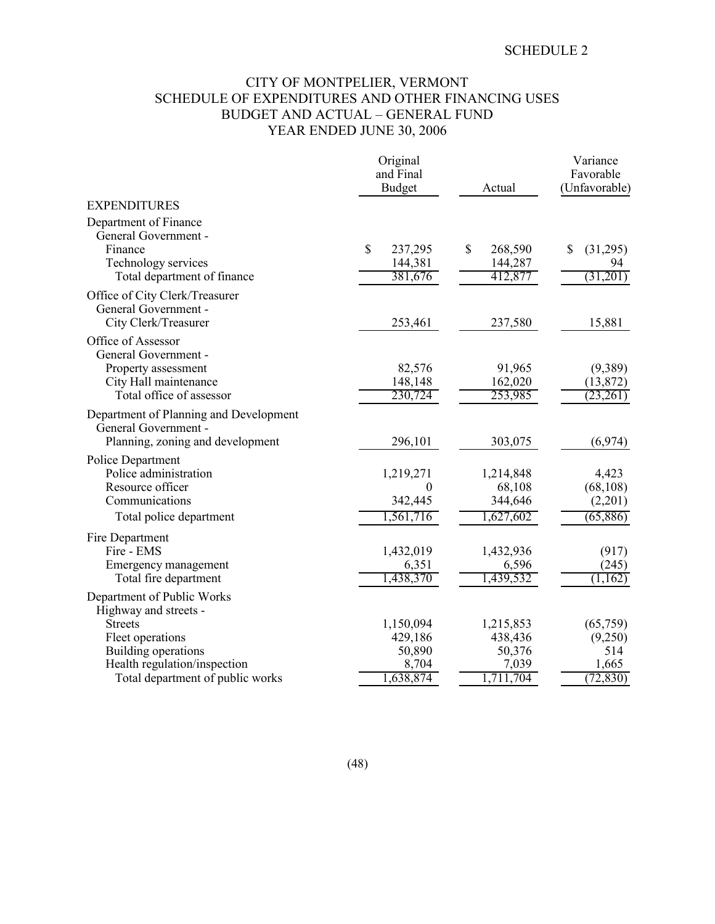#### SCHEDULE 2

# CITY OF MONTPELIER, VERMONT SCHEDULE OF EXPENDITURES AND OTHER FINANCING USES BUDGET AND ACTUAL – GENERAL FUND YEAR ENDED JUNE 30, 2006

|                                                                                                                                                                                      | Original<br>and Final<br><b>Budget</b>               | Actual                                               | Variance<br>Favorable<br>(Unfavorable)           |
|--------------------------------------------------------------------------------------------------------------------------------------------------------------------------------------|------------------------------------------------------|------------------------------------------------------|--------------------------------------------------|
| <b>EXPENDITURES</b>                                                                                                                                                                  |                                                      |                                                      |                                                  |
| Department of Finance<br>General Government -<br>Finance<br>Technology services<br>Total department of finance                                                                       | $\mathbb{S}$<br>237,295<br>144,381<br>381,676        | \$<br>268,590<br>144,287<br>412,877                  | \$<br>(31,295)<br>94<br>(31,201)                 |
| Office of City Clerk/Treasurer<br>General Government -<br>City Clerk/Treasurer                                                                                                       | 253,461                                              | 237,580                                              | 15,881                                           |
| Office of Assessor<br>General Government -<br>Property assessment<br>City Hall maintenance<br>Total office of assessor                                                               | 82,576<br>148,148<br>230,724                         | 91,965<br>162,020<br>253,985                         | (9,389)<br>(13, 872)<br>(23,261)                 |
| Department of Planning and Development<br>General Government -<br>Planning, zoning and development                                                                                   | 296,101                                              | 303,075                                              | (6,974)                                          |
| Police Department<br>Police administration<br>Resource officer<br>Communications<br>Total police department                                                                          | 1,219,271<br>0<br>342,445<br>1,561,716               | 1,214,848<br>68,108<br>344,646<br>1,627,602          | 4,423<br>(68, 108)<br>(2,201)<br>(65,886)        |
| Fire Department<br>Fire - EMS<br>Emergency management<br>Total fire department                                                                                                       | 1,432,019<br>6,351<br>1,438,370                      | 1,432,936<br>6,596<br>1,439,532                      | (917)<br>(245)<br>(1,162)                        |
| Department of Public Works<br>Highway and streets -<br><b>Streets</b><br>Fleet operations<br>Building operations<br>Health regulation/inspection<br>Total department of public works | 1,150,094<br>429,186<br>50,890<br>8,704<br>1,638,874 | 1,215,853<br>438,436<br>50,376<br>7,039<br>1,711,704 | (65,759)<br>(9,250)<br>514<br>1,665<br>(72, 830) |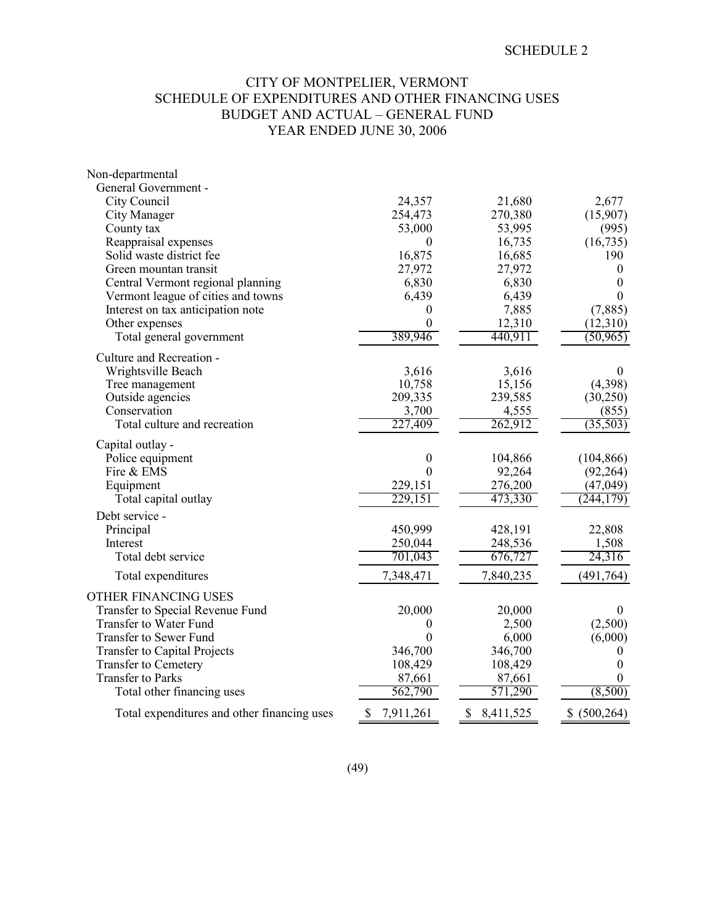#### SCHEDULE 2

# CITY OF MONTPELIER, VERMONT SCHEDULE OF EXPENDITURES AND OTHER FINANCING USES BUDGET AND ACTUAL – GENERAL FUND YEAR ENDED JUNE 30, 2006

| Non-departmental                            |                  |                 |                  |
|---------------------------------------------|------------------|-----------------|------------------|
| General Government -                        |                  |                 |                  |
| City Council                                | 24,357           | 21,680          | 2,677            |
| City Manager                                | 254,473          | 270,380         | (15,907)         |
| County tax                                  | 53,000           | 53,995          | (995)            |
| Reappraisal expenses                        | 0                | 16,735          | (16, 735)        |
| Solid waste district fee                    | 16,875           | 16,685          | 190              |
| Green mountan transit                       | 27,972           | 27,972          | $\boldsymbol{0}$ |
| Central Vermont regional planning           | 6,830            | 6,830           | $\boldsymbol{0}$ |
| Vermont league of cities and towns          | 6,439            | 6,439           | $\theta$         |
| Interest on tax anticipation note           | 0                | 7,885           | (7,885)          |
| Other expenses                              | $\boldsymbol{0}$ | 12,310          | (12,310)         |
| Total general government                    | 389,946          | 440,911         | (50, 965)        |
| Culture and Recreation -                    |                  |                 |                  |
| Wrightsville Beach                          | 3,616            | 3,616           | $\theta$         |
| Tree management                             | 10,758           | 15,156          | (4,398)          |
| Outside agencies                            | 209,335          | 239,585         | (30,250)         |
| Conservation                                | 3,700            | 4,555           | (855)            |
| Total culture and recreation                | 227,409          | 262,912         | (35,503)         |
| Capital outlay -                            |                  |                 |                  |
| Police equipment                            | $\boldsymbol{0}$ | 104,866         | (104, 866)       |
| Fire & EMS                                  | $\theta$         | 92,264          | (92, 264)        |
| Equipment                                   | 229,151          | 276,200         | (47, 049)        |
| Total capital outlay                        | 229,151          | 473,330         | (244, 179)       |
| Debt service -                              |                  |                 |                  |
| Principal                                   | 450,999          | 428,191         | 22,808           |
| Interest                                    | 250,044          | 248,536         | 1,508            |
| Total debt service                          | 701,043          | 676,727         | 24,316           |
| Total expenditures                          | 7,348,471        | 7,840,235       | (491, 764)       |
| OTHER FINANCING USES                        |                  |                 |                  |
| Transfer to Special Revenue Fund            | 20,000           | 20,000          | $\boldsymbol{0}$ |
| Transfer to Water Fund                      | 0                | 2,500           | (2,500)          |
| Transfer to Sewer Fund                      | 0                | 6,000           | (6,000)          |
| <b>Transfer to Capital Projects</b>         | 346,700          | 346,700         | $\theta$         |
| <b>Transfer to Cemetery</b>                 | 108,429          | 108,429         | $\theta$         |
| <b>Transfer to Parks</b>                    | 87,661           | 87,661          | $\boldsymbol{0}$ |
| Total other financing uses                  | 562,790          | 571,290         | (8,500)          |
| Total expenditures and other financing uses | \$<br>7,911,261  | \$<br>8,411,525 | \$ (500, 264)    |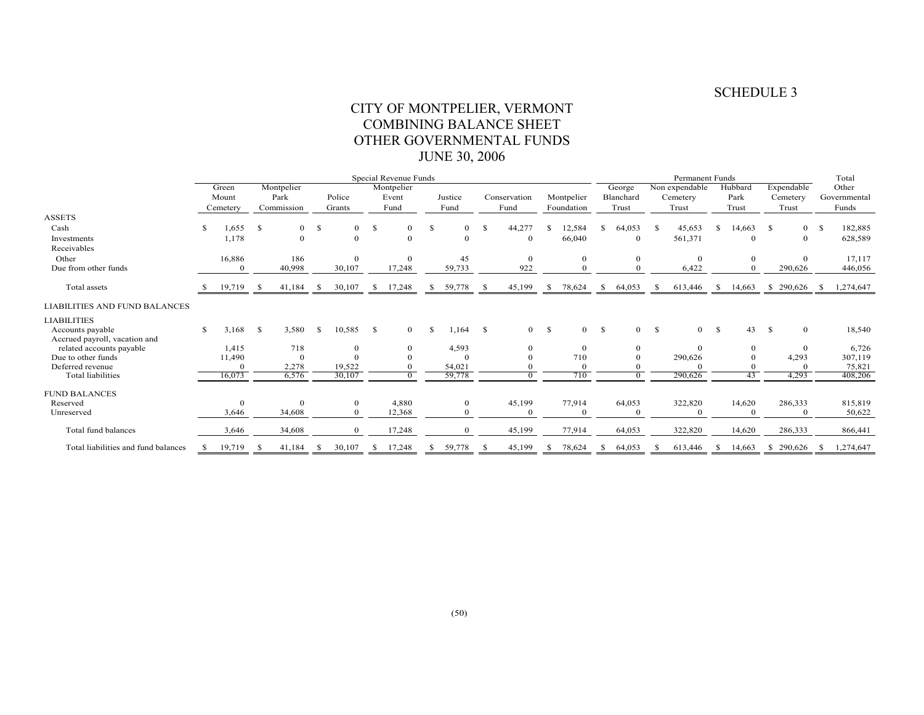#### s and the state of the state of the state of the state of the state of the state of the state of the state of the state of the state of the state of the state of the state of the state of the state of the state of the stat SCHEDULE 3

# CITY OF MONTPELIER, VERMONT COMBINING BALANCE SHEET OTHER GOVERNMENTAL FUNDS JUNE 30, 2006

|                                      | Special Revenue Funds |          |            |                |               |                  |               |                |          |          |      |                |    | Total          |    |                           |               |                |            |              |              |              |       |              |  |
|--------------------------------------|-----------------------|----------|------------|----------------|---------------|------------------|---------------|----------------|----------|----------|------|----------------|----|----------------|----|---------------------------|---------------|----------------|------------|--------------|--------------|--------------|-------|--------------|--|
|                                      |                       | Green    | Montpelier |                |               | Montpelier       |               |                |          |          |      |                |    | George         |    | Non expendable<br>Hubbard |               |                | Expendable |              | Other        |              |       |              |  |
|                                      |                       | Mount    |            | Park           |               | Police           |               | Event          |          | Justice  |      | Conservation   |    | Montpelier     |    | Blanchard                 |               | Cemetery       | Park       |              |              | Cemetery     |       | Governmental |  |
|                                      |                       | Cemetery |            | Commission     |               | Grants           |               | Fund           |          | Fund     |      | Fund           |    | Foundation     |    | Trust                     | Trust         |                | Trust      |              | Trust        |              | Funds |              |  |
| <b>ASSETS</b>                        |                       |          |            |                |               |                  |               |                |          |          |      |                |    |                |    |                           |               |                |            |              |              |              |       |              |  |
| Cash                                 | S                     | 1,655    | -S         | $\overline{0}$ | <sup>\$</sup> | $\mathbf{0}$     | -8            | $\mathbf{0}$   | -S       | 0        | -8   | 44,277         |    | 12,584         | S. | 64,053                    | <sup>\$</sup> | 45,653         | S.         | 14,663       | -S           | $\mathbf{0}$ | -8    | 182,885      |  |
| Investments                          |                       | 1,178    |            | $\Omega$       |               | $\Omega$         |               | $\theta$       |          | $\Omega$ |      |                |    | 66,040         |    | $\mathbf{0}$              |               | 561,371        |            | $\Omega$     |              | $\bf{0}$     |       | 628,589      |  |
| Receivables                          |                       |          |            |                |               |                  |               |                |          |          |      |                |    |                |    |                           |               |                |            |              |              |              |       |              |  |
| Other                                |                       | 16,886   |            | 186            |               | $\Omega$         |               | $\overline{0}$ |          | 45       |      | $\mathbf{0}$   |    | $\bf{0}$       |    |                           |               |                |            | $\mathbf{0}$ |              | $\mathbf{0}$ |       | 17,117       |  |
| Due from other funds                 |                       | 0        |            | 40,998         |               | 30,107           |               | 17,248         |          | 59,733   |      | 922            |    | $\Omega$       |    |                           |               | 6,422          |            |              |              | 290,626      |       | 446,056      |  |
|                                      |                       |          |            |                |               |                  |               |                |          |          |      |                |    |                |    |                           |               |                |            |              |              |              |       |              |  |
| Total assets                         |                       | 19,719   | -S         | 41,184         | -S            | 30,107           | <sup>\$</sup> | 17,248         | S.       | 59,778   | - \$ | 45,199         | S  | 78,624         | \$ | 64,053                    | \$            | 613,446        | \$         | 14,663       | S.           | 290,626      | -S    | 1,274,647    |  |
| <b>LIABILITIES AND FUND BALANCES</b> |                       |          |            |                |               |                  |               |                |          |          |      |                |    |                |    |                           |               |                |            |              |              |              |       |              |  |
| <b>LIABILITIES</b>                   |                       |          |            |                |               |                  |               |                |          |          |      |                |    |                |    |                           |               |                |            |              |              |              |       |              |  |
| Accounts payable                     | \$                    | 3,168    | -S         | 3,580          | <sup>\$</sup> | 10,585           | $\mathbf{s}$  | $\mathbf{0}$   | <b>S</b> | 1.164    | - \$ | $\overline{0}$ | -S | $\overline{0}$ | -S | $\overline{0}$            | -S            | $\overline{0}$ | - \$       | 43           | <sup>S</sup> | $\mathbf{0}$ |       | 18,540       |  |
| Accrued payroll, vacation and        |                       |          |            |                |               |                  |               |                |          |          |      |                |    |                |    |                           |               |                |            |              |              |              |       |              |  |
| related accounts payable             |                       | 1,415    |            | 718            |               | $\Omega$         |               | $\Omega$       |          | 4,593    |      | $\Omega$       |    | $\mathbf{0}$   |    | $\Omega$                  |               | $\Omega$       |            | $\Omega$     |              | $\bf{0}$     |       | 6,726        |  |
| Due to other funds                   |                       | 11,490   |            | $\Omega$       |               | $\Omega$         |               |                |          | $\Omega$ |      |                |    | 710            |    |                           |               | 290,626        |            |              |              | 4,293        |       | 307,119      |  |
| Deferred revenue                     |                       | $\Omega$ |            | 2,278          |               | 19,522           |               |                |          | 54,021   |      |                |    | $\Omega$       |    |                           |               |                |            |              |              | $\theta$     |       | 75,821       |  |
| <b>Total liabilities</b>             |                       | 16,073   |            | 6,576          |               | 30,107           |               | $\Omega$       |          | 59,778   |      |                |    | 710            |    |                           |               | 290,626        |            | 43           |              | 4,293        |       | 408,206      |  |
| <b>FUND BALANCES</b>                 |                       |          |            |                |               |                  |               |                |          |          |      |                |    |                |    |                           |               |                |            |              |              |              |       |              |  |
| Reserved                             |                       | 0        |            | $\Omega$       |               | $\boldsymbol{0}$ |               | 4,880          |          | 0        |      | 45,199         |    | 77,914         |    | 64,053                    |               | 322,820        |            | 14,620       |              | 286,333      |       | 815,819      |  |
| Unreserved                           |                       | 3,646    |            | 34,608         |               | $\mathbf{0}$     |               | 12,368         |          | $\Omega$ |      |                |    | $\Omega$       |    |                           |               |                |            | $\Omega$     |              | $\Omega$     |       | 50,622       |  |
|                                      |                       |          |            |                |               |                  |               |                |          |          |      |                |    |                |    |                           |               |                |            |              |              |              |       |              |  |
| Total fund balances                  |                       | 3,646    |            | 34,608         |               | $\theta$         |               | 17,248         |          | $\Omega$ |      | 45,199         |    | 77,914         |    | 64,053                    |               | 322,820        |            | 14,620       |              | 286,333      |       | 866,441      |  |
| Total liabilities and fund balances  |                       | 19,719   | - \$       | 41,184         | -S            | 30,107           | <sup>\$</sup> | 17,248         | \$       | 59,778   | - \$ | 45,199         | \$ | 78,624         | S. | 64,053                    | \$.           | 613,446        | - \$       | 14,663       |              | \$290,626    | -S    | 1,274,647    |  |